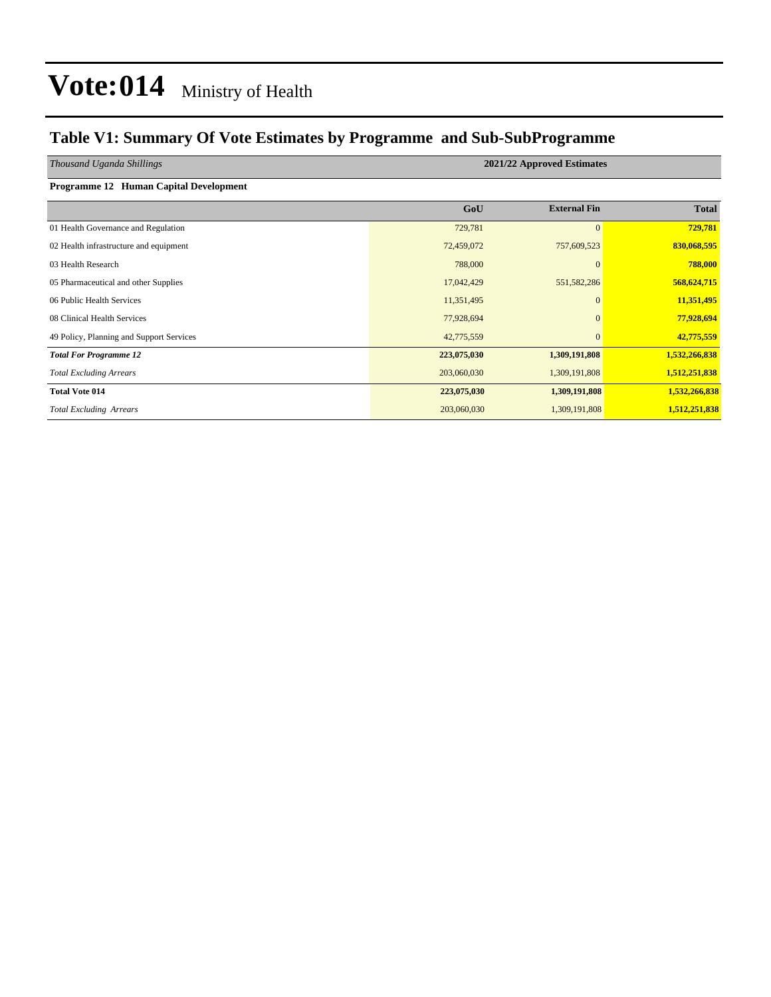### **Table V1: Summary Of Vote Estimates by Programme and Sub-SubProgramme**

*Thousand Uganda Shillings* **2021/22 Approved Estimates**

| Programme 12 Human Capital Development |  |
|----------------------------------------|--|
|                                        |  |

|                                          | GoU         | <b>External Fin</b> | <b>Total</b>  |
|------------------------------------------|-------------|---------------------|---------------|
| 01 Health Governance and Regulation      | 729,781     | $\Omega$            | 729,781       |
| 02 Health infrastructure and equipment   | 72,459,072  | 757,609,523         | 830,068,595   |
| 03 Health Research                       | 788,000     |                     | 788,000       |
| 05 Pharmaceutical and other Supplies     | 17,042,429  | 551,582,286         | 568,624,715   |
| 06 Public Health Services                | 11,351,495  | $\Omega$            | 11,351,495    |
| 08 Clinical Health Services              | 77,928,694  | $\Omega$            | 77,928,694    |
| 49 Policy, Planning and Support Services | 42,775,559  | $\Omega$            | 42,775,559    |
| <b>Total For Programme 12</b>            | 223,075,030 | 1,309,191,808       | 1,532,266,838 |
| <b>Total Excluding Arrears</b>           | 203,060,030 | 1,309,191,808       | 1,512,251,838 |
| <b>Total Vote 014</b>                    | 223,075,030 | 1,309,191,808       | 1,532,266,838 |
| <b>Total Excluding Arrears</b>           | 203,060,030 | 1,309,191,808       | 1,512,251,838 |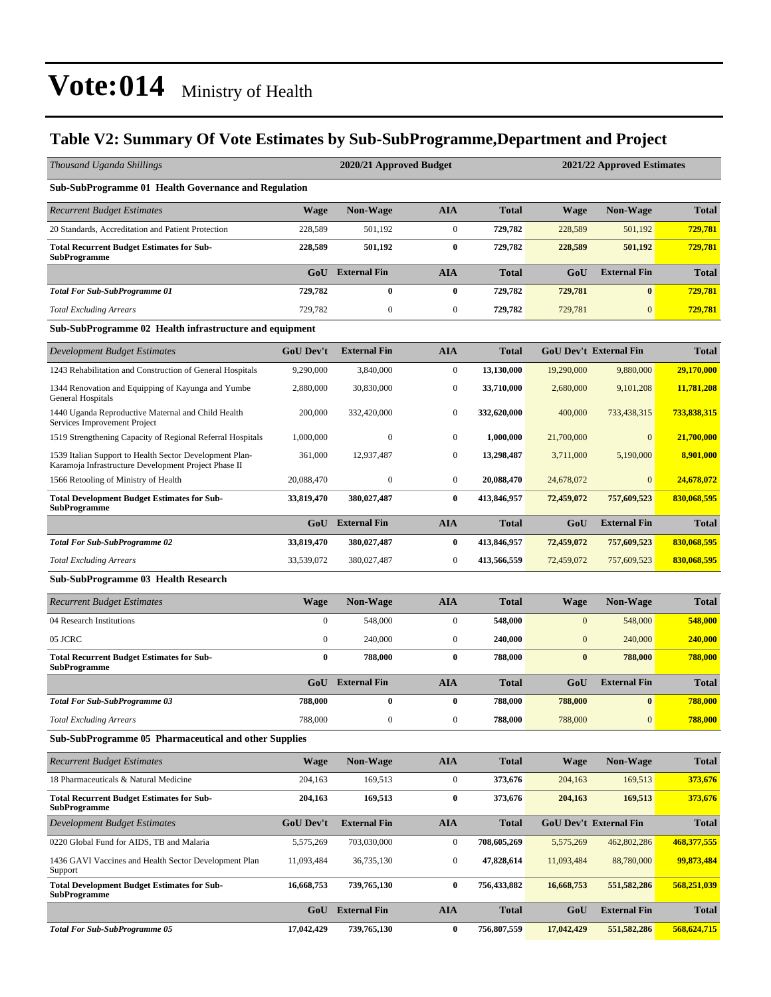### **Table V2: Summary Of Vote Estimates by Sub-SubProgramme,Department and Project**

| Thousand Uganda Shillings                                                                                       |                  | 2020/21 Approved Budget |                  |              |              | 2021/22 Approved Estimates    |              |
|-----------------------------------------------------------------------------------------------------------------|------------------|-------------------------|------------------|--------------|--------------|-------------------------------|--------------|
| <b>Sub-SubProgramme 01 Health Governance and Regulation</b>                                                     |                  |                         |                  |              |              |                               |              |
| <b>Recurrent Budget Estimates</b>                                                                               | <b>Wage</b>      | <b>Non-Wage</b>         | <b>AIA</b>       | <b>Total</b> | <b>Wage</b>  | <b>Non-Wage</b>               | <b>Total</b> |
| 20 Standards, Accreditation and Patient Protection                                                              | 228,589          | 501,192                 | $\boldsymbol{0}$ | 729,782      | 228,589      | 501,192                       | 729,781      |
| <b>Total Recurrent Budget Estimates for Sub-</b><br><b>SubProgramme</b>                                         | 228,589          | 501,192                 | $\bf{0}$         | 729,782      | 228,589      | 501,192                       | 729,781      |
|                                                                                                                 | GoU              | <b>External Fin</b>     | <b>AIA</b>       | <b>Total</b> | GoU          | <b>External Fin</b>           | <b>Total</b> |
| <b>Total For Sub-SubProgramme 01</b>                                                                            | 729,782          | $\bf{0}$                | $\bf{0}$         | 729,782      | 729,781      | $\bf{0}$                      | 729,781      |
| <b>Total Excluding Arrears</b>                                                                                  | 729,782          | $\boldsymbol{0}$        | $\boldsymbol{0}$ | 729,782      | 729,781      | $\mathbf{0}$                  | 729.781      |
| Sub-SubProgramme 02 Health infrastructure and equipment                                                         |                  |                         |                  |              |              |                               |              |
| Development Budget Estimates                                                                                    | <b>GoU Dev't</b> | <b>External Fin</b>     | <b>AIA</b>       | <b>Total</b> |              | <b>GoU Dev't External Fin</b> | <b>Total</b> |
| 1243 Rehabilitation and Construction of General Hospitals                                                       | 9,290,000        | 3,840,000               | $\boldsymbol{0}$ | 13,130,000   | 19,290,000   | 9,880,000                     | 29,170,000   |
| 1344 Renovation and Equipping of Kayunga and Yumbe<br>General Hospitals                                         | 2,880,000        | 30,830,000              | $\boldsymbol{0}$ | 33,710,000   | 2,680,000    | 9,101,208                     | 11,781,208   |
| 1440 Uganda Reproductive Maternal and Child Health<br>Services Improvement Project                              | 200,000          | 332,420,000             | $\bf{0}$         | 332,620,000  | 400,000      | 733,438,315                   | 733,838,315  |
| 1519 Strengthening Capacity of Regional Referral Hospitals                                                      | 1,000,000        | $\mathbf{0}$            | $\boldsymbol{0}$ | 1,000,000    | 21,700,000   | $\Omega$                      | 21,700,000   |
| 1539 Italian Support to Health Sector Development Plan-<br>Karamoja Infrastructure Development Project Phase II | 361,000          | 12,937,487              | $\boldsymbol{0}$ | 13,298,487   | 3,711,000    | 5,190,000                     | 8,901,000    |
| 1566 Retooling of Ministry of Health                                                                            | 20,088,470       | $\mathbf{0}$            | $\mathbf{0}$     | 20,088,470   | 24,678,072   | $\mathbf{0}$                  | 24,678,072   |
| <b>Total Development Budget Estimates for Sub-</b><br><b>SubProgramme</b>                                       | 33,819,470       | 380,027,487             | $\bf{0}$         | 413,846,957  | 72,459,072   | 757,609,523                   | 830,068,595  |
|                                                                                                                 | GoU              | <b>External Fin</b>     | <b>AIA</b>       | <b>Total</b> | GoU          | <b>External Fin</b>           | <b>Total</b> |
| <b>Total For Sub-SubProgramme 02</b>                                                                            | 33,819,470       | 380,027,487             | $\bf{0}$         | 413,846,957  | 72,459,072   | 757,609,523                   | 830,068,595  |
| <b>Total Excluding Arrears</b>                                                                                  | 33,539,072       | 380,027,487             | $\boldsymbol{0}$ | 413,566,559  | 72,459,072   | 757,609,523                   | 830,068,595  |
| <b>Sub-SubProgramme 03 Health Research</b>                                                                      |                  |                         |                  |              |              |                               |              |
| <b>Recurrent Budget Estimates</b>                                                                               | <b>Wage</b>      | <b>Non-Wage</b>         | <b>AIA</b>       | <b>Total</b> | <b>Wage</b>  | <b>Non-Wage</b>               | <b>Total</b> |
| 04 Research Institutions                                                                                        | $\mathbf{0}$     | 548,000                 | $\boldsymbol{0}$ | 548,000      | $\mathbf{0}$ | 548,000                       | 548,000      |
| 05 JCRC                                                                                                         | $\boldsymbol{0}$ | 240,000                 | $\boldsymbol{0}$ | 240,000      | $\mathbf{0}$ | 240,000                       | 240,000      |
| <b>Total Recurrent Budget Estimates for Sub-</b><br><b>SubProgramme</b>                                         | $\bf{0}$         | 788,000                 | $\bf{0}$         | 788,000      | $\bf{0}$     | 788,000                       | 788,000      |
|                                                                                                                 | GoU              | <b>External Fin</b>     | <b>AIA</b>       | <b>Total</b> | GoU          | <b>External Fin</b>           | <b>Total</b> |
| <b>Total For Sub-SubProgramme 03</b>                                                                            | 788,000          | $\bf{0}$                | $\bf{0}$         | 788,000      | 788,000      | $\bf{0}$                      | 788,000      |
| <b>Total Excluding Arrears</b>                                                                                  | 788,000          | $\boldsymbol{0}$        | $\boldsymbol{0}$ | 788,000      | 788,000      | 0                             | 788,000      |
| <b>Sub-SubProgramme 05 Pharmaceutical and other Supplies</b>                                                    |                  |                         |                  |              |              |                               |              |
| <b>Recurrent Budget Estimates</b>                                                                               | <b>Wage</b>      | <b>Non-Wage</b>         | <b>AIA</b>       | <b>Total</b> | <b>Wage</b>  | <b>Non-Wage</b>               | <b>Total</b> |
| 18 Pharmaceuticals & Natural Medicine                                                                           | 204,163          | 169,513                 | $\boldsymbol{0}$ | 373,676      | 204,163      | 169,513                       | 373,676      |
| <b>Total Recurrent Budget Estimates for Sub-</b><br><b>SubProgramme</b>                                         | 204,163          | 169,513                 | $\bf{0}$         | 373,676      | 204,163      | 169,513                       | 373,676      |
| <b>Development Budget Estimates</b>                                                                             | GoU Dev't        | <b>External Fin</b>     | <b>AIA</b>       | <b>Total</b> |              | GoU Dev't External Fin        | <b>Total</b> |
| 0220 Global Fund for AIDS, TB and Malaria                                                                       | 5,575,269        | 703,030,000             | $\boldsymbol{0}$ | 708,605,269  | 5,575,269    | 462,802,286                   | 468,377,555  |
| 1436 GAVI Vaccines and Health Sector Development Plan<br>Support                                                | 11,093,484       | 36,735,130              | $\boldsymbol{0}$ | 47,828,614   | 11,093,484   | 88,780,000                    | 99,873,484   |
| <b>Total Development Budget Estimates for Sub-</b><br><b>SubProgramme</b>                                       | 16,668,753       | 739,765,130             | $\bf{0}$         | 756,433,882  | 16,668,753   | 551, 582, 286                 | 568,251,039  |
|                                                                                                                 | GoU              | <b>External Fin</b>     | <b>AIA</b>       | <b>Total</b> | GoU          | <b>External Fin</b>           | <b>Total</b> |
| <b>Total For Sub-SubProgramme 05</b>                                                                            | 17,042,429       | 739,765,130             | $\bf{0}$         | 756,807,559  | 17,042,429   | 551,582,286                   | 568,624,715  |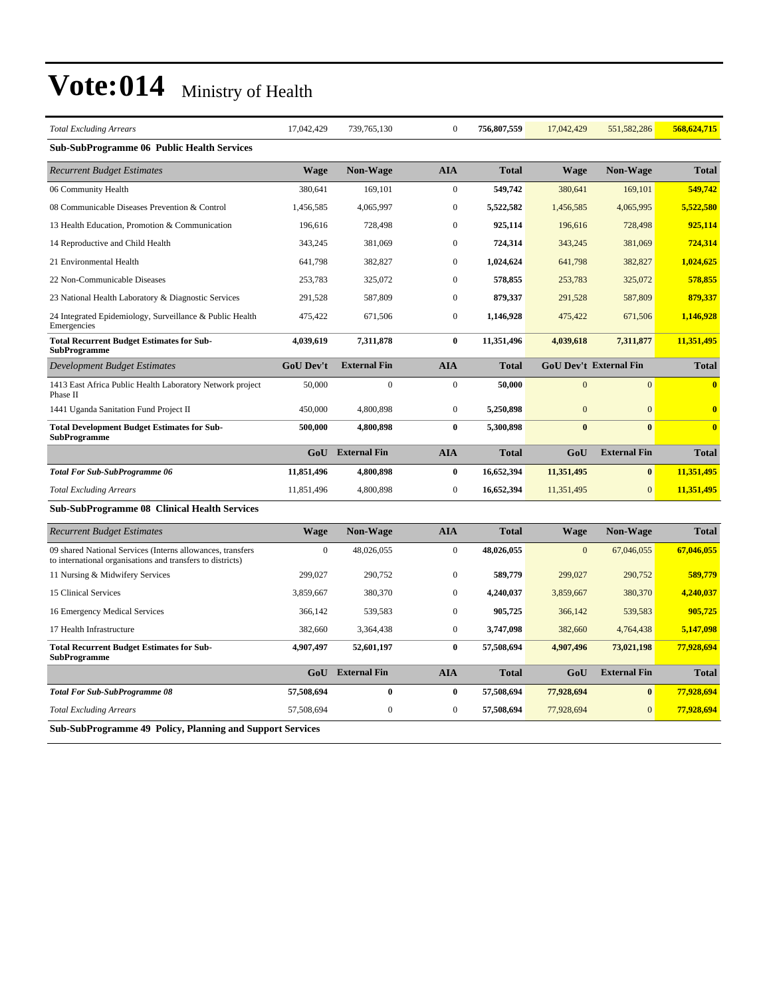| <b>Total Excluding Arrears</b>                                                                                           | 17,042,429       | 739, 765, 130       | $\boldsymbol{0}$ | 756,807,559  | 17,042,429     | 551, 582, 286                 | 568,624,715             |
|--------------------------------------------------------------------------------------------------------------------------|------------------|---------------------|------------------|--------------|----------------|-------------------------------|-------------------------|
| <b>Sub-SubProgramme 06 Public Health Services</b>                                                                        |                  |                     |                  |              |                |                               |                         |
| <b>Recurrent Budget Estimates</b>                                                                                        | Wage             | <b>Non-Wage</b>     | <b>AIA</b>       | <b>Total</b> | <b>Wage</b>    | Non-Wage                      | <b>Total</b>            |
| 06 Community Health                                                                                                      | 380,641          | 169,101             | $\boldsymbol{0}$ | 549,742      | 380,641        | 169,101                       | 549,742                 |
| 08 Communicable Diseases Prevention & Control                                                                            | 1,456,585        | 4,065,997           | $\boldsymbol{0}$ | 5,522,582    | 1,456,585      | 4,065,995                     | 5,522,580               |
| 13 Health Education, Promotion & Communication                                                                           | 196,616          | 728,498             | $\mathbf{0}$     | 925,114      | 196,616        | 728,498                       | 925,114                 |
| 14 Reproductive and Child Health                                                                                         | 343,245          | 381,069             | $\boldsymbol{0}$ | 724,314      | 343,245        | 381,069                       | 724,314                 |
| 21 Environmental Health                                                                                                  | 641,798          | 382,827             | $\mathbf{0}$     | 1,024,624    | 641,798        | 382,827                       | 1,024,625               |
| 22 Non-Communicable Diseases                                                                                             | 253,783          | 325,072             | $\mathbf{0}$     | 578,855      | 253,783        | 325,072                       | 578,855                 |
| 23 National Health Laboratory & Diagnostic Services                                                                      | 291,528          | 587,809             | $\mathbf{0}$     | 879,337      | 291,528        | 587,809                       | 879,337                 |
| 24 Integrated Epidemiology, Surveillance & Public Health<br>Emergencies                                                  | 475,422          | 671,506             | $\mathbf{0}$     | 1,146,928    | 475,422        | 671,506                       | 1,146,928               |
| <b>Total Recurrent Budget Estimates for Sub-</b><br><b>SubProgramme</b>                                                  | 4,039,619        | 7,311,878           | $\mathbf{0}$     | 11,351,496   | 4,039,618      | 7,311,877                     | 11,351,495              |
| <b>Development Budget Estimates</b>                                                                                      | <b>GoU Dev't</b> | <b>External Fin</b> | <b>AIA</b>       | <b>Total</b> |                | <b>GoU Dev't External Fin</b> | <b>Total</b>            |
| 1413 East Africa Public Health Laboratory Network project<br>Phase II                                                    | 50,000           | $\boldsymbol{0}$    | $\boldsymbol{0}$ | 50,000       | $\mathbf{0}$   | $\overline{0}$                | $\overline{\mathbf{0}}$ |
| 1441 Uganda Sanitation Fund Project II                                                                                   | 450,000          | 4,800,898           | $\boldsymbol{0}$ | 5,250,898    | $\mathbf{0}$   | $\overline{0}$                | $\overline{\mathbf{0}}$ |
| <b>Total Development Budget Estimates for Sub-</b><br><b>SubProgramme</b>                                                | 500,000          | 4,800,898           | $\bf{0}$         | 5,300,898    | $\bf{0}$       | $\bf{0}$                      | $\bf{0}$                |
|                                                                                                                          | GoU              | <b>External Fin</b> | <b>AIA</b>       | <b>Total</b> | GoU            | <b>External Fin</b>           | <b>Total</b>            |
| <b>Total For Sub-SubProgramme 06</b>                                                                                     | 11,851,496       | 4,800,898           | $\bf{0}$         | 16,652,394   | 11,351,495     | $\bf{0}$                      | 11,351,495              |
| <b>Total Excluding Arrears</b>                                                                                           | 11,851,496       | 4,800,898           | $\boldsymbol{0}$ | 16,652,394   | 11,351,495     | $\overline{0}$                | 11,351,495              |
| <b>Sub-SubProgramme 08 Clinical Health Services</b>                                                                      |                  |                     |                  |              |                |                               |                         |
| <b>Recurrent Budget Estimates</b>                                                                                        | <b>Wage</b>      | <b>Non-Wage</b>     | <b>AIA</b>       | <b>Total</b> | <b>Wage</b>    | <b>Non-Wage</b>               | <b>Total</b>            |
| 09 shared National Services (Interns allowances, transfers<br>to international organisations and transfers to districts) | $\theta$         | 48,026,055          | $\mathbf{0}$     | 48,026,055   | $\overline{0}$ | 67,046,055                    | 67,046,055              |
| 11 Nursing & Midwifery Services                                                                                          | 299,027          | 290,752             | $\mathbf{0}$     | 589,779      | 299,027        | 290,752                       | 589,779                 |
| 15 Clinical Services                                                                                                     | 3,859,667        | 380,370             | $\mathbf{0}$     | 4,240,037    | 3,859,667      | 380,370                       | 4.240.037               |
| 16 Emergency Medical Services                                                                                            | 366,142          | 539,583             | $\boldsymbol{0}$ | 905,725      | 366,142        | 539,583                       | 905,725                 |
| 17 Health Infrastructure                                                                                                 | 382,660          | 3,364,438           | $\boldsymbol{0}$ | 3,747,098    | 382,660        | 4,764,438                     | 5,147,098               |
| <b>Total Recurrent Budget Estimates for Sub-</b><br><b>SubProgramme</b>                                                  | 4,907,497        | 52,601,197          | $\bf{0}$         | 57,508,694   | 4,907,496      | 73,021,198                    | 77,928,694              |
|                                                                                                                          | GoU              | <b>External Fin</b> | <b>AIA</b>       | <b>Total</b> | GoU            | <b>External Fin</b>           | <b>Total</b>            |
| <b>Total For Sub-SubProgramme 08</b>                                                                                     | 57,508,694       | $\bf{0}$            | $\bf{0}$         | 57,508,694   | 77,928,694     | $\bf{0}$                      | 77,928,694              |
| <b>Total Excluding Arrears</b>                                                                                           | 57,508,694       | $\boldsymbol{0}$    | $\boldsymbol{0}$ | 57,508,694   | 77,928,694     | $\overline{0}$                | 77,928,694              |
| <b>Sub-SubProgramme 49 Policy, Planning and Support Services</b>                                                         |                  |                     |                  |              |                |                               |                         |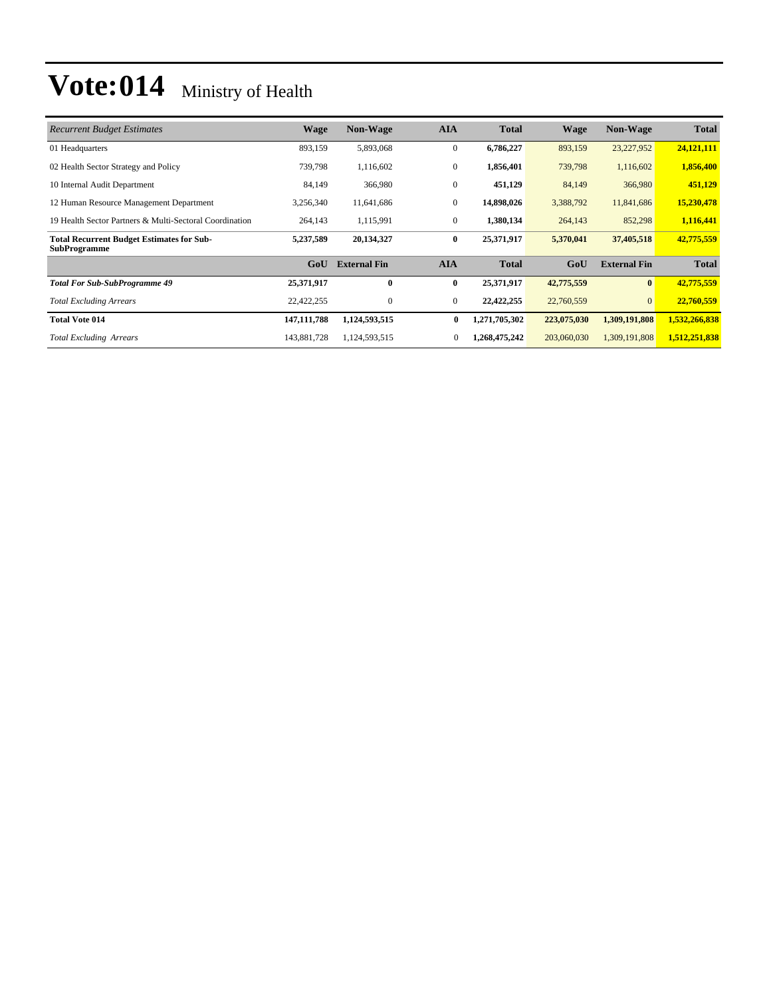| <b>Recurrent Budget Estimates</b>                                       | Wage          | <b>Non-Wage</b>     | <b>AIA</b>     | <b>Total</b>  | <b>Wage</b> | <b>Non-Wage</b>     | <b>Total</b>  |
|-------------------------------------------------------------------------|---------------|---------------------|----------------|---------------|-------------|---------------------|---------------|
| 01 Headquarters                                                         | 893,159       | 5,893,068           | $\overline{0}$ | 6,786,227     | 893,159     | 23,227,952          | 24,121,111    |
| 02 Health Sector Strategy and Policy                                    | 739,798       | 1,116,602           | $\overline{0}$ | 1,856,401     | 739,798     | 1,116,602           | 1,856,400     |
| 10 Internal Audit Department                                            | 84,149        | 366,980             | $\mathbf{0}$   | 451,129       | 84,149      | 366,980             | 451,129       |
| 12 Human Resource Management Department                                 | 3,256,340     | 11,641,686          | $\mathbf{0}$   | 14,898,026    | 3,388,792   | 11,841,686          | 15,230,478    |
| 19 Health Sector Partners & Multi-Sectoral Coordination                 | 264,143       | 1,115,991           | $\mathbf{0}$   | 1,380,134     | 264,143     | 852,298             | 1,116,441     |
| <b>Total Recurrent Budget Estimates for Sub-</b><br><b>SubProgramme</b> | 5,237,589     | 20,134,327          | $\bf{0}$       | 25,371,917    | 5,370,041   | 37,405,518          | 42,775,559    |
|                                                                         | GoU           | <b>External Fin</b> | <b>AIA</b>     | <b>Total</b>  | GoU         | <b>External Fin</b> | <b>Total</b>  |
| <b>Total For Sub-SubProgramme 49</b>                                    | 25,371,917    | $\bf{0}$            | $\bf{0}$       | 25,371,917    | 42,775,559  | $\bf{0}$            | 42,775,559    |
| <b>Total Excluding Arrears</b>                                          | 22,422,255    | $\mathbf{0}$        | $\mathbf{0}$   | 22,422,255    | 22,760,559  | $\overline{0}$      | 22,760,559    |
| <b>Total Vote 014</b>                                                   | 147, 111, 788 | 1,124,593,515       | $\bf{0}$       | 1,271,705,302 | 223,075,030 | 1,309,191,808       | 1,532,266,838 |
| <b>Total Excluding Arrears</b>                                          | 143,881,728   | 1,124,593,515       | $\mathbf{0}$   | 1,268,475,242 | 203,060,030 | 1,309,191,808       | 1,512,251,838 |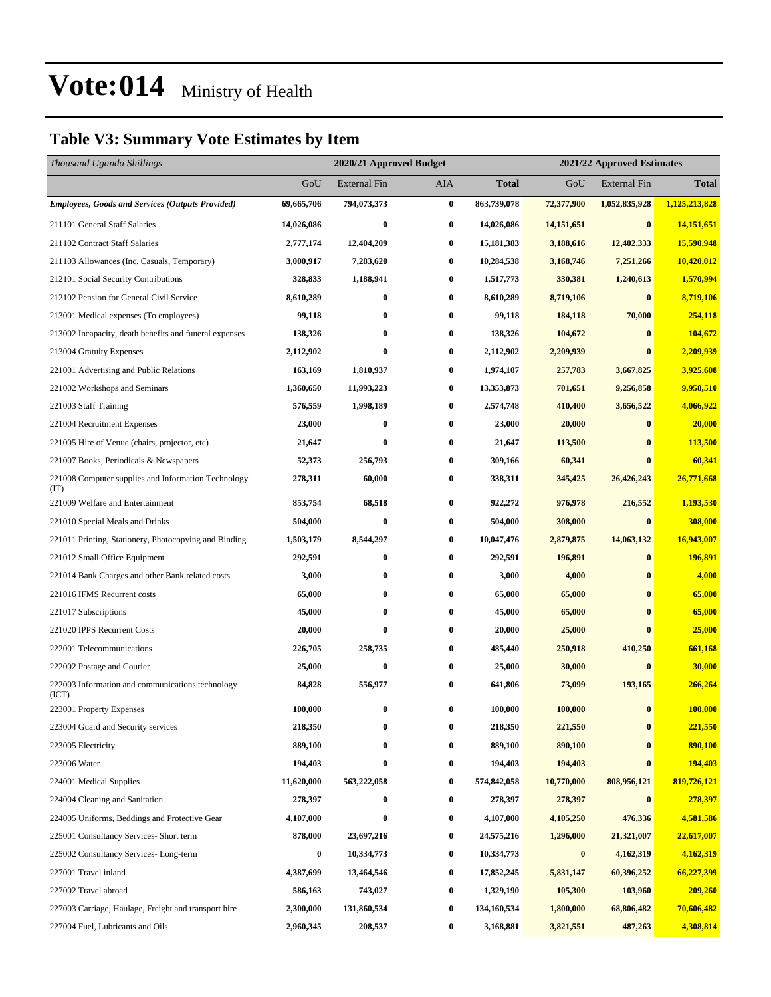### **Table V3: Summary Vote Estimates by Item**

| Thousand Uganda Shillings                                   |            | 2020/21 Approved Budget |                  |              |            | 2021/22 Approved Estimates |               |  |  |
|-------------------------------------------------------------|------------|-------------------------|------------------|--------------|------------|----------------------------|---------------|--|--|
|                                                             | GoU        | <b>External Fin</b>     | AIA              | <b>Total</b> | GoU        | <b>External Fin</b>        | <b>Total</b>  |  |  |
| <b>Employees, Goods and Services (Outputs Provided)</b>     | 69,665,706 | 794,073,373             | $\bf{0}$         | 863,739,078  | 72,377,900 | 1,052,835,928              | 1,125,213,828 |  |  |
| 211101 General Staff Salaries                               | 14,026,086 | $\bf{0}$                | $\bf{0}$         | 14,026,086   | 14,151,651 | $\bf{0}$                   | 14,151,651    |  |  |
| 211102 Contract Staff Salaries                              | 2,777,174  | 12,404,209              | $\bf{0}$         | 15, 181, 383 | 3,188,616  | 12,402,333                 | 15,590,948    |  |  |
| 211103 Allowances (Inc. Casuals, Temporary)                 | 3,000,917  | 7,283,620               | $\bf{0}$         | 10,284,538   | 3,168,746  | 7,251,266                  | 10,420,012    |  |  |
| 212101 Social Security Contributions                        | 328,833    | 1,188,941               | $\bf{0}$         | 1,517,773    | 330,381    | 1,240,613                  | 1,570,994     |  |  |
| 212102 Pension for General Civil Service                    | 8,610,289  | $\bf{0}$                | $\bf{0}$         | 8,610,289    | 8,719,106  | $\bf{0}$                   | 8,719,106     |  |  |
| 213001 Medical expenses (To employees)                      | 99,118     | $\bf{0}$                | $\bf{0}$         | 99,118       | 184,118    | 70,000                     | 254,118       |  |  |
| 213002 Incapacity, death benefits and funeral expenses      | 138,326    | $\bf{0}$                | $\boldsymbol{0}$ | 138,326      | 104,672    | $\bf{0}$                   | 104,672       |  |  |
| 213004 Gratuity Expenses                                    | 2,112,902  | $\bf{0}$                | $\bf{0}$         | 2,112,902    | 2,209,939  | $\bf{0}$                   | 2,209,939     |  |  |
| 221001 Advertising and Public Relations                     | 163,169    | 1,810,937               | 0                | 1,974,107    | 257,783    | 3,667,825                  | 3,925,608     |  |  |
| 221002 Workshops and Seminars                               | 1,360,650  | 11,993,223              | $\bf{0}$         | 13,353,873   | 701,651    | 9,256,858                  | 9,958,510     |  |  |
| 221003 Staff Training                                       | 576,559    | 1,998,189               | $\bf{0}$         | 2,574,748    | 410,400    | 3,656,522                  | 4,066,922     |  |  |
| 221004 Recruitment Expenses                                 | 23,000     | $\bf{0}$                | $\bf{0}$         | 23,000       | 20,000     | $\bf{0}$                   | 20,000        |  |  |
| 221005 Hire of Venue (chairs, projector, etc)               | 21,647     | $\bf{0}$                | $\bf{0}$         | 21,647       | 113,500    | $\bf{0}$                   | 113,500       |  |  |
| 221007 Books, Periodicals & Newspapers                      | 52,373     | 256,793                 | $\bf{0}$         | 309,166      | 60,341     | $\bf{0}$                   | 60,341        |  |  |
| 221008 Computer supplies and Information Technology<br>(TT) | 278,311    | 60,000                  | 0                | 338,311      | 345,425    | 26,426,243                 | 26,771,668    |  |  |
| 221009 Welfare and Entertainment                            | 853,754    | 68,518                  | $\bf{0}$         | 922,272      | 976,978    | 216,552                    | 1,193,530     |  |  |
| 221010 Special Meals and Drinks                             | 504,000    | $\bf{0}$                | $\bf{0}$         | 504,000      | 308,000    | $\bf{0}$                   | 308,000       |  |  |
| 221011 Printing, Stationery, Photocopying and Binding       | 1,503,179  | 8,544,297               | $\bf{0}$         | 10,047,476   | 2,879,875  | 14,063,132                 | 16,943,007    |  |  |
| 221012 Small Office Equipment                               | 292,591    | $\bf{0}$                | $\bf{0}$         | 292,591      | 196,891    | $\bf{0}$                   | 196,891       |  |  |
| 221014 Bank Charges and other Bank related costs            | 3,000      | $\bf{0}$                | $\bf{0}$         | 3,000        | 4,000      | $\bf{0}$                   | 4,000         |  |  |
| 221016 IFMS Recurrent costs                                 | 65,000     | 0                       | $\bf{0}$         | 65,000       | 65,000     | $\bf{0}$                   | 65,000        |  |  |
| 221017 Subscriptions                                        | 45,000     | $\bf{0}$                | $\bf{0}$         | 45,000       | 65,000     | $\bf{0}$                   | 65,000        |  |  |
| 221020 IPPS Recurrent Costs                                 | 20,000     | $\bf{0}$                | $\bf{0}$         | 20,000       | 25,000     | $\bf{0}$                   | 25,000        |  |  |
| 222001 Telecommunications                                   | 226,705    | 258,735                 | 0                | 485,440      | 250,918    | 410,250                    | 661,168       |  |  |
| 222002 Postage and Courier                                  | 25,000     | $\bf{0}$                | $\bf{0}$         | 25,000       | 30,000     | $\bf{0}$                   | 30,000        |  |  |
| 222003 Information and communications technology<br>(ICT)   | 84,828     | 556,977                 | $\bf{0}$         | 641,806      | 73,099     | 193,165                    | 266,264       |  |  |
| 223001 Property Expenses                                    | 100,000    | $\bf{0}$                | $\bf{0}$         | 100,000      | 100,000    | $\bf{0}$                   | 100,000       |  |  |
| 223004 Guard and Security services                          | 218,350    | $\bf{0}$                | $\bf{0}$         | 218,350      | 221,550    | $\bf{0}$                   | 221,550       |  |  |
| 223005 Electricity                                          | 889,100    | $\bf{0}$                | 0                | 889,100      | 890,100    | $\bf{0}$                   | 890,100       |  |  |
| 223006 Water                                                | 194,403    | $\pmb{0}$               | $\bf{0}$         | 194,403      | 194,403    | $\bf{0}$                   | 194,403       |  |  |
| 224001 Medical Supplies                                     | 11,620,000 | 563,222,058             | $\bf{0}$         | 574,842,058  | 10,770,000 | 808,956,121                | 819,726,121   |  |  |
| 224004 Cleaning and Sanitation                              | 278,397    | $\bf{0}$                | $\bf{0}$         | 278,397      | 278,397    | $\bf{0}$                   | 278,397       |  |  |
| 224005 Uniforms, Beddings and Protective Gear               | 4,107,000  | $\bf{0}$                | $\bf{0}$         | 4,107,000    | 4,105,250  | 476,336                    | 4,581,586     |  |  |
| 225001 Consultancy Services- Short term                     | 878,000    | 23,697,216              | $\boldsymbol{0}$ | 24,575,216   | 1,296,000  | 21,321,007                 | 22,617,007    |  |  |
| 225002 Consultancy Services-Long-term                       | 0          | 10,334,773              | $\bf{0}$         | 10,334,773   | $\pmb{0}$  | 4,162,319                  | 4,162,319     |  |  |
| 227001 Travel inland                                        | 4,387,699  | 13,464,546              | $\bf{0}$         | 17,852,245   | 5,831,147  | 60,396,252                 | 66,227,399    |  |  |
| 227002 Travel abroad                                        | 586,163    | 743,027                 | $\bf{0}$         | 1,329,190    | 105,300    | 103,960                    | 209,260       |  |  |
| 227003 Carriage, Haulage, Freight and transport hire        | 2,300,000  | 131,860,534             | $\bf{0}$         | 134,160,534  | 1,800,000  | 68,806,482                 | 70,606,482    |  |  |
| 227004 Fuel, Lubricants and Oils                            | 2,960,345  | 208,537                 | $\bf{0}$         | 3,168,881    | 3,821,551  | 487,263                    | 4,308,814     |  |  |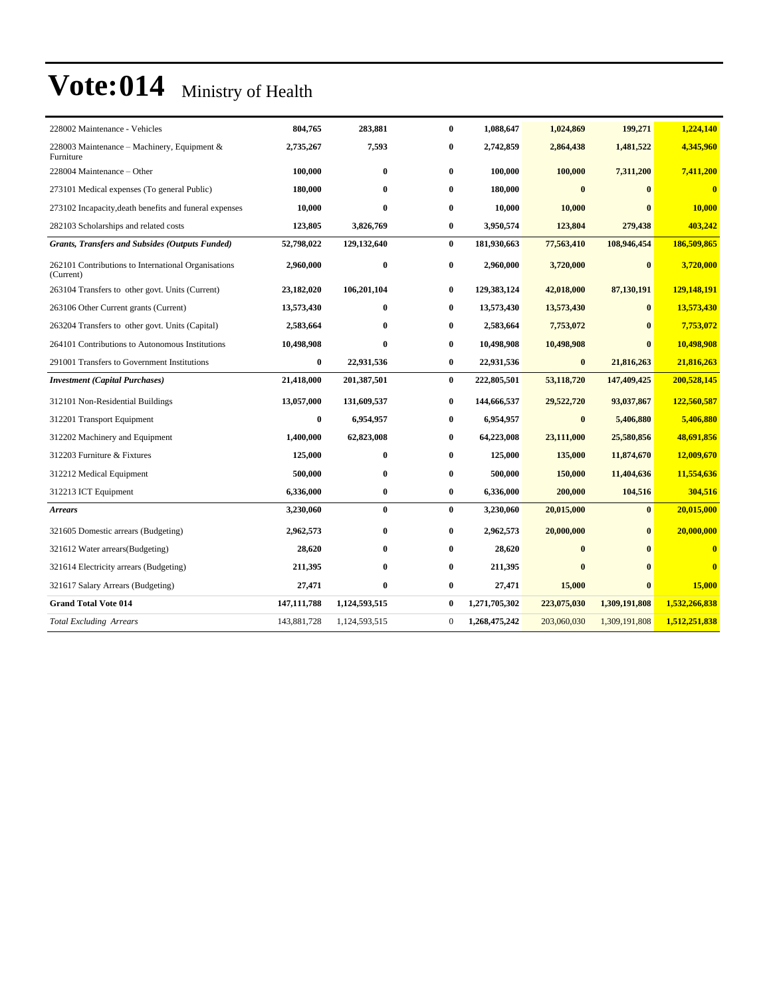| 228002 Maintenance - Vehicles                                    | 804,765          | 283,881       | $\bf{0}$     | 1,088,647     | 1,024,869   | 199,271       | 1,224,140     |
|------------------------------------------------------------------|------------------|---------------|--------------|---------------|-------------|---------------|---------------|
| 228003 Maintenance – Machinery, Equipment $\&$<br>Furniture      | 2,735,267        | 7,593         | 0            | 2,742,859     | 2,864,438   | 1,481,522     | 4,345,960     |
| 228004 Maintenance – Other                                       | 100,000          | $\bf{0}$      | $\bf{0}$     | 100,000       | 100,000     | 7,311,200     | 7,411,200     |
| 273101 Medical expenses (To general Public)                      | 180,000          | $\bf{0}$      | $\bf{0}$     | 180,000       | $\bf{0}$    | $\mathbf{0}$  | $\bf{0}$      |
| 273102 Incapacity, death benefits and funeral expenses           | 10,000           | $\bf{0}$      | 0            | 10,000        | 10,000      |               | 10,000        |
| 282103 Scholarships and related costs                            | 123,805          | 3,826,769     | 0            | 3,950,574     | 123,804     | 279,438       | 403,242       |
| <b>Grants, Transfers and Subsides (Outputs Funded)</b>           | 52,798,022       | 129,132,640   | $\bf{0}$     | 181,930,663   | 77,563,410  | 108,946,454   | 186,509,865   |
| 262101 Contributions to International Organisations<br>(Current) | 2,960,000        | $\bf{0}$      | 0            | 2,960,000     | 3,720,000   | $\bf{0}$      | 3,720,000     |
| 263104 Transfers to other govt. Units (Current)                  | 23,182,020       | 106,201,104   | $\bf{0}$     | 129,383,124   | 42,018,000  | 87,130,191    | 129,148,191   |
| 263106 Other Current grants (Current)                            | 13,573,430       | $\bf{0}$      | 0            | 13,573,430    | 13,573,430  | $\mathbf{0}$  | 13,573,430    |
| 263204 Transfers to other govt. Units (Capital)                  | 2,583,664        | $\mathbf{0}$  | 0            | 2,583,664     | 7,753,072   | $\mathbf{0}$  | 7,753,072     |
| 264101 Contributions to Autonomous Institutions                  | 10,498,908       | $\mathbf{0}$  | $\bf{0}$     | 10,498,908    | 10,498,908  | $\mathbf{0}$  | 10,498,908    |
| 291001 Transfers to Government Institutions                      | $\bf{0}$         | 22,931,536    | $\bf{0}$     | 22,931,536    | $\bf{0}$    | 21,816,263    | 21,816,263    |
| <b>Investment</b> (Capital Purchases)                            | 21,418,000       | 201,387,501   | $\bf{0}$     | 222,805,501   | 53,118,720  | 147,409,425   | 200,528,145   |
| 312101 Non-Residential Buildings                                 | 13,057,000       | 131,609,537   | $\bf{0}$     | 144,666,537   | 29,522,720  | 93,037,867    | 122,560,587   |
| 312201 Transport Equipment                                       | $\boldsymbol{0}$ | 6,954,957     | 0            | 6,954,957     | $\bf{0}$    | 5,406,880     | 5,406,880     |
| 312202 Machinery and Equipment                                   | 1,400,000        | 62,823,008    | 0            | 64,223,008    | 23,111,000  | 25,580,856    | 48,691,856    |
| 312203 Furniture & Fixtures                                      | 125,000          | $\bf{0}$      | 0            | 125,000       | 135,000     | 11,874,670    | 12,009,670    |
| 312212 Medical Equipment                                         | 500,000          | $\bf{0}$      | 0            | 500,000       | 150,000     | 11,404,636    | 11,554,636    |
| 312213 ICT Equipment                                             | 6,336,000        | $\bf{0}$      | $\bf{0}$     | 6,336,000     | 200,000     | 104,516       | 304,516       |
| <b>Arrears</b>                                                   | 3,230,060        | $\bf{0}$      | $\bf{0}$     | 3,230,060     | 20,015,000  | $\mathbf{0}$  | 20,015,000    |
| 321605 Domestic arrears (Budgeting)                              | 2,962,573        | $\bf{0}$      | $\bf{0}$     | 2,962,573     | 20,000,000  | $\bf{0}$      | 20,000,000    |
| 321612 Water arrears (Budgeting)                                 | 28,620           | $\bf{0}$      | $\bf{0}$     | 28,620        | $\bf{0}$    | $\mathbf{0}$  | $\bf{0}$      |
| 321614 Electricity arrears (Budgeting)                           | 211,395          | $\bf{0}$      | 0            | 211,395       | $\bf{0}$    | $\mathbf{0}$  | $\bf{0}$      |
| 321617 Salary Arrears (Budgeting)                                | 27,471           | $\bf{0}$      | $\bf{0}$     | 27,471        | 15,000      | $\mathbf{0}$  | 15,000        |
| <b>Grand Total Vote 014</b>                                      | 147, 111, 788    | 1,124,593,515 | $\bf{0}$     | 1,271,705,302 | 223,075,030 | 1,309,191,808 | 1,532,266,838 |
| <b>Total Excluding Arrears</b>                                   | 143,881,728      | 1,124,593,515 | $\mathbf{0}$ | 1,268,475,242 | 203,060,030 | 1,309,191,808 | 1,512,251,838 |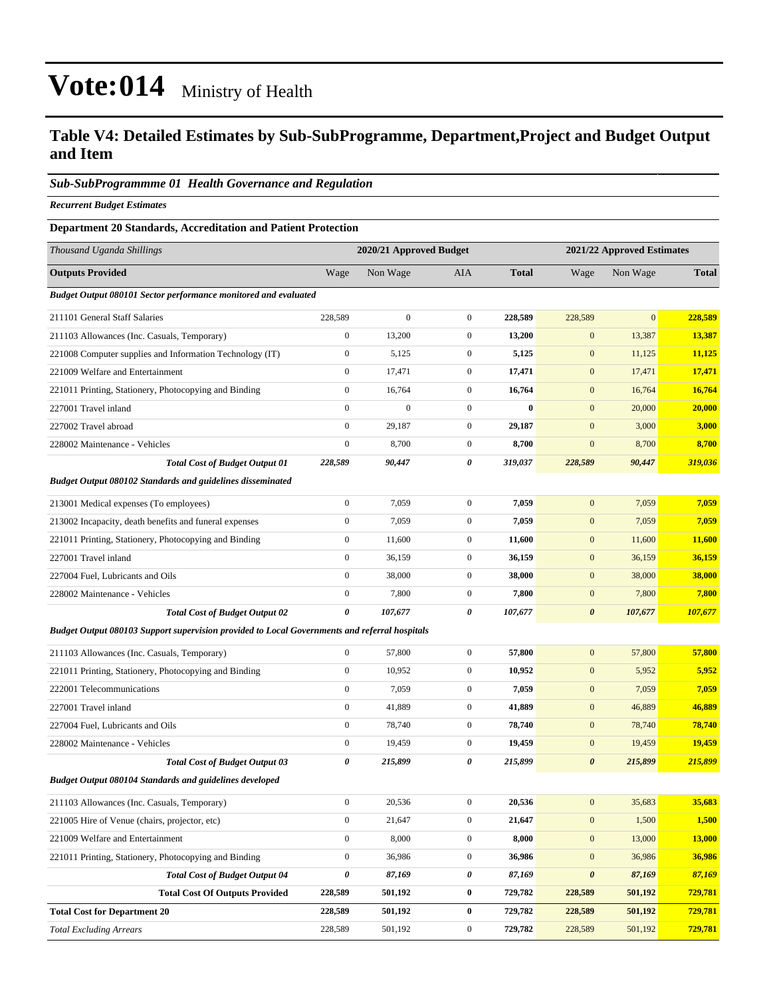### **Table V4: Detailed Estimates by Sub-SubProgramme, Department,Project and Budget Output and Item**

#### *Sub-SubProgrammme 01 Health Governance and Regulation*

*Recurrent Budget Estimates*

#### **Department 20 Standards, Accreditation and Patient Protection**

| Thousand Uganda Shillings                                                                     |                       | 2020/21 Approved Budget |                  |              | 2021/22 Approved Estimates |                |               |
|-----------------------------------------------------------------------------------------------|-----------------------|-------------------------|------------------|--------------|----------------------------|----------------|---------------|
| <b>Outputs Provided</b>                                                                       | Wage                  | Non Wage                | AIA              | <b>Total</b> | Wage                       | Non Wage       | <b>Total</b>  |
| <b>Budget Output 080101 Sector performance monitored and evaluated</b>                        |                       |                         |                  |              |                            |                |               |
| 211101 General Staff Salaries                                                                 | 228,589               | $\overline{0}$          | $\boldsymbol{0}$ | 228,589      | 228,589                    | $\overline{0}$ | 228,589       |
| 211103 Allowances (Inc. Casuals, Temporary)                                                   | $\boldsymbol{0}$      | 13,200                  | $\mathbf{0}$     | 13,200       | $\mathbf{0}$               | 13,387         | 13,387        |
| 221008 Computer supplies and Information Technology (IT)                                      | $\boldsymbol{0}$      | 5,125                   | $\mathbf{0}$     | 5,125        | $\mathbf{0}$               | 11,125         | 11,125        |
| 221009 Welfare and Entertainment                                                              | $\boldsymbol{0}$      | 17,471                  | $\boldsymbol{0}$ | 17,471       | $\bf{0}$                   | 17,471         | 17,471        |
| 221011 Printing, Stationery, Photocopying and Binding                                         | $\boldsymbol{0}$      | 16,764                  | $\mathbf{0}$     | 16,764       | $\mathbf{0}$               | 16,764         | 16,764        |
| 227001 Travel inland                                                                          | $\boldsymbol{0}$      | $\overline{0}$          | $\boldsymbol{0}$ | $\bf{0}$     | $\mathbf{0}$               | 20,000         | 20,000        |
| 227002 Travel abroad                                                                          | $\boldsymbol{0}$      | 29,187                  | $\boldsymbol{0}$ | 29,187       | $\mathbf{0}$               | 3,000          | 3,000         |
| 228002 Maintenance - Vehicles                                                                 | $\boldsymbol{0}$      | 8,700                   | $\mathbf{0}$     | 8,700        | $\mathbf{0}$               | 8,700          | 8,700         |
| <b>Total Cost of Budget Output 01</b>                                                         | 228,589               | 90,447                  | 0                | 319,037      | 228,589                    | 90,447         | 319,036       |
| <b>Budget Output 080102 Standards and guidelines disseminated</b>                             |                       |                         |                  |              |                            |                |               |
| 213001 Medical expenses (To employees)                                                        | $\boldsymbol{0}$      | 7,059                   | $\mathbf{0}$     | 7,059        | $\mathbf{0}$               | 7,059          | 7,059         |
| 213002 Incapacity, death benefits and funeral expenses                                        | $\boldsymbol{0}$      | 7,059                   | $\boldsymbol{0}$ | 7,059        | $\mathbf{0}$               | 7,059          | 7,059         |
| 221011 Printing, Stationery, Photocopying and Binding                                         | $\boldsymbol{0}$      | 11,600                  | $\boldsymbol{0}$ | 11,600       | $\boldsymbol{0}$           | 11,600         | <b>11,600</b> |
| 227001 Travel inland                                                                          | $\boldsymbol{0}$      | 36,159                  | $\mathbf{0}$     | 36,159       | $\mathbf{0}$               | 36,159         | 36,159        |
| 227004 Fuel, Lubricants and Oils                                                              | $\boldsymbol{0}$      | 38,000                  | $\mathbf{0}$     | 38,000       | $\mathbf{0}$               | 38,000         | 38,000        |
| 228002 Maintenance - Vehicles                                                                 | $\boldsymbol{0}$      | 7,800                   | $\mathbf{0}$     | 7,800        | $\mathbf{0}$               | 7,800          | 7,800         |
| <b>Total Cost of Budget Output 02</b>                                                         | $\boldsymbol{\theta}$ | 107,677                 | 0                | 107,677      | $\boldsymbol{\theta}$      | 107,677        | 107,677       |
| Budget Output 080103 Support supervision provided to Local Governments and referral hospitals |                       |                         |                  |              |                            |                |               |
| 211103 Allowances (Inc. Casuals, Temporary)                                                   | $\boldsymbol{0}$      | 57,800                  | $\boldsymbol{0}$ | 57,800       | $\mathbf{0}$               | 57,800         | 57,800        |
| 221011 Printing, Stationery, Photocopying and Binding                                         | $\boldsymbol{0}$      | 10,952                  | $\mathbf{0}$     | 10,952       | $\mathbf{0}$               | 5,952          | 5,952         |
| 222001 Telecommunications                                                                     | $\boldsymbol{0}$      | 7,059                   | $\mathbf{0}$     | 7,059        | $\mathbf{0}$               | 7,059          | 7,059         |
| 227001 Travel inland                                                                          | $\boldsymbol{0}$      | 41,889                  | $\mathbf{0}$     | 41,889       | $\mathbf{0}$               | 46,889         | 46,889        |
| 227004 Fuel, Lubricants and Oils                                                              | $\boldsymbol{0}$      | 78,740                  | $\mathbf{0}$     | 78,740       | $\mathbf{0}$               | 78,740         | 78,740        |
| 228002 Maintenance - Vehicles                                                                 | $\boldsymbol{0}$      | 19,459                  | $\boldsymbol{0}$ | 19,459       | $\mathbf{0}$               | 19,459         | 19,459        |
| <b>Total Cost of Budget Output 03</b>                                                         | 0                     | 215,899                 | 0                | 215,899      | $\boldsymbol{\theta}$      | 215,899        | 215,899       |
| <b>Budget Output 080104 Standards and guidelines developed</b>                                |                       |                         |                  |              |                            |                |               |
| 211103 Allowances (Inc. Casuals, Temporary)                                                   | $\mathbf{0}$          | 20,536                  | $\overline{0}$   | 20,536       | $\mathbf{0}$               | 35,683         | 35,683        |
| 221005 Hire of Venue (chairs, projector, etc)                                                 | $\boldsymbol{0}$      | 21,647                  | $\boldsymbol{0}$ | 21,647       | $\boldsymbol{0}$           | 1,500          | 1,500         |
| 221009 Welfare and Entertainment                                                              | $\boldsymbol{0}$      | 8,000                   | $\boldsymbol{0}$ | 8,000        | $\boldsymbol{0}$           | 13,000         | <b>13,000</b> |
| 221011 Printing, Stationery, Photocopying and Binding                                         | $\boldsymbol{0}$      | 36,986                  | $\boldsymbol{0}$ | 36,986       | $\boldsymbol{0}$           | 36,986         | 36,986        |
| <b>Total Cost of Budget Output 04</b>                                                         | 0                     | 87,169                  | 0                | 87,169       | $\boldsymbol{\theta}$      | 87,169         | 87,169        |
| <b>Total Cost Of Outputs Provided</b>                                                         | 228,589               | 501,192                 | $\bf{0}$         | 729,782      | 228,589                    | 501,192        | 729,781       |
| <b>Total Cost for Department 20</b>                                                           | 228,589               | 501,192                 | $\bf{0}$         | 729,782      | 228,589                    | 501,192        | 729,781       |
| <b>Total Excluding Arrears</b>                                                                | 228,589               | 501,192                 | $\boldsymbol{0}$ | 729,782      | 228,589                    | 501,192        | 729,781       |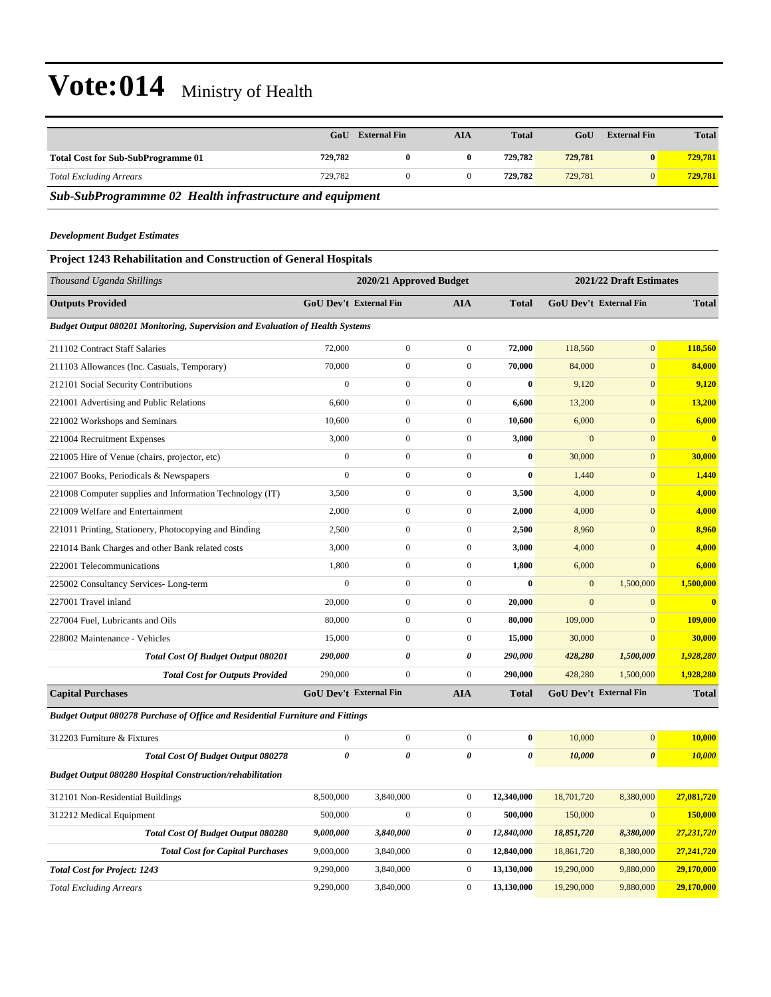|                                                          | GoU     | <b>External Fin</b> | AIA | <b>Total</b> | GoU     | <b>External Fin</b> | <b>Total</b> |
|----------------------------------------------------------|---------|---------------------|-----|--------------|---------|---------------------|--------------|
| <b>Total Cost for Sub-SubProgramme 01</b>                | 729.782 |                     |     | 729.782      | 729,781 |                     | 729.781      |
| <b>Total Excluding Arrears</b>                           | 729.782 |                     |     | 729.782      | 729,781 |                     | 729.781      |
| Sub-SubProgrammme 02 Health infrastructure and equipment |         |                     |     |              |         |                     |              |

#### *Development Budget Estimates*

### **Project 1243 Rehabilitation and Construction of General Hospitals**

| Thousand Uganda Shillings                                                             |                       | 2020/21 Approved Budget       |                       |              |              | 2021/22 Draft Estimates |              |
|---------------------------------------------------------------------------------------|-----------------------|-------------------------------|-----------------------|--------------|--------------|-------------------------|--------------|
| <b>Outputs Provided</b>                                                               |                       | GoU Dev't External Fin        | <b>AIA</b>            | <b>Total</b> |              | GoU Dev't External Fin  | <b>Total</b> |
| <b>Budget Output 080201 Monitoring, Supervision and Evaluation of Health Systems</b>  |                       |                               |                       |              |              |                         |              |
| 211102 Contract Staff Salaries                                                        | 72,000                | $\boldsymbol{0}$              | $\boldsymbol{0}$      | 72,000       | 118,560      | $\overline{0}$          | 118,560      |
| 211103 Allowances (Inc. Casuals, Temporary)                                           | 70,000                | $\overline{0}$                | $\boldsymbol{0}$      | 70,000       | 84,000       | $\overline{0}$          | 84,000       |
| 212101 Social Security Contributions                                                  | $\overline{0}$        | $\overline{0}$                | $\boldsymbol{0}$      | $\bf{0}$     | 9,120        | $\mathbf{0}$            | 9,120        |
| 221001 Advertising and Public Relations                                               | 6,600                 | $\overline{0}$                | $\boldsymbol{0}$      | 6,600        | 13,200       | $\overline{0}$          | 13,200       |
| 221002 Workshops and Seminars                                                         | 10,600                | $\overline{0}$                | $\mathbf{0}$          | 10,600       | 6,000        | $\overline{0}$          | 6,000        |
| 221004 Recruitment Expenses                                                           | 3,000                 | $\overline{0}$                | $\boldsymbol{0}$      | 3,000        | $\mathbf{0}$ | $\overline{0}$          | $\bf{0}$     |
| 221005 Hire of Venue (chairs, projector, etc)                                         | $\mathbf{0}$          | $\overline{0}$                | $\boldsymbol{0}$      | $\bf{0}$     | 30,000       | $\overline{0}$          | 30,000       |
| 221007 Books, Periodicals & Newspapers                                                | $\overline{0}$        | $\overline{0}$                | $\mathbf{0}$          | $\bf{0}$     | 1,440        | $\overline{0}$          | 1,440        |
| 221008 Computer supplies and Information Technology (IT)                              | 3,500                 | $\overline{0}$                | $\boldsymbol{0}$      | 3,500        | 4,000        | $\overline{0}$          | 4,000        |
| 221009 Welfare and Entertainment                                                      | 2,000                 | $\overline{0}$                | $\boldsymbol{0}$      | 2,000        | 4,000        | $\overline{0}$          | 4,000        |
| 221011 Printing, Stationery, Photocopying and Binding                                 | 2,500                 | $\overline{0}$                | $\mathbf{0}$          | 2,500        | 8,960        | $\overline{0}$          | 8,960        |
| 221014 Bank Charges and other Bank related costs                                      | 3,000                 | $\overline{0}$                | $\boldsymbol{0}$      | 3,000        | 4,000        | $\overline{0}$          | 4,000        |
| 222001 Telecommunications                                                             | 1,800                 | $\boldsymbol{0}$              | $\boldsymbol{0}$      | 1,800        | 6,000        | $\overline{0}$          | 6,000        |
| 225002 Consultancy Services-Long-term                                                 | $\overline{0}$        | $\overline{0}$                | $\mathbf{0}$          | $\bf{0}$     | $\mathbf{0}$ | 1,500,000               | 1,500,000    |
| 227001 Travel inland                                                                  | 20,000                | $\overline{0}$                | $\boldsymbol{0}$      | 20,000       | $\mathbf{0}$ | $\mathbf{0}$            | $\bf{0}$     |
| 227004 Fuel, Lubricants and Oils                                                      | 80,000                | $\boldsymbol{0}$              | $\boldsymbol{0}$      | 80,000       | 109,000      | $\overline{0}$          | 109,000      |
| 228002 Maintenance - Vehicles                                                         | 15,000                | $\overline{0}$                | $\mathbf{0}$          | 15,000       | 30,000       | $\Omega$                | 30,000       |
| Total Cost Of Budget Output 080201                                                    | 290,000               | 0                             | $\boldsymbol{\theta}$ | 290,000      | 428,280      | 1,500,000               | 1,928,280    |
| <b>Total Cost for Outputs Provided</b>                                                | 290,000               | $\overline{0}$                | $\boldsymbol{0}$      | 290,000      | 428,280      | 1,500,000               | 1,928,280    |
| <b>Capital Purchases</b>                                                              |                       | <b>GoU Dev't External Fin</b> | <b>AIA</b>            | <b>Total</b> |              | GoU Dev't External Fin  | <b>Total</b> |
| <b>Budget Output 080278 Purchase of Office and Residential Furniture and Fittings</b> |                       |                               |                       |              |              |                         |              |
| 312203 Furniture & Fixtures                                                           | $\overline{0}$        | $\overline{0}$                | $\boldsymbol{0}$      | $\bf{0}$     | 10,000       | $\overline{0}$          | 10,000       |
| Total Cost Of Budget Output 080278                                                    | $\boldsymbol{\theta}$ | $\theta$                      | 0                     | $\theta$     | 10,000       | $\pmb{\theta}$          | 10,000       |
| <b>Budget Output 080280 Hospital Construction/rehabilitation</b>                      |                       |                               |                       |              |              |                         |              |
| 312101 Non-Residential Buildings                                                      | 8,500,000             | 3,840,000                     | $\boldsymbol{0}$      | 12,340,000   | 18,701,720   | 8,380,000               | 27,081,720   |
| 312212 Medical Equipment                                                              | 500,000               | $\overline{0}$                | $\boldsymbol{0}$      | 500,000      | 150,000      | $\mathbf{0}$            | 150,000      |
| Total Cost Of Budget Output 080280                                                    | 9,000,000             | 3,840,000                     | 0                     | 12,840,000   | 18,851,720   | 8,380,000               | 27,231,720   |
| <b>Total Cost for Capital Purchases</b>                                               | 9,000,000             | 3,840,000                     | $\boldsymbol{0}$      | 12,840,000   | 18,861,720   | 8,380,000               | 27,241,720   |
| <b>Total Cost for Project: 1243</b>                                                   | 9,290,000             | 3,840,000                     | $\boldsymbol{0}$      | 13,130,000   | 19,290,000   | 9,880,000               | 29,170,000   |
| <b>Total Excluding Arrears</b>                                                        | 9,290,000             | 3,840,000                     | $\mathbf{0}$          | 13,130,000   | 19,290,000   | 9,880,000               | 29,170,000   |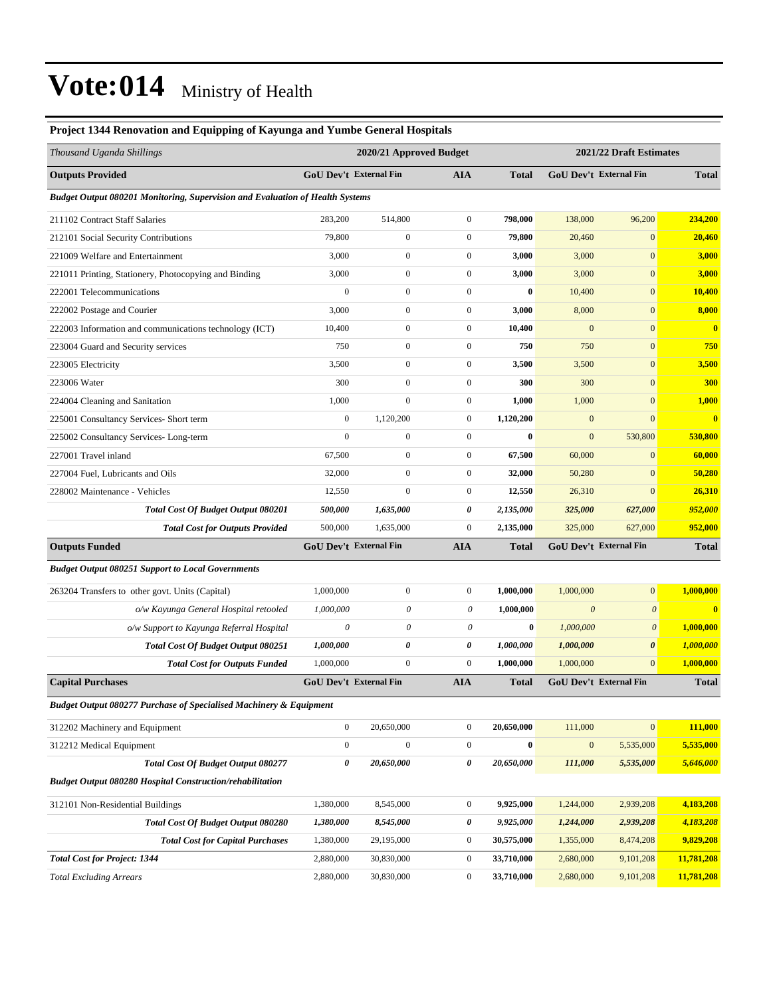| Project 1344 Renovation and Equipping of Kayunga and Yumbe General Hospitals  |                  |                         |                  |              |                           |                        |              |  |
|-------------------------------------------------------------------------------|------------------|-------------------------|------------------|--------------|---------------------------|------------------------|--------------|--|
| Thousand Uganda Shillings                                                     |                  | 2020/21 Approved Budget |                  |              | 2021/22 Draft Estimates   |                        |              |  |
| <b>Outputs Provided</b>                                                       |                  | GoU Dev't External Fin  | <b>AIA</b>       | Total        |                           | GoU Dev't External Fin | <b>Total</b> |  |
| Budget Output 080201 Monitoring, Supervision and Evaluation of Health Systems |                  |                         |                  |              |                           |                        |              |  |
| 211102 Contract Staff Salaries                                                | 283,200          | 514,800                 | $\boldsymbol{0}$ | 798,000      | 138,000                   | 96,200                 | 234,200      |  |
| 212101 Social Security Contributions                                          | 79,800           | $\boldsymbol{0}$        | $\boldsymbol{0}$ | 79,800       | 20,460                    | $\boldsymbol{0}$       | 20,460       |  |
| 221009 Welfare and Entertainment                                              | 3,000            | $\boldsymbol{0}$        | $\boldsymbol{0}$ | 3,000        | 3,000                     | $\mathbf{0}$           | 3,000        |  |
| 221011 Printing, Stationery, Photocopying and Binding                         | 3,000            | $\mathbf{0}$            | $\boldsymbol{0}$ | 3,000        | 3,000                     | $\overline{0}$         | 3,000        |  |
| 222001 Telecommunications                                                     | $\boldsymbol{0}$ | $\mathbf{0}$            | $\boldsymbol{0}$ | $\bf{0}$     | 10,400                    | $\boldsymbol{0}$       | 10,400       |  |
| 222002 Postage and Courier                                                    | 3,000            | $\mathbf{0}$            | $\overline{0}$   | 3,000        | 8,000                     | $\overline{0}$         | 8,000        |  |
| 222003 Information and communications technology (ICT)                        | 10,400           | $\boldsymbol{0}$        | $\boldsymbol{0}$ | 10,400       | $\mathbf{0}$              | $\mathbf{0}$           | $\bf{0}$     |  |
| 223004 Guard and Security services                                            | 750              | $\boldsymbol{0}$        | $\boldsymbol{0}$ | 750          | 750                       | $\mathbf{0}$           | 750          |  |
| 223005 Electricity                                                            | 3,500            | $\mathbf{0}$            | $\boldsymbol{0}$ | 3,500        | 3,500                     | $\overline{0}$         | 3,500        |  |
| 223006 Water                                                                  | 300              | $\mathbf{0}$            | $\boldsymbol{0}$ | 300          | 300                       | $\mathbf{0}$           | 300          |  |
| 224004 Cleaning and Sanitation                                                | 1,000            | $\mathbf{0}$            | $\overline{0}$   | 1,000        | 1,000                     | $\overline{0}$         | 1,000        |  |
| 225001 Consultancy Services- Short term                                       | $\boldsymbol{0}$ | 1,120,200               | $\boldsymbol{0}$ | 1,120,200    | $\boldsymbol{0}$          | $\boldsymbol{0}$       | $\bf{0}$     |  |
| 225002 Consultancy Services-Long-term                                         | $\mathbf{0}$     | $\mathbf{0}$            | $\boldsymbol{0}$ | $\bf{0}$     | $\mathbf{0}$              | 530,800                | 530,800      |  |
| 227001 Travel inland                                                          | 67,500           | $\mathbf{0}$            | $\boldsymbol{0}$ | 67,500       | 60,000                    | $\mathbf{0}$           | 60,000       |  |
| 227004 Fuel, Lubricants and Oils                                              | 32,000           | $\mathbf{0}$            | $\boldsymbol{0}$ | 32,000       | 50,280                    | $\boldsymbol{0}$       | 50,280       |  |
| 228002 Maintenance - Vehicles                                                 | 12,550           | $\mathbf{0}$            | $\boldsymbol{0}$ | 12,550       | 26,310                    | $\mathbf{0}$           | 26,310       |  |
| <b>Total Cost Of Budget Output 080201</b>                                     | 500,000          | 1,635,000               | 0                | 2,135,000    | 325,000                   | 627,000                | 952,000      |  |
| <b>Total Cost for Outputs Provided</b>                                        | 500,000          | 1,635,000               | $\boldsymbol{0}$ | 2,135,000    | 325,000                   | 627,000                | 952,000      |  |
| <b>Outputs Funded</b>                                                         |                  | GoU Dev't External Fin  | <b>AIA</b>       | <b>Total</b> |                           | GoU Dev't External Fin | <b>Total</b> |  |
| <b>Budget Output 080251 Support to Local Governments</b>                      |                  |                         |                  |              |                           |                        |              |  |
| 263204 Transfers to other govt. Units (Capital)                               | 1,000,000        | $\mathbf{0}$            | $\boldsymbol{0}$ | 1,000,000    | 1,000,000                 | $\overline{0}$         | 1,000,000    |  |
| o/w Kayunga General Hospital retooled                                         | 1,000,000        | 0                       | 0                | 1,000,000    | $\boldsymbol{\mathit{0}}$ | $\boldsymbol{\theta}$  | $\bf{0}$     |  |
| o/w Support to Kayunga Referral Hospital                                      | $\theta$         | $\theta$                | 0                | $\bf{0}$     | 1,000,000                 | $\boldsymbol{\theta}$  | 1,000,000    |  |
| <b>Total Cost Of Budget Output 080251</b>                                     | 1,000,000        | 0                       | 0                | 1,000,000    | 1,000,000                 | 0                      | 1,000,000    |  |
| <b>Total Cost for Outputs Funded</b>                                          | 1,000,000        | $\mathbf{0}$            | $\boldsymbol{0}$ | 1,000,000    | 1,000,000                 | $\mathbf{0}$           | 1,000,000    |  |
| <b>Capital Purchases</b>                                                      |                  | GoU Dev't External Fin  | <b>AIA</b>       | <b>Total</b> |                           | GoU Dev't External Fin | <b>Total</b> |  |
| Budget Output 080277 Purchase of Specialised Machinery & Equipment            |                  |                         |                  |              |                           |                        |              |  |
| 312202 Machinery and Equipment                                                | $\boldsymbol{0}$ | 20,650,000              | $\boldsymbol{0}$ | 20,650,000   | 111,000                   | $\vert 0 \vert$        | 111,000      |  |
| 312212 Medical Equipment                                                      | $\boldsymbol{0}$ | $\boldsymbol{0}$        | $\boldsymbol{0}$ | $\bf{0}$     | $\mathbf{0}$              | 5,535,000              | 5,535,000    |  |
| Total Cost Of Budget Output 080277                                            | 0                | 20,650,000              | 0                | 20,650,000   | 111,000                   | 5,535,000              | 5,646,000    |  |
| <b>Budget Output 080280 Hospital Construction/rehabilitation</b>              |                  |                         |                  |              |                           |                        |              |  |
| 312101 Non-Residential Buildings                                              | 1,380,000        | 8,545,000               | $\boldsymbol{0}$ | 9,925,000    | 1,244,000                 | 2,939,208              | 4,183,208    |  |
| Total Cost Of Budget Output 080280                                            | 1,380,000        | 8,545,000               | 0                | 9,925,000    | 1,244,000                 | 2,939,208              | 4,183,208    |  |

*Total Cost for Capital Purchases* 1,380,000 29,195,000 0 **30,575,000** 1,355,000 8,474,208 **9,829,208**

*Total Cost for Project: 1344* 2,880,000 30,830,000 0 **33,710,000** 2,680,000 9,101,208 **11,781,208**

| <b>Total Excluding Arrears</b> | 2,880,000 | 30,830,000 |  | 33,710,000 | 2,680,000 |  | 9,101,208 11,781,208 |
|--------------------------------|-----------|------------|--|------------|-----------|--|----------------------|
|--------------------------------|-----------|------------|--|------------|-----------|--|----------------------|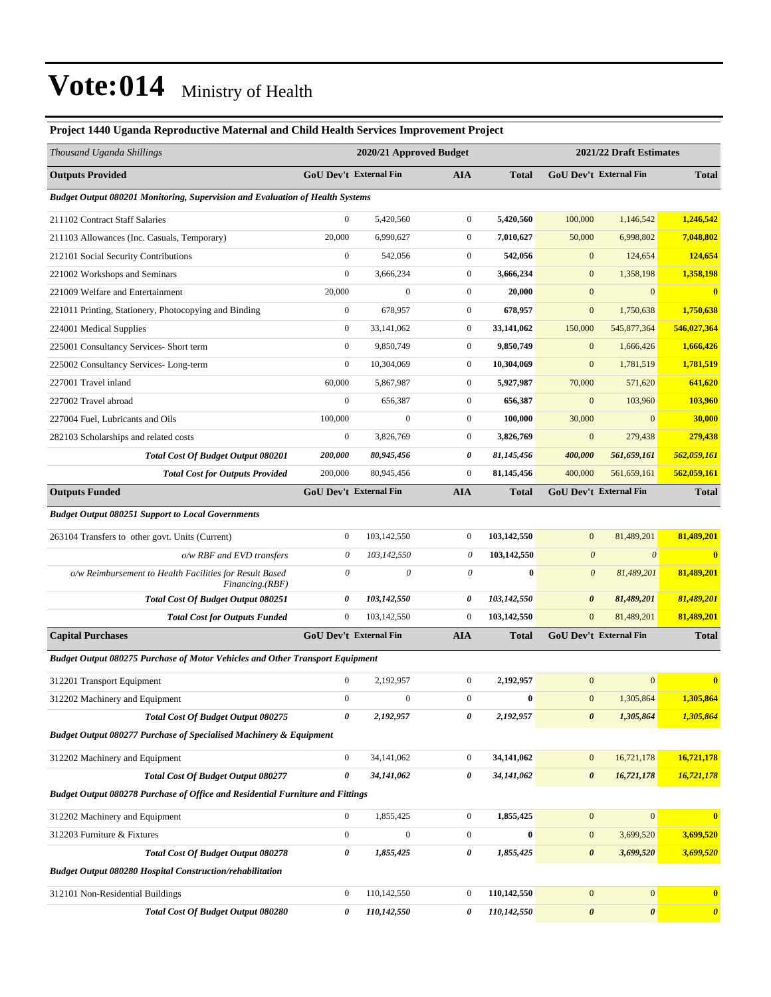### **Project 1440 Uganda Reproductive Maternal and Child Health Services Improvement Project** *Thousand Uganda Shillings* **2020/21 Approved Budget 2021/22 Draft Estimates Outputs Provided GoU Dev't External Fin AIA Total GoU Dev't External Fin Total** *Budget Output 080201 Monitoring, Supervision and Evaluation of Health Systems* 211102 Contract Staff Salaries 0 5,420,560 0 **5,420,560** 100,000 1,146,542 **1,246,542** 211103 Allowances (Inc. Casuals, Temporary) 20,000 6,990,627 0 **7,010,627** 50,000 6,998,802 **7,048,802** 212101 Social Security Contributions 0 542,056 0 **542,056** 0 124,654 **124,654** 221002 Workshops and Seminars 0 3,666,234 0 **3,666,234** 0 1,358,198 **1,358,198** 221009 Welfare and Entertainment 20,000 0 0 **20,000** 0 0 **0** 221011 Printing, Stationery, Photocopying and Binding 0 678,957 0 **678,957** 0 1,750,638 **1,750,638** 224001 Medical Supplies 0 33,141,062 0 **33,141,062** 150,000 545,877,364 **546,027,364** 225001 Consultancy Services- Short term 0 9,850,749 0 **9,850,749** 0 1,666,426 **1,666,426** 225002 Consultancy Services- Long-term 0 10,304,069 0 **10,304,069** 0 1,781,519 **1,781,519** 227001 Travel inland 60,000 5,867,987 0 **5,927,987** 70,000 571,620 **641,620** 227002 Travel abroad 0 656,387 0 **656,387** 0 103,960 **103,960** 227004 Fuel, Lubricants and Oils 100,000 0 0 **100,000** 30,000 0 **30,000** 282103 Scholarships and related costs 0 3,826,769 0 **3,826,769** 0 279,438 **279,438** *Total Cost Of Budget Output 080201 200,000 80,945,456 0 81,145,456 400,000 561,659,161 562,059,161 Total Cost for Outputs Provided* 200,000 80,945,456 0 **81,145,456** 400,000 561,659,161 **562,059,161 Outputs Funded GoU Dev't External Fin AIA Total GoU Dev't External Fin Total** *Budget Output 080251 Support to Local Governments* 263104 Transfers to other govt. Units (Current) 0 103,142,550 0 **103,142,550** 0 81,489,201 **81,489,201** *o/w RBF and EVD transfers 0 103,142,550 0* **103,142,550** *0 0* **0** *o/w Reimbursement to Health Facilities for Result Based Financing.(RBF) 0 0 0* **0** *0 81,489,201* **81,489,201** *Total Cost Of Budget Output 080251 0 103,142,550 0 103,142,550 0 81,489,201 81,489,201 Total Cost for Outputs Funded* 0 103,142,550 0 **103,142,550** 0 81,489,201 **81,489,201 Capital Purchases GoU Dev't External Fin AIA Total GoU Dev't External Fin Total** *Budget Output 080275 Purchase of Motor Vehicles and Other Transport Equipment* 312201 Transport Equipment 0 2,192,957 0 **2,192,957** 0 0 **0** 312202 Machinery and Equipment 0 0 0 **0** 0 1,305,864 **1,305,864** *Total Cost Of Budget Output 080275 0 2,192,957 0 2,192,957 0 1,305,864 1,305,864 Budget Output 080277 Purchase of Specialised Machinery & Equipment* 312202 Machinery and Equipment 0 34,141,062 0 **34,141,062** 0 16,721,178 **16,721,178** *Total Cost Of Budget Output 080277 0 34,141,062 0 34,141,062 0 16,721,178 16,721,178 Budget Output 080278 Purchase of Office and Residential Furniture and Fittings* 312202 Machinery and Equipment 0 1,855,425 0 **1,855,425** 0 0 **0** 312203 Furniture & Fixtures 0 0 0 **0** 0 3,699,520 **3,699,520** *Total Cost Of Budget Output 080278 0 1,855,425 0 1,855,425 0 3,699,520 3,699,520 Budget Output 080280 Hospital Construction/rehabilitation*  312101 Non-Residential Buildings 0 110,142,550 0 **110,142,550** 0 0 **0** *Total Cost Of Budget Output 080280 0 110,142,550 0 110,142,550 0 0 0*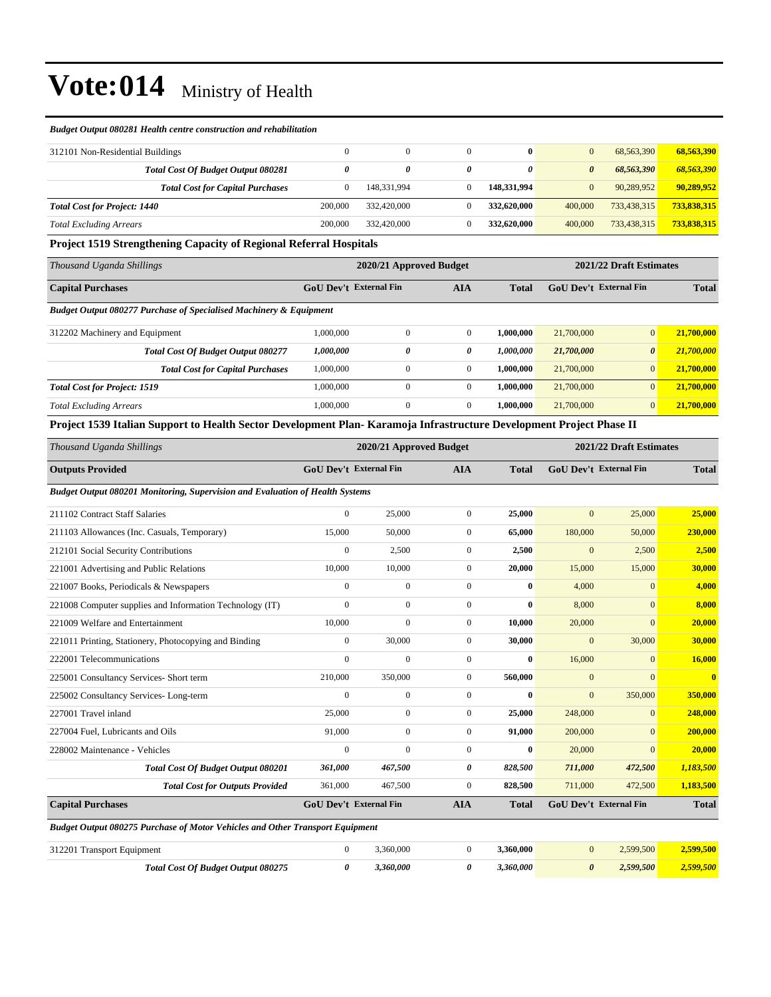#### *Budget Output 080281 Health centre construction and rehabilitation*

| 312101 Non-Residential Buildings          |         |             | $\bf{0}$    | $\mathbf{0}$ | 68.563.390  | 68,563,390  |
|-------------------------------------------|---------|-------------|-------------|--------------|-------------|-------------|
| <b>Total Cost Of Budget Output 080281</b> |         | 0           | 0           | 0            | 68,563,390  | 68,563,390  |
| <b>Total Cost for Capital Purchases</b>   |         | 148.331.994 | 148.331.994 | $\mathbf{0}$ | 90.289.952  | 90,289,952  |
| <b>Total Cost for Project: 1440</b>       | 200,000 | 332,420,000 | 332,620,000 | 400,000      | 733,438,315 | 733,838,315 |
| <b>Total Excluding Arrears</b>            | 200,000 | 332,420,000 | 332,620,000 | 400,000      | 733,438,315 | 733,838,315 |

#### **Project 1519 Strengthening Capacity of Regional Referral Hospitals**

| Thousand Uganda Shillings                                                     |                               | 2020/21 Approved Budget | 2021/22 Draft Estimates |              |                               |                       |              |
|-------------------------------------------------------------------------------|-------------------------------|-------------------------|-------------------------|--------------|-------------------------------|-----------------------|--------------|
| <b>Capital Purchases</b>                                                      | <b>GoU Dev't External Fin</b> |                         | <b>AIA</b>              | <b>Total</b> | <b>GoU Dev't External Fin</b> |                       | <b>Total</b> |
| <b>Budget Output 080277 Purchase of Specialised Machinery &amp; Equipment</b> |                               |                         |                         |              |                               |                       |              |
| 312202 Machinery and Equipment                                                | 1.000.000                     | $\overline{0}$          | $\overline{0}$          | 1.000.000    | 21,700,000                    | $\overline{0}$        | 21,700,000   |
| Total Cost Of Budget Output 080277                                            | 1,000,000                     | 0                       | 0                       | 1.000.000    | 21,700,000                    | $\boldsymbol{\theta}$ | 21,700,000   |
| <b>Total Cost for Capital Purchases</b>                                       | 1,000,000                     | $\overline{0}$          | $\overline{0}$          | 1.000.000    | 21,700,000                    | $\overline{0}$        | 21,700,000   |
| <b>Total Cost for Project: 1519</b>                                           | 1.000.000                     | $\Omega$                | $\overline{0}$          | 1.000.000    | 21,700,000                    | $\overline{0}$        | 21,700,000   |
| <b>Total Excluding Arrears</b>                                                | 1.000.000                     | $\mathbf{0}$            | $\overline{0}$          | 1.000.000    | 21,700,000                    | $\overline{0}$        | 21,700,000   |

#### **Project 1539 Italian Support to Health Sector Development Plan- Karamoja Infrastructure Development Project Phase II**

| Thousand Uganda Shillings                                                            |                               | 2020/21 Approved Budget |                |              |                | 2021/22 Draft Estimates       |              |  |
|--------------------------------------------------------------------------------------|-------------------------------|-------------------------|----------------|--------------|----------------|-------------------------------|--------------|--|
| <b>Outputs Provided</b>                                                              | <b>GoU</b> Dev't External Fin |                         | <b>AIA</b>     | <b>Total</b> |                | GoU Dev't External Fin        | <b>Total</b> |  |
| Budget Output 080201 Monitoring, Supervision and Evaluation of Health Systems        |                               |                         |                |              |                |                               |              |  |
| 211102 Contract Staff Salaries                                                       | $\mathbf{0}$                  | 25,000                  | $\mathbf{0}$   | 25,000       | $\mathbf{0}$   | 25,000                        | 25,000       |  |
| 211103 Allowances (Inc. Casuals, Temporary)                                          | 15,000                        | 50,000                  | $\overline{0}$ | 65,000       | 180,000        | 50,000                        | 230,000      |  |
| 212101 Social Security Contributions                                                 | $\mathbf{0}$                  | 2,500                   | $\mathbf{0}$   | 2,500        | $\mathbf{0}$   | 2,500                         | 2,500        |  |
| 221001 Advertising and Public Relations                                              | 10,000                        | 10,000                  | $\mathbf{0}$   | 20,000       | 15,000         | 15,000                        | 30,000       |  |
| 221007 Books, Periodicals & Newspapers                                               | $\mathbf{0}$                  | $\overline{0}$          | $\mathbf{0}$   | $\mathbf{0}$ | 4,000          | $\Omega$                      | 4,000        |  |
| 221008 Computer supplies and Information Technology (IT)                             | $\theta$                      | $\overline{0}$          | $\Omega$       | $\mathbf{0}$ | 8,000          | $\Omega$                      | 8,000        |  |
| 221009 Welfare and Entertainment                                                     | 10.000                        | $\mathbf{0}$            | $\mathbf{0}$   | 10.000       | 20,000         | $\mathbf{0}$                  | 20,000       |  |
| 221011 Printing, Stationery, Photocopying and Binding                                | $\mathbf{0}$                  | 30,000                  | $\mathbf{0}$   | 30,000       | $\overline{0}$ | 30,000                        | 30,000       |  |
| 222001 Telecommunications                                                            | $\theta$                      | $\overline{0}$          | $\Omega$       | $\mathbf{0}$ | 16,000         | $\Omega$                      | 16,000       |  |
| 225001 Consultancy Services- Short term                                              | 210,000                       | 350,000                 | $\mathbf{0}$   | 560,000      | $\mathbf{0}$   | $\Omega$                      | $\bf{0}$     |  |
| 225002 Consultancy Services-Long-term                                                | $\overline{0}$                | $\overline{0}$          | $\mathbf{0}$   | $\bf{0}$     | $\overline{0}$ | 350,000                       | 350,000      |  |
| 227001 Travel inland                                                                 | 25,000                        | $\overline{0}$          | $\mathbf{0}$   | 25,000       | 248,000        | $\Omega$                      | 248,000      |  |
| 227004 Fuel, Lubricants and Oils                                                     | 91,000                        | $\mathbf{0}$            | $\mathbf{0}$   | 91,000       | 200,000        | $\Omega$                      | 200,000      |  |
| 228002 Maintenance - Vehicles                                                        | $\overline{0}$                | $\overline{0}$          | $\mathbf{0}$   | $\bf{0}$     | 20,000         | $\Omega$                      | 20,000       |  |
| <b>Total Cost Of Budget Output 080201</b>                                            | 361,000                       | 467,500                 | 0              | 828,500      | 711,000        | 472,500                       | 1,183,500    |  |
| <b>Total Cost for Outputs Provided</b>                                               | 361,000                       | 467,500                 | $\mathbf{0}$   | 828,500      | 711,000        | 472,500                       | 1,183,500    |  |
| <b>Capital Purchases</b>                                                             | <b>GoU Dev't External Fin</b> |                         | <b>AIA</b>     | <b>Total</b> |                | <b>GoU Dev't External Fin</b> | <b>Total</b> |  |
| <b>Budget Output 080275 Purchase of Motor Vehicles and Other Transport Equipment</b> |                               |                         |                |              |                |                               |              |  |

| 312201 Transport Equipment         | 3.360.000 | .360.000  | .599.500  | 2.599.500 |
|------------------------------------|-----------|-----------|-----------|-----------|
| Total Cost Of Budget Output 080275 | .360.000  | 3.360.000 | 2.599.500 | 2.599.500 |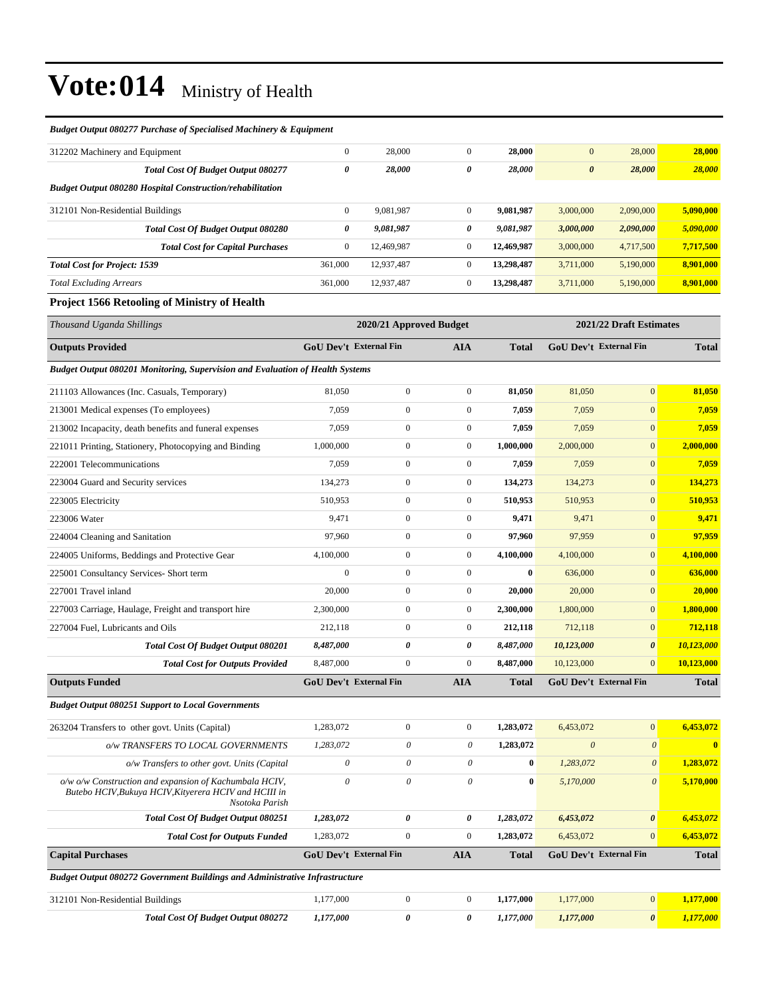| <b>Budget Output 080277 Purchase of Specialised Machinery &amp; Equipment</b> |              |            |              |            |                       |           |           |
|-------------------------------------------------------------------------------|--------------|------------|--------------|------------|-----------------------|-----------|-----------|
| 312202 Machinery and Equipment                                                | $\mathbf{0}$ | 28,000     | $\mathbf{0}$ | 28,000     | $\mathbf{0}$          | 28,000    | 28,000    |
| <b>Total Cost Of Budget Output 080277</b>                                     | 0            | 28,000     | 0            | 28,000     | $\boldsymbol{\theta}$ | 28,000    | 28,000    |
| <b>Budget Output 080280 Hospital Construction/rehabilitation</b>              |              |            |              |            |                       |           |           |
| 312101 Non-Residential Buildings                                              | $\mathbf{0}$ | 9,081,987  | $\mathbf{0}$ | 9,081,987  | 3,000,000             | 2,090,000 | 5,090,000 |
| <b>Total Cost Of Budget Output 080280</b>                                     | 0            | 9,081,987  | 0            | 9,081,987  | 3,000,000             | 2,090,000 | 5,090,000 |
| <b>Total Cost for Capital Purchases</b>                                       | $\theta$     | 12,469,987 | $\mathbf{0}$ | 12,469,987 | 3,000,000             | 4,717,500 | 7,717,500 |
| <b>Total Cost for Project: 1539</b>                                           | 361,000      | 12.937.487 | $\mathbf{0}$ | 13,298,487 | 3,711,000             | 5,190,000 | 8.901.000 |
| <b>Total Excluding Arrears</b>                                                | 361,000      | 12,937,487 | $\mathbf{0}$ | 13,298,487 | 3,711,000             | 5,190,000 | 8,901,000 |
|                                                                               |              |            |              |            |                       |           |           |

#### **Project 1566 Retooling of Ministry of Health**

| Thousand Uganda Shillings                                                                                                         |              | 2020/21 Approved Budget       |                       |              |                       | 2021/22 Draft Estimates       |              |
|-----------------------------------------------------------------------------------------------------------------------------------|--------------|-------------------------------|-----------------------|--------------|-----------------------|-------------------------------|--------------|
| <b>Outputs Provided</b>                                                                                                           |              | GoU Dev't External Fin        | <b>AIA</b>            | <b>Total</b> |                       | GoU Dev't External Fin        | <b>Total</b> |
| <b>Budget Output 080201 Monitoring, Supervision and Evaluation of Health Systems</b>                                              |              |                               |                       |              |                       |                               |              |
| 211103 Allowances (Inc. Casuals, Temporary)                                                                                       | 81,050       | $\boldsymbol{0}$              | $\boldsymbol{0}$      | 81,050       | 81,050                | $\mathbf{0}$                  | 81,050       |
| 213001 Medical expenses (To employees)                                                                                            | 7,059        | $\boldsymbol{0}$              | $\boldsymbol{0}$      | 7,059        | 7,059                 | $\mathbf{0}$                  | 7,059        |
| 213002 Incapacity, death benefits and funeral expenses                                                                            | 7,059        | $\mathbf{0}$                  | $\boldsymbol{0}$      | 7,059        | 7,059                 | $\mathbf{0}$                  | 7,059        |
| 221011 Printing, Stationery, Photocopying and Binding                                                                             | 1,000,000    | $\mathbf{0}$                  | $\mathbf{0}$          | 1,000,000    | 2,000,000             | $\boldsymbol{0}$              | 2,000,000    |
| 222001 Telecommunications                                                                                                         | 7,059        | $\overline{0}$                | $\boldsymbol{0}$      | 7,059        | 7,059                 | $\mathbf{0}$                  | 7,059        |
| 223004 Guard and Security services                                                                                                | 134,273      | $\mathbf{0}$                  | $\mathbf{0}$          | 134,273      | 134,273               | $\mathbf{0}$                  | 134,273      |
| 223005 Electricity                                                                                                                | 510,953      | $\mathbf{0}$                  | $\mathbf{0}$          | 510,953      | 510,953               | $\mathbf{0}$                  | 510,953      |
| 223006 Water                                                                                                                      | 9,471        | $\boldsymbol{0}$              | $\mathbf{0}$          | 9,471        | 9,471                 | $\mathbf{0}$                  | 9,471        |
| 224004 Cleaning and Sanitation                                                                                                    | 97,960       | $\overline{0}$                | $\mathbf{0}$          | 97,960       | 97,959                | $\mathbf{0}$                  | 97,959       |
| 224005 Uniforms, Beddings and Protective Gear                                                                                     | 4,100,000    | $\mathbf{0}$                  | $\mathbf{0}$          | 4,100,000    | 4,100,000             | $\mathbf{0}$                  | 4,100,000    |
| 225001 Consultancy Services- Short term                                                                                           | $\Omega$     | $\mathbf{0}$                  | $\mathbf{0}$          | $\bf{0}$     | 636,000               | $\mathbf{0}$                  | 636,000      |
| 227001 Travel inland                                                                                                              | 20,000       | $\boldsymbol{0}$              | $\boldsymbol{0}$      | 20,000       | 20,000                | $\mathbf{0}$                  | 20,000       |
| 227003 Carriage, Haulage, Freight and transport hire                                                                              | 2,300,000    | $\boldsymbol{0}$              | $\boldsymbol{0}$      | 2,300,000    | 1,800,000             | $\mathbf{0}$                  | 1,800,000    |
| 227004 Fuel, Lubricants and Oils                                                                                                  | 212,118      | $\mathbf{0}$                  | $\mathbf{0}$          | 212,118      | 712,118               | $\mathbf{0}$                  | 712,118      |
| <b>Total Cost Of Budget Output 080201</b>                                                                                         | 8,487,000    | 0                             | $\pmb{\theta}$        | 8,487,000    | 10,123,000            | $\boldsymbol{\theta}$         | 10,123,000   |
| <b>Total Cost for Outputs Provided</b>                                                                                            | 8,487,000    | $\overline{0}$                | $\boldsymbol{0}$      | 8,487,000    | 10,123,000            | $\mathbf{0}$                  | 10,123,000   |
| <b>Outputs Funded</b>                                                                                                             |              | <b>GoU Dev't External Fin</b> | <b>AIA</b>            | <b>Total</b> |                       | GoU Dev't External Fin        | <b>Total</b> |
| <b>Budget Output 080251 Support to Local Governments</b>                                                                          |              |                               |                       |              |                       |                               |              |
| 263204 Transfers to other govt. Units (Capital)                                                                                   | 1,283,072    | $\boldsymbol{0}$              | $\mathbf{0}$          | 1,283,072    | 6,453,072             | $\mathbf{0}$                  | 6,453,072    |
| o/w TRANSFERS TO LOCAL GOVERNMENTS                                                                                                | 1,283,072    | 0                             | $\theta$              | 1,283,072    | $\boldsymbol{\theta}$ | $\boldsymbol{\theta}$         | $\bf{0}$     |
| o/w Transfers to other govt. Units (Capital                                                                                       | $\mathcal O$ | $\theta$                      | $\theta$              | $\bf{0}$     | 1,283,072             | $\boldsymbol{\theta}$         | 1,283,072    |
| o/w o/w Construction and expansion of Kachumbala HCIV,<br>Butebo HCIV, Bukuya HCIV, Kityerera HCIV and HCIII in<br>Nsotoka Parish | $\theta$     | $\theta$                      | $\theta$              | $\bf{0}$     | 5,170,000             | $\theta$                      | 5,170,000    |
| Total Cost Of Budget Output 080251                                                                                                | 1,283,072    | $\pmb{\theta}$                | $\boldsymbol{\theta}$ | 1,283,072    | 6,453,072             | $\boldsymbol{\theta}$         | 6,453,072    |
| <b>Total Cost for Outputs Funded</b>                                                                                              | 1,283,072    | $\mathbf{0}$                  | $\mathbf{0}$          | 1,283,072    | 6,453,072             | $\overline{0}$                | 6,453,072    |
| <b>Capital Purchases</b>                                                                                                          |              | <b>GoU Dev't External Fin</b> | <b>AIA</b>            | <b>Total</b> |                       | <b>GoU Dev't External Fin</b> | <b>Total</b> |
| <b>Budget Output 080272 Government Buildings and Administrative Infrastructure</b>                                                |              |                               |                       |              |                       |                               |              |
| 312101 Non-Residential Buildings                                                                                                  | 1,177,000    | $\mathbf{0}$                  | $\mathbf{0}$          | 1,177,000    | 1,177,000             | $\mathbf{0}$                  | 1,177,000    |
| <b>Total Cost Of Budget Output 080272</b>                                                                                         | 1,177,000    | $\pmb{\theta}$                | $\boldsymbol{\theta}$ | 1,177,000    | 1,177,000             | $\boldsymbol{\theta}$         | 1,177,000    |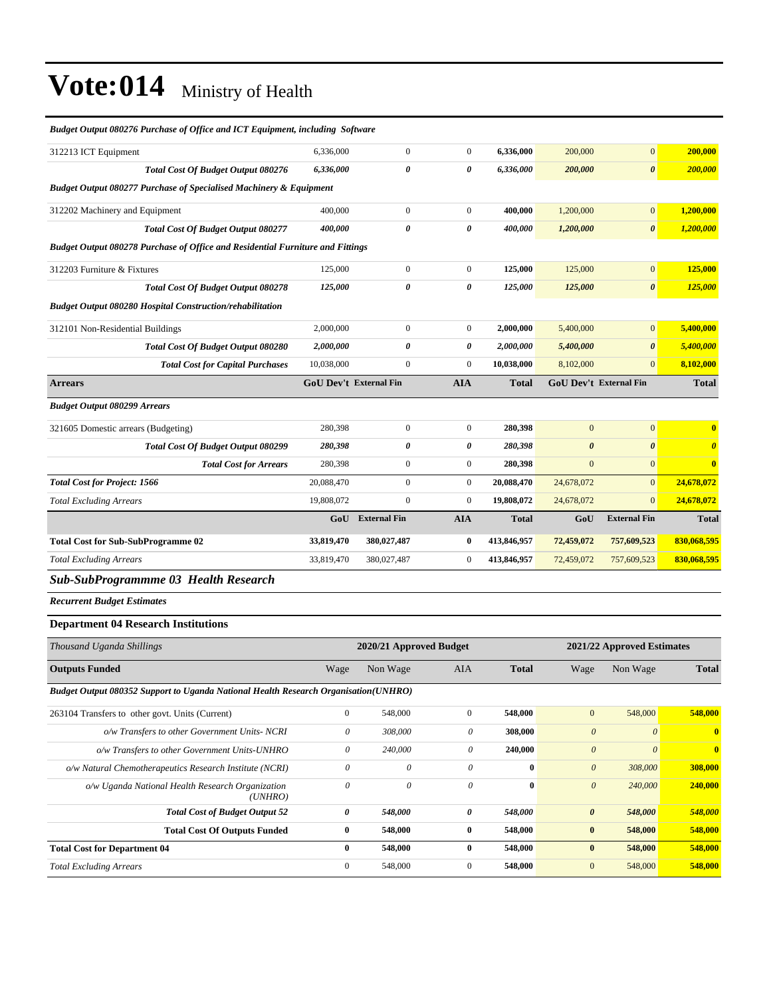| Budget Output 080276 Purchase of Office and ICT Equipment, including Software         |                               |                           |                           |              |                           |                               |                       |
|---------------------------------------------------------------------------------------|-------------------------------|---------------------------|---------------------------|--------------|---------------------------|-------------------------------|-----------------------|
| 312213 ICT Equipment                                                                  | 6,336,000                     | $\overline{0}$            | $\overline{0}$            | 6,336,000    | 200,000                   | $\mathbf{0}$                  | 200,000               |
| <b>Total Cost Of Budget Output 080276</b>                                             | 6,336,000                     | 0                         | 0                         | 6,336,000    | 200,000                   | $\boldsymbol{\theta}$         | 200,000               |
| <b>Budget Output 080277 Purchase of Specialised Machinery &amp; Equipment</b>         |                               |                           |                           |              |                           |                               |                       |
| 312202 Machinery and Equipment                                                        | 400,000                       | $\boldsymbol{0}$          | $\boldsymbol{0}$          | 400,000      | 1,200,000                 | $\mathbf{0}$                  | 1,200,000             |
| Total Cost Of Budget Output 080277                                                    | 400,000                       | 0                         | 0                         | 400,000      | 1,200,000                 | $\boldsymbol{\theta}$         | 1,200,000             |
| <b>Budget Output 080278 Purchase of Office and Residential Furniture and Fittings</b> |                               |                           |                           |              |                           |                               |                       |
| 312203 Furniture & Fixtures                                                           | 125,000                       | $\boldsymbol{0}$          | $\boldsymbol{0}$          | 125,000      | 125,000                   | $\mathbf{0}$                  | 125,000               |
| <b>Total Cost Of Budget Output 080278</b>                                             | 125,000                       | $\theta$                  | 0                         | 125,000      | 125,000                   | $\boldsymbol{\theta}$         | 125,000               |
| <b>Budget Output 080280 Hospital Construction/rehabilitation</b>                      |                               |                           |                           |              |                           |                               |                       |
| 312101 Non-Residential Buildings                                                      | 2,000,000                     | $\boldsymbol{0}$          | $\boldsymbol{0}$          | 2,000,000    | 5,400,000                 | $\mathbf{0}$                  | 5,400,000             |
| Total Cost Of Budget Output 080280                                                    | 2,000,000                     | 0                         | 0                         | 2,000,000    | 5,400,000                 | $\boldsymbol{\theta}$         | 5,400,000             |
| <b>Total Cost for Capital Purchases</b>                                               | 10,038,000                    | $\mathbf{0}$              | $\boldsymbol{0}$          | 10,038,000   | 8,102,000                 | $\mathbf{0}$                  | 8,102,000             |
| <b>Arrears</b>                                                                        | <b>GoU Dev't External Fin</b> |                           | <b>AIA</b>                | Total        |                           | <b>GoU Dev't External Fin</b> | <b>Total</b>          |
| <b>Budget Output 080299 Arrears</b>                                                   |                               |                           |                           |              |                           |                               |                       |
| 321605 Domestic arrears (Budgeting)                                                   | 280,398                       | $\boldsymbol{0}$          | $\boldsymbol{0}$          | 280,398      | $\mathbf{0}$              | $\mathbf{0}$                  | $\bf{0}$              |
| <b>Total Cost Of Budget Output 080299</b>                                             | 280,398                       | 0                         | 0                         | 280,398      | $\boldsymbol{\theta}$     | $\boldsymbol{\theta}$         | $\boldsymbol{\theta}$ |
| <b>Total Cost for Arrears</b>                                                         | 280,398                       | $\boldsymbol{0}$          | $\boldsymbol{0}$          | 280,398      | $\mathbf{0}$              | $\mathbf{0}$                  | $\bf{0}$              |
| <b>Total Cost for Project: 1566</b>                                                   | 20,088,470                    | $\boldsymbol{0}$          | $\boldsymbol{0}$          | 20,088,470   | 24,678,072                | $\mathbf{0}$                  | 24,678,072            |
| <b>Total Excluding Arrears</b>                                                        | 19,808,072                    | $\mathbf{0}$              | $\boldsymbol{0}$          | 19,808,072   | 24,678,072                | $\mathbf{0}$                  | 24,678,072            |
|                                                                                       | GoU                           | <b>External Fin</b>       | <b>AIA</b>                | <b>Total</b> | GoU                       | <b>External Fin</b>           | <b>Total</b>          |
| <b>Total Cost for Sub-SubProgramme 02</b>                                             | 33,819,470                    | 380,027,487               | 0                         | 413,846,957  | 72,459,072                | 757,609,523                   | 830,068,595           |
| <b>Total Excluding Arrears</b>                                                        | 33,819,470                    | 380,027,487               | $\boldsymbol{0}$          | 413,846,957  | 72,459,072                | 757,609,523                   | 830,068,595           |
| <b>Sub-SubProgrammme 03 Health Research</b>                                           |                               |                           |                           |              |                           |                               |                       |
| <b>Recurrent Budget Estimates</b>                                                     |                               |                           |                           |              |                           |                               |                       |
| <b>Department 04 Research Institutions</b>                                            |                               |                           |                           |              |                           |                               |                       |
| Thousand Uganda Shillings                                                             |                               | 2020/21 Approved Budget   |                           |              |                           | 2021/22 Approved Estimates    |                       |
| <b>Outputs Funded</b>                                                                 | Wage                          | Non Wage                  | AIA                       | <b>Total</b> | Wage                      | Non Wage                      | Total                 |
| Budget Output 080352 Support to Uganda National Health Research Organisation(UNHRO)   |                               |                           |                           |              |                           |                               |                       |
| 263104 Transfers to other govt. Units (Current)                                       | $\mathbf{0}$                  | 548,000                   | $\boldsymbol{0}$          | 548,000      | $\boldsymbol{0}$          | 548,000                       | 548,000               |
| o/w Transfers to other Government Units- NCRI                                         | $\boldsymbol{\theta}$         | 308,000                   | $\boldsymbol{\mathit{0}}$ | 308,000      | $\boldsymbol{\theta}$     | $\boldsymbol{\mathit{0}}$     | $\bf{0}$              |
| o/w Transfers to other Government Units-UNHRO                                         | $\theta$                      | 240,000                   | $\theta$                  | 240,000      | $\boldsymbol{\theta}$     | $\boldsymbol{\theta}$         | $\bf{0}$              |
| o/w Natural Chemotherapeutics Research Institute (NCRI)                               | $\boldsymbol{\mathit{0}}$     | $\boldsymbol{\mathit{0}}$ | $\boldsymbol{\mathit{0}}$ | $\pmb{0}$    | $\boldsymbol{\mathit{0}}$ | 308,000                       | 308,000               |
| o/w Uganda National Health Research Organization<br>(UNHRO)                           | $\boldsymbol{\mathit{0}}$     | $\boldsymbol{\mathit{0}}$ | $\boldsymbol{\mathit{0}}$ | $\bf{0}$     | $\boldsymbol{\theta}$     | 240,000                       | 240,000               |

*Total Cost of Budget Output 52 0 548,000 0 548,000 0 548,000 548,000* **Total Cost Of Outputs Funded 0 548,000 0 548,000 0 548,000 548,000**

**Total Cost for Department 04 0 548,000 0 548,000 0 548,000 548,000** *Total Excluding Arrears* 0 548,000 0 **548,000** 0 548,000 **548,000**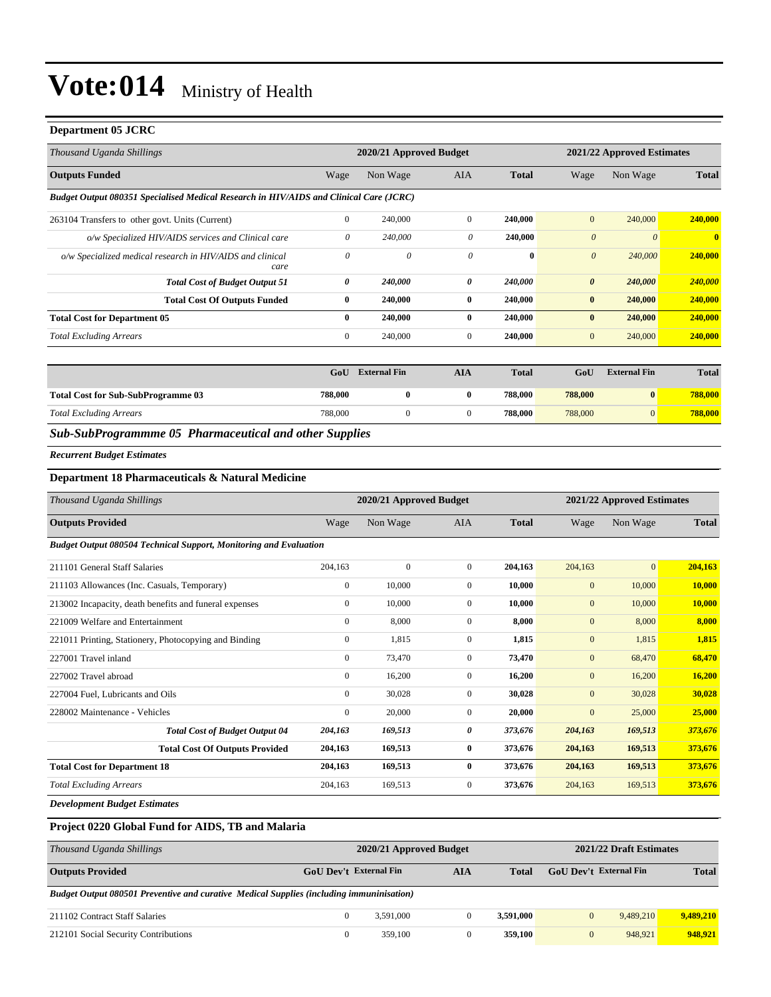#### **Department 05 JCRC**

| Thousand Uganda Shillings                                                              |                | 2020/21 Approved Budget |                  | 2021/22 Approved Estimates |                       |                            |              |
|----------------------------------------------------------------------------------------|----------------|-------------------------|------------------|----------------------------|-----------------------|----------------------------|--------------|
| <b>Outputs Funded</b>                                                                  | Wage           | Non Wage                | <b>AIA</b>       | <b>Total</b>               | Wage                  | Non Wage                   | <b>Total</b> |
| Budget Output 080351 Specialised Medical Research in HIV/AIDS and Clinical Care (JCRC) |                |                         |                  |                            |                       |                            |              |
| 263104 Transfers to other govt. Units (Current)                                        | $\overline{0}$ | 240,000                 | $\mathbf{0}$     | 240,000                    | $\mathbf{0}$          | 240,000                    | 240,000      |
| o/w Specialized HIV/AIDS services and Clinical care                                    | 0              | 240,000                 | 0                | 240,000                    | $\theta$              | $\theta$                   | $\bf{0}$     |
| o/w Specialized medical research in HIV/AIDS and clinical<br>care                      | $\theta$       | 0                       | $\theta$         | $\bf{0}$                   | $\boldsymbol{\theta}$ | 240,000                    | 240,000      |
| <b>Total Cost of Budget Output 51</b>                                                  | 0              | 240,000                 | 0                | 240,000                    | $\boldsymbol{\theta}$ | 240,000                    | 240,000      |
| <b>Total Cost Of Outputs Funded</b>                                                    | $\bf{0}$       | 240,000                 | $\bf{0}$         | 240,000                    | $\bf{0}$              | 240,000                    | 240,000      |
| <b>Total Cost for Department 05</b>                                                    | $\bf{0}$       | 240,000                 | $\bf{0}$         | 240,000                    | $\bf{0}$              | 240,000                    | 240,000      |
| <b>Total Excluding Arrears</b>                                                         | $\overline{0}$ | 240,000                 | $\mathbf{0}$     | 240,000                    | $\mathbf{0}$          | 240,000                    | 240,000      |
|                                                                                        | GoU            | <b>External Fin</b>     | <b>AIA</b>       | <b>Total</b>               | GoU                   | <b>External Fin</b>        | <b>Total</b> |
| <b>Total Cost for Sub-SubProgramme 03</b>                                              | 788,000        | $\bf{0}$                | $\bf{0}$         | 788,000                    | 788,000               | $\bf{0}$                   | 788,000      |
| <b>Total Excluding Arrears</b>                                                         | 788,000        | $\mathbf{0}$            | $\boldsymbol{0}$ | 788,000                    | 788,000               | $\overline{0}$             | 788,000      |
| Sub-SubProgrammme 05 Pharmaceutical and other Supplies                                 |                |                         |                  |                            |                       |                            |              |
| <b>Recurrent Budget Estimates</b>                                                      |                |                         |                  |                            |                       |                            |              |
| Department 18 Pharmaceuticals & Natural Medicine                                       |                |                         |                  |                            |                       |                            |              |
| Thousand Uganda Shillings                                                              |                | 2020/21 Approved Budget |                  |                            |                       | 2021/22 Approved Estimates |              |

| Thousand Uganda Shillings                                                |                  | 2020/21 Approved Budget |                |              |              | 2021/22 Approved Estimates |               |
|--------------------------------------------------------------------------|------------------|-------------------------|----------------|--------------|--------------|----------------------------|---------------|
| <b>Outputs Provided</b>                                                  | Wage             | Non Wage                | AIA            | <b>Total</b> | Wage         | Non Wage                   | <b>Total</b>  |
| <b>Budget Output 080504 Technical Support, Monitoring and Evaluation</b> |                  |                         |                |              |              |                            |               |
| 211101 General Staff Salaries                                            | 204,163          | $\mathbf{0}$            | $\overline{0}$ | 204,163      | 204,163      | $\overline{0}$             | 204,163       |
| 211103 Allowances (Inc. Casuals, Temporary)                              | $\boldsymbol{0}$ | 10,000                  | $\overline{0}$ | 10,000       | $\mathbf{0}$ | 10,000                     | 10,000        |
| 213002 Incapacity, death benefits and funeral expenses                   | $\mathbf{0}$     | 10,000                  | $\overline{0}$ | 10.000       | $\mathbf{0}$ | 10,000                     | 10,000        |
| 221009 Welfare and Entertainment                                         | $\mathbf{0}$     | 8,000                   | $\Omega$       | 8.000        | $\mathbf{0}$ | 8,000                      | 8,000         |
| 221011 Printing, Stationery, Photocopying and Binding                    | $\mathbf{0}$     | 1,815                   | $\overline{0}$ | 1,815        | $\mathbf{0}$ | 1,815                      | 1,815         |
| 227001 Travel inland                                                     | $\mathbf{0}$     | 73,470                  | $\overline{0}$ | 73,470       | $\mathbf{0}$ | 68,470                     | 68,470        |
| 227002 Travel abroad                                                     | $\mathbf{0}$     | 16,200                  | $\overline{0}$ | 16,200       | $\mathbf{0}$ | 16,200                     | <b>16,200</b> |
| 227004 Fuel, Lubricants and Oils                                         | $\mathbf{0}$     | 30,028                  | $\overline{0}$ | 30,028       | $\mathbf{0}$ | 30,028                     | 30,028        |
| 228002 Maintenance - Vehicles                                            | $\mathbf{0}$     | 20,000                  | $\overline{0}$ | 20,000       | $\mathbf{0}$ | 25,000                     | 25,000        |
| <b>Total Cost of Budget Output 04</b>                                    | 204,163          | 169,513                 | 0              | 373,676      | 204,163      | 169,513                    | 373,676       |
| <b>Total Cost Of Outputs Provided</b>                                    | 204,163          | 169,513                 | $\bf{0}$       | 373,676      | 204,163      | 169,513                    | 373,676       |
| <b>Total Cost for Department 18</b>                                      | 204,163          | 169,513                 | $\bf{0}$       | 373,676      | 204,163      | 169,513                    | 373,676       |
| <b>Total Excluding Arrears</b>                                           | 204,163          | 169,513                 | 0              | 373,676      | 204,163      | 169,513                    | 373,676       |

*Development Budget Estimates*

### **Project 0220 Global Fund for AIDS, TB and Malaria**

| Thousand Uganda Shillings                                                                |                        | 2020/21 Approved Budget | 2021/22 Draft Estimates |              |                               |           |              |
|------------------------------------------------------------------------------------------|------------------------|-------------------------|-------------------------|--------------|-------------------------------|-----------|--------------|
| <b>Outputs Provided</b>                                                                  | GoU Dev't External Fin |                         | AIA                     | <b>Total</b> | <b>GoU</b> Dev't External Fin |           | <b>Total</b> |
| Budget Output 080501 Preventive and curative Medical Supplies (including immuninisation) |                        |                         |                         |              |                               |           |              |
| 211102 Contract Staff Salaries                                                           |                        | 3.591.000               |                         | 3.591.000    | $\mathbf{0}$                  | 9,489,210 | 9,489,210    |
| 212101 Social Security Contributions                                                     | 0                      | 359,100                 | $\bf{0}$                | 359,100      | $\mathbf{0}$                  | 948,921   | 948.921      |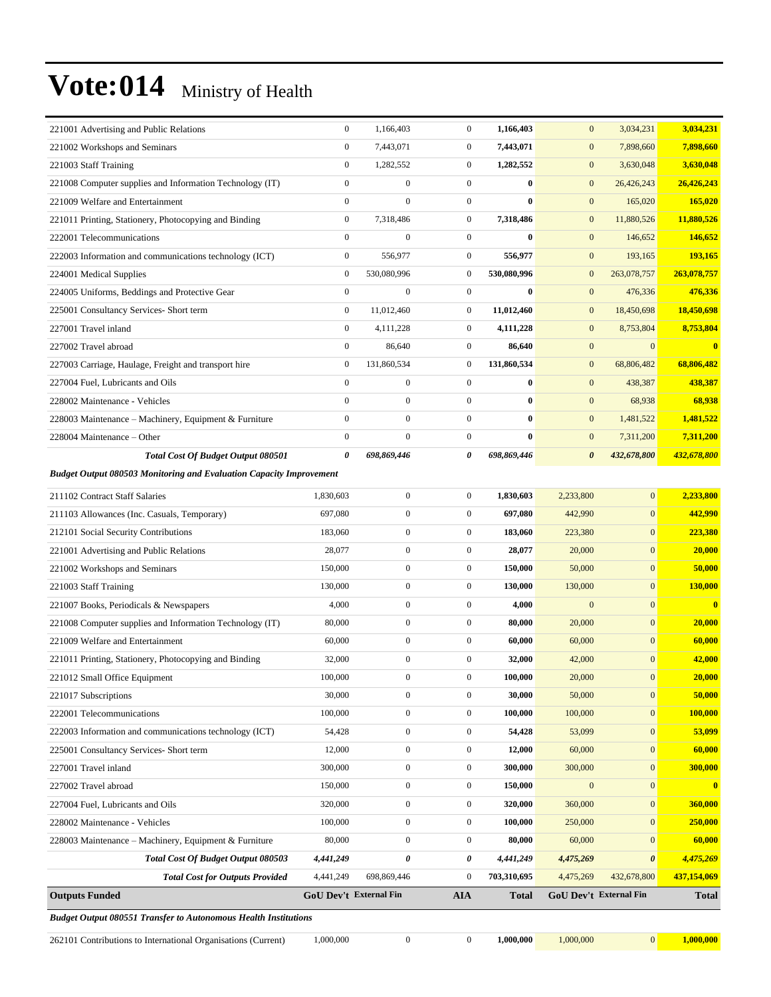| <b>Budget Output 080551 Transfer to Autonomous Health Institutions</b>                                                  |                                  |                                      |                                    |                       |                                       |                              |                          |
|-------------------------------------------------------------------------------------------------------------------------|----------------------------------|--------------------------------------|------------------------------------|-----------------------|---------------------------------------|------------------------------|--------------------------|
| <b>Outputs Funded</b>                                                                                                   |                                  | GoU Dev't External Fin               | <b>AIA</b>                         | <b>Total</b>          |                                       | GoU Dev't External Fin       | <b>Total</b>             |
| <b>Total Cost for Outputs Provided</b>                                                                                  | 4,441,249                        | 698,869,446                          | $\boldsymbol{0}$                   | 703,310,695           | 4,475,269                             | 432,678,800                  | 437,154,069              |
| Total Cost Of Budget Output 080503                                                                                      | 4,441,249                        | $\pmb{\theta}$                       | 0                                  | 4,441,249             | 4,475,269                             | $\boldsymbol{\theta}$        | 4,475,269                |
| 228003 Maintenance – Machinery, Equipment & Furniture                                                                   | 80,000                           | $\boldsymbol{0}$                     | $\boldsymbol{0}$                   | 80,000                | 60,000                                | $\mathbf{0}$                 | 60,000                   |
| 228002 Maintenance - Vehicles                                                                                           | 100,000                          | $\boldsymbol{0}$                     | $\boldsymbol{0}$                   | 100,000               | 250,000                               | $\mathbf{0}$                 | 250,000                  |
| 227004 Fuel, Lubricants and Oils                                                                                        | 320,000                          | $\boldsymbol{0}$                     | $\boldsymbol{0}$                   | 320,000               | 360,000                               | $\boldsymbol{0}$             | 360,000                  |
| 227002 Travel abroad                                                                                                    | 150,000                          | $\boldsymbol{0}$                     | $\boldsymbol{0}$                   | 150,000               | $\mathbf{0}$                          | $\mathbf{0}$                 | $\bf{0}$                 |
| 227001 Travel inland                                                                                                    | 300,000                          | $\boldsymbol{0}$                     | $\boldsymbol{0}$                   | 300,000               | 300,000                               | $\mathbf{0}$                 | 300,000                  |
| 225001 Consultancy Services- Short term                                                                                 | 12,000                           | $\boldsymbol{0}$                     | $\boldsymbol{0}$                   | 12,000                | 60,000                                | $\mathbf{0}$                 | 60,000                   |
| 222003 Information and communications technology (ICT)                                                                  | 54,428                           | $\boldsymbol{0}$                     | $\boldsymbol{0}$                   | 54,428                | 53,099                                | $\boldsymbol{0}$             | 53,099                   |
| 222001 Telecommunications                                                                                               | 100,000                          | $\boldsymbol{0}$                     | $\boldsymbol{0}$                   | 100,000               | 100,000                               | $\boldsymbol{0}$             | 100,000                  |
| 221017 Subscriptions                                                                                                    | 30,000                           | $\boldsymbol{0}$                     | $\boldsymbol{0}$                   | 30,000                | 50,000                                | $\boldsymbol{0}$             | 50,000                   |
| 221012 Small Office Equipment                                                                                           | 100,000                          | $\overline{0}$                       | $\mathbf{0}$                       | 100.000               | 20,000                                | $\mathbf{0}$                 | 20,000                   |
| 221011 Printing, Stationery, Photocopying and Binding                                                                   | 32,000                           | $\boldsymbol{0}$                     | $\boldsymbol{0}$                   | 32,000                | 42,000                                | $\mathbf{0}$                 | 42,000                   |
| 221008 Computer supplies and Information Technology (IT)<br>221009 Welfare and Entertainment                            | 60,000                           | $\mathbf{0}$                         | $\boldsymbol{0}$                   | 60,000                | 60,000                                | $\mathbf{0}$                 | 60,000                   |
|                                                                                                                         | 80,000                           | $\mathbf{0}$                         | $\boldsymbol{0}$                   | 80,000                | 20,000                                | $\mathbf{0}$                 | 20,000                   |
| 221007 Books, Periodicals & Newspapers                                                                                  | 4,000                            | $\boldsymbol{0}$                     | $\overline{0}$                     | 4,000                 | $\mathbf{0}$                          | $\mathbf{0}$                 | $\bf{0}$                 |
| 221003 Staff Training                                                                                                   | 130,000                          | $\mathbf{0}$                         | $\boldsymbol{0}$                   | 130,000               | 130,000                               | $\mathbf{0}$                 | 130,000                  |
| 221002 Workshops and Seminars                                                                                           | 150,000                          | $\boldsymbol{0}$                     | $\boldsymbol{0}$                   | 150,000               | 50,000                                | $\mathbf{0}$                 | 50,000                   |
| 221001 Advertising and Public Relations                                                                                 | 28,077                           | $\mathbf{0}$                         | $\boldsymbol{0}$                   | 28,077                | 20,000                                | $\mathbf{0}$                 | 20,000                   |
| 211103 Allowances (Inc. Casuals, Temporary)<br>212101 Social Security Contributions                                     | 183,060                          | $\mathbf{0}$                         | $\boldsymbol{0}$                   | 183,060               | 223,380                               | $\mathbf{0}$                 | 223,380                  |
| 211102 Contract Staff Salaries                                                                                          | 1,830,603<br>697,080             | $\boldsymbol{0}$<br>$\boldsymbol{0}$ | $\boldsymbol{0}$<br>$\overline{0}$ | 1,830,603<br>697,080  | 2,233,800<br>442,990                  | $\mathbf{0}$<br>$\mathbf{0}$ | 2,233,800<br>442,990     |
|                                                                                                                         |                                  |                                      |                                    |                       |                                       |                              |                          |
| <b>Total Cost Of Budget Output 080501</b><br><b>Budget Output 080503 Monitoring and Evaluation Capacity Improvement</b> |                                  |                                      |                                    |                       |                                       |                              |                          |
| 228004 Maintenance - Other                                                                                              | $\mathbf{0}$<br>0                | $\boldsymbol{0}$<br>698,869,446      | $\boldsymbol{0}$<br>0              | 698,869,446           | $\mathbf{0}$<br>$\boldsymbol{\theta}$ | 7,311,200<br>432,678,800     | 7,311,200<br>432,678,800 |
| 228003 Maintenance – Machinery, Equipment & Furniture                                                                   | $\boldsymbol{0}$                 | $\boldsymbol{0}$                     | $\boldsymbol{0}$                   | $\bf{0}$<br>$\bf{0}$  | $\mathbf{0}$                          | 1,481,522                    | 1,481,522                |
| 228002 Maintenance - Vehicles                                                                                           |                                  | $\boldsymbol{0}$                     | $\boldsymbol{0}$                   | $\bf{0}$              | $\mathbf{0}$                          | 68,938                       | 68,938                   |
| 227004 Fuel, Lubricants and Oils                                                                                        | $\boldsymbol{0}$<br>$\mathbf{0}$ | $\mathbf{0}$                         | $\boldsymbol{0}$                   | $\bf{0}$              | $\mathbf{0}$                          | 438,387                      | 438,387                  |
| 227003 Carriage, Haulage, Freight and transport hire                                                                    | $\mathbf{0}$                     |                                      | $\boldsymbol{0}$                   |                       | $\mathbf{0}$                          | 68,806,482                   | 68,806,482               |
| 227002 Travel abroad                                                                                                    | $\mathbf{0}$                     | 86,640<br>131,860,534                | $\boldsymbol{0}$                   | 86,640<br>131,860,534 | $\mathbf{0}$                          | $\mathbf{0}$                 | $\mathbf{0}$             |
| 227001 Travel inland                                                                                                    | $\mathbf{0}$                     | 4,111,228                            | $\boldsymbol{0}$                   | 4,111,228             | $\mathbf{0}$                          | 8,753,804                    | 8,753,804                |
| 225001 Consultancy Services- Short term                                                                                 | $\mathbf{0}$                     | 11,012,460                           | $\boldsymbol{0}$                   | 11,012,460            | $\mathbf{0}$                          | 18,450,698                   | 18,450,698               |
| 224005 Uniforms, Beddings and Protective Gear                                                                           | $\boldsymbol{0}$                 | $\mathbf{0}$                         | $\overline{0}$                     | $\bf{0}$              | $\mathbf{0}$                          | 476,336                      | 476,336                  |
| 224001 Medical Supplies                                                                                                 | $\mathbf{0}$                     | 530,080,996                          | $\boldsymbol{0}$                   | 530,080,996           | $\mathbf{0}$                          | 263,078,757                  | 263,078,757              |
| 222003 Information and communications technology (ICT)                                                                  | $\mathbf{0}$                     | 556,977                              | $\boldsymbol{0}$                   | 556,977               | $\mathbf{0}$                          | 193,165                      | 193,165                  |
| 222001 Telecommunications                                                                                               | $\boldsymbol{0}$                 | $\mathbf{0}$                         | $\boldsymbol{0}$                   | $\bf{0}$              | $\mathbf{0}$                          | 146,652                      | 146,652                  |
| 221011 Printing, Stationery, Photocopying and Binding                                                                   | $\boldsymbol{0}$                 | 7,318,486                            | $\boldsymbol{0}$                   | 7,318,486             | $\mathbf{0}$                          | 11,880,526                   | 11,880,526               |
| 221009 Welfare and Entertainment                                                                                        | $\mathbf{0}$                     | $\overline{0}$                       | $\boldsymbol{0}$                   | $\bf{0}$              | $\mathbf{0}$                          | 165,020                      | 165,020                  |
| 221008 Computer supplies and Information Technology (IT)                                                                | $\boldsymbol{0}$                 | $\boldsymbol{0}$                     | $\boldsymbol{0}$                   | $\bf{0}$              | $\mathbf{0}$                          | 26,426,243                   | 26,426,243               |
| 221003 Staff Training                                                                                                   | $\mathbf{0}$                     | 1,282,552                            | $\boldsymbol{0}$                   | 1,282,552             | $\mathbf{0}$                          | 3,630,048                    | 3,630,048                |
| 221002 Workshops and Seminars                                                                                           | $\boldsymbol{0}$                 | 7,443,071                            | $\boldsymbol{0}$                   | 7,443,071             | $\mathbf{0}$                          | 7,898,660                    | 7,898,660                |
| 221001 Advertising and Public Relations                                                                                 | $\boldsymbol{0}$                 | 1,166,403                            | $\boldsymbol{0}$                   | 1,166,403             | $\mathbf{0}$                          | 3,034,231                    | 3,034,231                |
|                                                                                                                         |                                  |                                      |                                    |                       |                                       |                              |                          |

262101 Contributions to International Organisations (Current) 1,000,000 0 0 **1,000,000** 1,000,000 0 **1,000,000**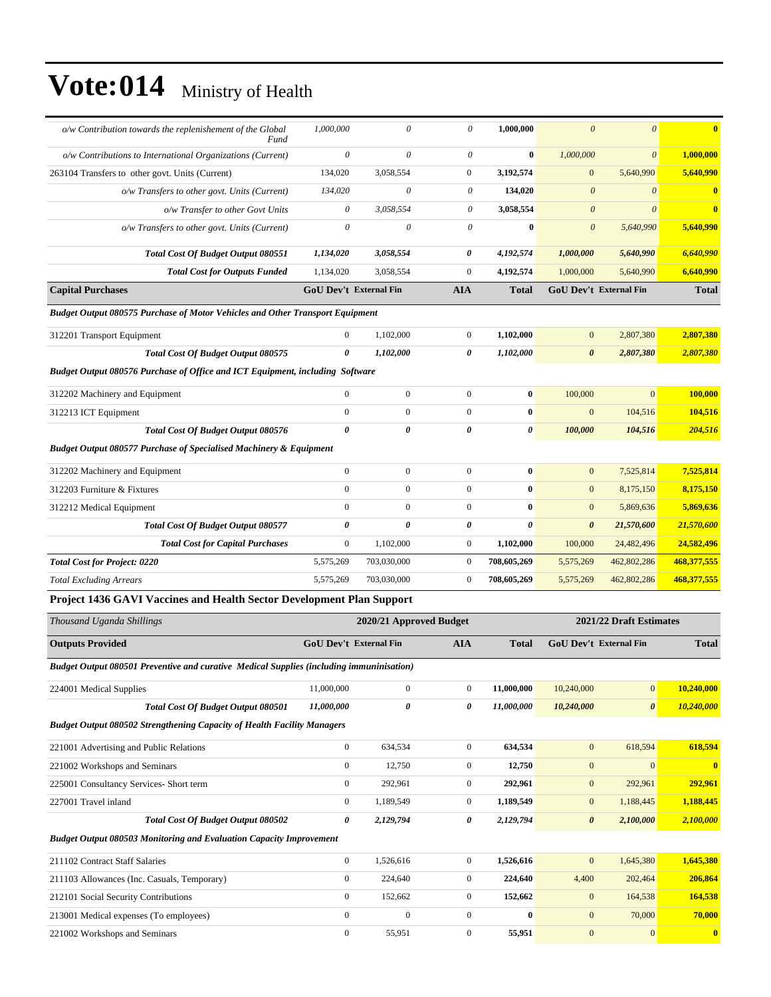| o/w Contribution towards the replenishement of the Global<br>Fund                    | 1,000,000                     | $\theta$       | 0                | 1,000,000             | $\theta$              | $\theta$                      | $\mathbf{0}$            |
|--------------------------------------------------------------------------------------|-------------------------------|----------------|------------------|-----------------------|-----------------------|-------------------------------|-------------------------|
| o/w Contributions to International Organizations (Current)                           | $\theta$                      | $\theta$       | $\theta$         | $\bf{0}$              | 1,000,000             | $\theta$                      | 1,000,000               |
| 263104 Transfers to other govt. Units (Current)                                      | 134,020                       | 3,058,554      | $\mathbf{0}$     | 3,192,574             | $\overline{0}$        | 5,640,990                     | 5,640,990               |
| o/w Transfers to other govt. Units (Current)                                         | 134,020                       | 0              | 0                | 134,020               | $\boldsymbol{\theta}$ | $\theta$                      | $\bf{0}$                |
| o/w Transfer to other Govt Units                                                     | 0                             | 3,058,554      | 0                | 3,058,554             | $\theta$              | $\theta$                      | $\overline{\mathbf{0}}$ |
| o/w Transfers to other govt. Units (Current)                                         | $\theta$                      | $\theta$       | $\theta$         | $\bf{0}$              | $\boldsymbol{\theta}$ | 5,640,990                     | 5,640,990               |
| <b>Total Cost Of Budget Output 080551</b>                                            | 1,134,020                     | 3,058,554      | 0                | 4,192,574             | 1,000,000             | 5,640,990                     | 6,640,990               |
| <b>Total Cost for Outputs Funded</b>                                                 | 1,134,020                     | 3,058,554      | $\boldsymbol{0}$ | 4,192,574             | 1,000,000             | 5,640,990                     | 6,640,990               |
| <b>Capital Purchases</b>                                                             | <b>GoU Dev't External Fin</b> |                | <b>AIA</b>       | <b>Total</b>          |                       | <b>GoU Dev't External Fin</b> | <b>Total</b>            |
| <b>Budget Output 080575 Purchase of Motor Vehicles and Other Transport Equipment</b> |                               |                |                  |                       |                       |                               |                         |
| 312201 Transport Equipment                                                           | $\overline{0}$                | 1,102,000      | $\mathbf{0}$     | 1,102,000             | $\overline{0}$        | 2,807,380                     | 2,807,380               |
| Total Cost Of Budget Output 080575                                                   | 0                             | 1,102,000      | $\theta$         | 1,102,000             | $\boldsymbol{\theta}$ | 2,807,380                     | 2,807,380               |
| Budget Output 080576 Purchase of Office and ICT Equipment, including Software        |                               |                |                  |                       |                       |                               |                         |
| 312202 Machinery and Equipment                                                       | $\overline{0}$                | $\overline{0}$ | $\mathbf{0}$     | $\bf{0}$              | 100,000               | $\overline{0}$                | 100,000                 |
| 312213 ICT Equipment                                                                 | $\theta$                      | $\mathbf{0}$   | $\Omega$         | $\bf{0}$              | $\overline{0}$        | 104,516                       | 104,516                 |
| <b>Total Cost Of Budget Output 080576</b>                                            | 0                             | 0              | $\theta$         | $\theta$              | 100,000               | 104,516                       | 204,516                 |
| <b>Budget Output 080577 Purchase of Specialised Machinery &amp; Equipment</b>        |                               |                |                  |                       |                       |                               |                         |
| 312202 Machinery and Equipment                                                       | $\overline{0}$                | $\overline{0}$ | $\mathbf{0}$     | $\bf{0}$              | $\overline{0}$        | 7,525,814                     | 7,525,814               |
| 312203 Furniture & Fixtures                                                          | $\Omega$                      | $\mathbf{0}$   | $\mathbf{0}$     | $\bf{0}$              | $\overline{0}$        | 8,175,150                     | 8,175,150               |
| 312212 Medical Equipment                                                             | $\overline{0}$                | $\mathbf{0}$   | $\mathbf{0}$     | $\bf{0}$              | $\overline{0}$        | 5,869,636                     | 5,869,636               |
| Total Cost Of Budget Output 080577                                                   | 0                             | 0              | 0                | $\boldsymbol{\theta}$ | $\boldsymbol{\theta}$ | 21,570,600                    | 21,570,600              |
| <b>Total Cost for Capital Purchases</b>                                              | $\boldsymbol{0}$              | 1,102,000      | $\boldsymbol{0}$ | 1,102,000             | 100,000               | 24,482,496                    | 24,582,496              |
| <b>Total Cost for Project: 0220</b>                                                  | 5,575,269                     | 703,030,000    | $\mathbf{0}$     | 708,605,269           | 5,575,269             | 462,802,286                   | 468,377,555             |
| <b>Total Excluding Arrears</b>                                                       | 5,575,269                     | 703,030,000    | $\overline{0}$   | 708,605,269           | 5,575,269             | 462,802,286                   | 468,377,555             |
| Project 1436 CAVI Vaccines and Health Sector Development Plan Support                |                               |                |                  |                       |                       |                               |                         |

#### **Project 1436 GAVI Vaccines and Health Sector Development Plan Support**

| Thousand Uganda Shillings                                                                |              | 2020/21 Approved Budget |                |              | 2021/22 Draft Estimates |                               |                         |  |
|------------------------------------------------------------------------------------------|--------------|-------------------------|----------------|--------------|-------------------------|-------------------------------|-------------------------|--|
| <b>Outputs Provided</b>                                                                  |              | GoU Dev't External Fin  | <b>AIA</b>     | <b>Total</b> |                         | <b>GoU</b> Dev't External Fin | <b>Total</b>            |  |
| Budget Output 080501 Preventive and curative Medical Supplies (including immuninisation) |              |                         |                |              |                         |                               |                         |  |
| 224001 Medical Supplies                                                                  | 11,000,000   | $\overline{0}$          | $\overline{0}$ | 11.000.000   | 10,240,000              | $\overline{0}$                | 10,240,000              |  |
| <b>Total Cost Of Budget Output 080501</b>                                                | 11,000,000   | 0                       | 0              | 11,000,000   | 10,240,000              | $\boldsymbol{\theta}$         | 10,240,000              |  |
| <b>Budget Output 080502 Strengthening Capacity of Health Facility Managers</b>           |              |                         |                |              |                         |                               |                         |  |
| 221001 Advertising and Public Relations                                                  | $\mathbf{0}$ | 634,534                 | $\theta$       | 634,534      | $\mathbf{0}$            | 618,594                       | 618,594                 |  |
| 221002 Workshops and Seminars                                                            | $\mathbf{0}$ | 12,750                  | $\overline{0}$ | 12,750       | $\mathbf{0}$            | $\mathbf{0}$                  | $\overline{\mathbf{0}}$ |  |
| 225001 Consultancy Services- Short term                                                  | $\mathbf{0}$ | 292,961                 | $\overline{0}$ | 292,961      | $\mathbf{0}$            | 292,961                       | 292,961                 |  |
| 227001 Travel inland                                                                     | $\mathbf{0}$ | 1,189,549               | $\overline{0}$ | 1,189,549    | $\mathbf{0}$            | 1,188,445                     | 1,188,445               |  |
| Total Cost Of Budget Output 080502                                                       | 0            | 2,129,794               | 0              | 2,129,794    | $\boldsymbol{\theta}$   | 2,100,000                     | 2,100,000               |  |
| <b>Budget Output 080503 Monitoring and Evaluation Capacity Improvement</b>               |              |                         |                |              |                         |                               |                         |  |
| 211102 Contract Staff Salaries                                                           | $\mathbf{0}$ | 1,526,616               | $\overline{0}$ | 1,526,616    | $\mathbf{0}$            | 1,645,380                     | 1,645,380               |  |
| 211103 Allowances (Inc. Casuals, Temporary)                                              | $\mathbf{0}$ | 224,640                 | $\overline{0}$ | 224,640      | 4,400                   | 202,464                       | 206,864                 |  |
| 212101 Social Security Contributions                                                     | $\mathbf{0}$ | 152,662                 | $\overline{0}$ | 152,662      | $\mathbf{0}$            | 164,538                       | 164,538                 |  |
| 213001 Medical expenses (To employees)                                                   | $\mathbf{0}$ | $\mathbf{0}$            | $\mathbf{0}$   | 0            | $\mathbf{0}$            | 70,000                        | 70,000                  |  |
| 221002 Workshops and Seminars                                                            | $\mathbf{0}$ | 55,951                  | $\mathbf{0}$   | 55,951       | $\mathbf{0}$            | $\mathbf{0}$                  | $\overline{\mathbf{0}}$ |  |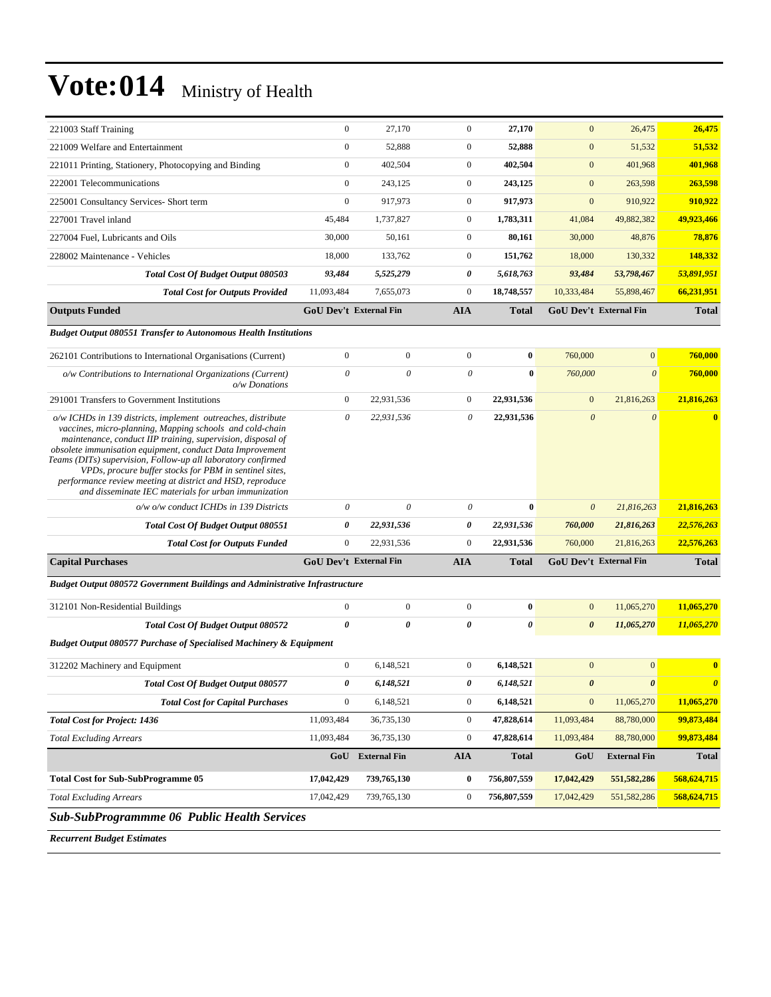| 221003 Staff Training                                                                                                                                                                                                                                                                                                                                                                                                                                                                               | $\mathbf{0}$          | 27,170                        | $\boldsymbol{0}$      | 27,170       | $\mathbf{0}$          | 26,475                        | 26,475                |
|-----------------------------------------------------------------------------------------------------------------------------------------------------------------------------------------------------------------------------------------------------------------------------------------------------------------------------------------------------------------------------------------------------------------------------------------------------------------------------------------------------|-----------------------|-------------------------------|-----------------------|--------------|-----------------------|-------------------------------|-----------------------|
| 221009 Welfare and Entertainment                                                                                                                                                                                                                                                                                                                                                                                                                                                                    | $\mathbf{0}$          | 52,888                        | $\mathbf{0}$          | 52,888       | $\mathbf{0}$          | 51,532                        | 51,532                |
| 221011 Printing, Stationery, Photocopying and Binding                                                                                                                                                                                                                                                                                                                                                                                                                                               | $\mathbf{0}$          | 402,504                       | $\mathbf{0}$          | 402,504      | $\mathbf{0}$          | 401,968                       | 401,968               |
| 222001 Telecommunications                                                                                                                                                                                                                                                                                                                                                                                                                                                                           | $\mathbf{0}$          | 243,125                       | $\boldsymbol{0}$      | 243,125      | $\mathbf{0}$          | 263,598                       | 263,598               |
| 225001 Consultancy Services- Short term                                                                                                                                                                                                                                                                                                                                                                                                                                                             | $\mathbf{0}$          | 917,973                       | $\boldsymbol{0}$      | 917,973      | $\mathbf{0}$          | 910,922                       | 910,922               |
| 227001 Travel inland                                                                                                                                                                                                                                                                                                                                                                                                                                                                                | 45,484                | 1,737,827                     | $\boldsymbol{0}$      | 1,783,311    | 41,084                | 49,882,382                    | 49,923,466            |
| 227004 Fuel, Lubricants and Oils                                                                                                                                                                                                                                                                                                                                                                                                                                                                    | 30,000                | 50,161                        | $\mathbf{0}$          | 80,161       | 30,000                | 48,876                        | 78,876                |
| 228002 Maintenance - Vehicles                                                                                                                                                                                                                                                                                                                                                                                                                                                                       | 18,000                | 133,762                       | $\boldsymbol{0}$      | 151,762      | 18,000                | 130,332                       | 148,332               |
| Total Cost Of Budget Output 080503                                                                                                                                                                                                                                                                                                                                                                                                                                                                  | 93,484                | 5,525,279                     | 0                     | 5,618,763    | 93,484                | 53,798,467                    | 53,891,951            |
| <b>Total Cost for Outputs Provided</b>                                                                                                                                                                                                                                                                                                                                                                                                                                                              | 11,093,484            | 7,655,073                     | $\boldsymbol{0}$      | 18,748,557   | 10,333,484            | 55,898,467                    | 66,231,951            |
| <b>Outputs Funded</b>                                                                                                                                                                                                                                                                                                                                                                                                                                                                               |                       | <b>GoU Dev't External Fin</b> | <b>AIA</b>            | <b>Total</b> |                       | GoU Dev't External Fin        | <b>Total</b>          |
| <b>Budget Output 080551 Transfer to Autonomous Health Institutions</b>                                                                                                                                                                                                                                                                                                                                                                                                                              |                       |                               |                       |              |                       |                               |                       |
| 262101 Contributions to International Organisations (Current)                                                                                                                                                                                                                                                                                                                                                                                                                                       | $\boldsymbol{0}$      | $\boldsymbol{0}$              | $\boldsymbol{0}$      | $\bf{0}$     | 760,000               | $\mathbf{0}$                  | 760,000               |
| o/w Contributions to International Organizations (Current)<br>o/w Donations                                                                                                                                                                                                                                                                                                                                                                                                                         | $\theta$              | $\theta$                      | $\theta$              | $\bf{0}$     | 760,000               | $\theta$                      | 760,000               |
| 291001 Transfers to Government Institutions                                                                                                                                                                                                                                                                                                                                                                                                                                                         | $\mathbf{0}$          | 22,931,536                    | $\boldsymbol{0}$      | 22,931,536   | $\mathbf{0}$          | 21,816,263                    | 21,816,263            |
| o/w ICHDs in 139 districts, implement outreaches, distribute<br>vaccines, micro-planning, Mapping schools and cold-chain<br>maintenance, conduct IIP training, supervision, disposal of<br>obsolete immunisation equipment, conduct Data Improvement<br>Teams (DITs) supervision, Follow-up all laboratory confirmed<br>VPDs, procure buffer stocks for PBM in sentinel sites,<br>performance review meeting at district and HSD, reproduce<br>and disseminate IEC materials for urban immunization | $\theta$              | 22,931,536                    | $\theta$              | 22,931,536   | $\boldsymbol{\theta}$ | $\boldsymbol{\theta}$         | $\bf{0}$              |
| o/w o/w conduct ICHDs in 139 Districts                                                                                                                                                                                                                                                                                                                                                                                                                                                              | $\boldsymbol{\theta}$ | $\boldsymbol{\theta}$         | 0                     | $\bf{0}$     | $\boldsymbol{\theta}$ | 21,816,263                    | 21,816,263            |
| <b>Total Cost Of Budget Output 080551</b>                                                                                                                                                                                                                                                                                                                                                                                                                                                           | 0                     | 22,931,536                    | 0                     | 22,931,536   | 760,000               | 21,816,263                    | 22,576,263            |
| <b>Total Cost for Outputs Funded</b>                                                                                                                                                                                                                                                                                                                                                                                                                                                                | $\mathbf{0}$          | 22,931,536                    | $\overline{0}$        | 22,931,536   | 760,000               | 21,816,263                    | 22,576,263            |
| <b>Capital Purchases</b>                                                                                                                                                                                                                                                                                                                                                                                                                                                                            |                       | <b>GoU Dev't External Fin</b> | <b>AIA</b>            | <b>Total</b> |                       | <b>GoU Dev't External Fin</b> | <b>Total</b>          |
| <b>Budget Output 080572 Government Buildings and Administrative Infrastructure</b>                                                                                                                                                                                                                                                                                                                                                                                                                  |                       |                               |                       |              |                       |                               |                       |
| 312101 Non-Residential Buildings                                                                                                                                                                                                                                                                                                                                                                                                                                                                    | $\boldsymbol{0}$      | $\boldsymbol{0}$              | $\boldsymbol{0}$      | $\bf{0}$     | $\mathbf{0}$          | 11,065,270                    | 11,065,270            |
| <b>Total Cost Of Budget Output 080572</b>                                                                                                                                                                                                                                                                                                                                                                                                                                                           | 0                     | 0                             | $\boldsymbol{\theta}$ | 0            | $\boldsymbol{\theta}$ | 11,065,270                    | 11,065,270            |
| <b>Budget Output 080577 Purchase of Specialised Machinery &amp; Equipment</b>                                                                                                                                                                                                                                                                                                                                                                                                                       |                       |                               |                       |              |                       |                               |                       |
| 312202 Machinery and Equipment                                                                                                                                                                                                                                                                                                                                                                                                                                                                      | $\boldsymbol{0}$      | 6,148,521                     | $\boldsymbol{0}$      | 6,148,521    | $\mathbf{0}$          | $\mathbf{0}$                  | $\bf{0}$              |
| Total Cost Of Budget Output 080577                                                                                                                                                                                                                                                                                                                                                                                                                                                                  | 0                     | 6,148,521                     | 0                     | 6,148,521    | $\pmb{\theta}$        | $\boldsymbol{\theta}$         | $\boldsymbol{\theta}$ |
| <b>Total Cost for Capital Purchases</b>                                                                                                                                                                                                                                                                                                                                                                                                                                                             | $\mathbf{0}$          | 6,148,521                     | $\boldsymbol{0}$      | 6,148,521    | $\boldsymbol{0}$      | 11,065,270                    | 11,065,270            |
| <b>Total Cost for Project: 1436</b>                                                                                                                                                                                                                                                                                                                                                                                                                                                                 | 11,093,484            | 36,735,130                    | $\boldsymbol{0}$      | 47,828,614   | 11,093,484            | 88,780,000                    | 99,873,484            |
| <b>Total Excluding Arrears</b>                                                                                                                                                                                                                                                                                                                                                                                                                                                                      | 11,093,484            | 36,735,130                    | $\boldsymbol{0}$      | 47,828,614   | 11,093,484            | 88,780,000                    | 99,873,484            |
|                                                                                                                                                                                                                                                                                                                                                                                                                                                                                                     | GoU                   | <b>External Fin</b>           | <b>AIA</b>            | <b>Total</b> | GoU                   | <b>External Fin</b>           | <b>Total</b>          |
| <b>Total Cost for Sub-SubProgramme 05</b>                                                                                                                                                                                                                                                                                                                                                                                                                                                           | 17,042,429            | 739,765,130                   | $\bf{0}$              | 756,807,559  | 17,042,429            | 551, 582, 286                 | 568,624,715           |
| <b>Total Excluding Arrears</b>                                                                                                                                                                                                                                                                                                                                                                                                                                                                      | 17,042,429            | 739,765,130                   | $\boldsymbol{0}$      | 756,807,559  | 17,042,429            | 551, 582, 286                 | 568,624,715           |
| <b>Sub-SubProgrammme 06 Public Health Services</b>                                                                                                                                                                                                                                                                                                                                                                                                                                                  |                       |                               |                       |              |                       |                               |                       |

*Recurrent Budget Estimates*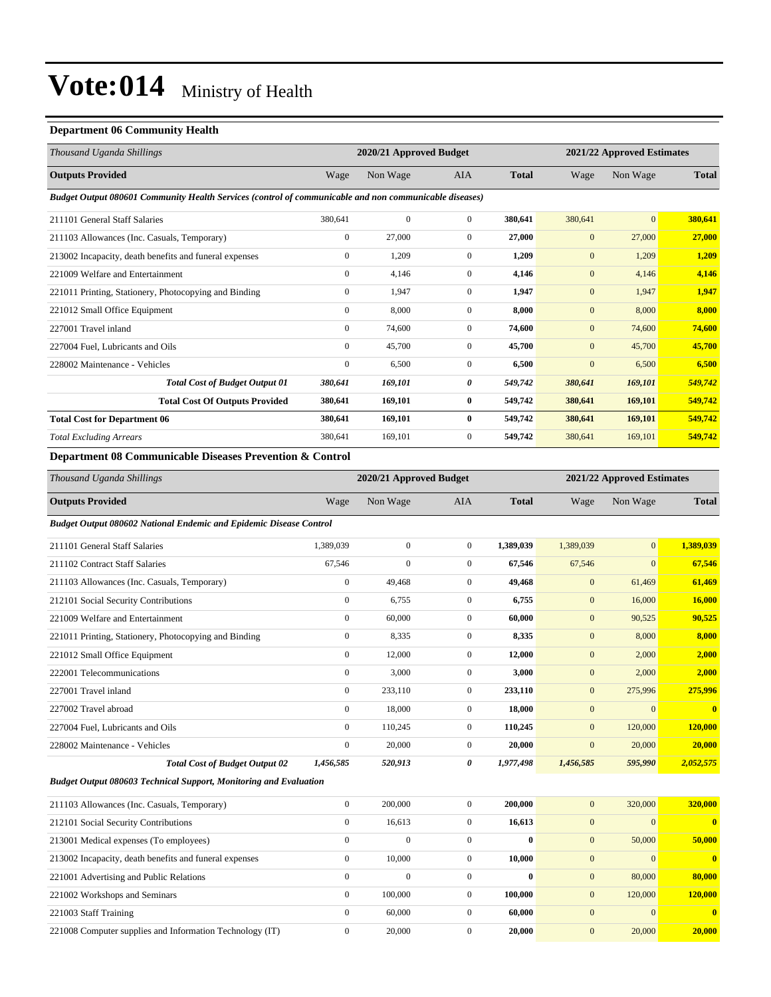#### **Department 06 Community Health**

| Thousand Uganda Shillings                                                                              |                  | 2020/21 Approved Budget |                  |              | 2021/22 Approved Estimates |                            |              |
|--------------------------------------------------------------------------------------------------------|------------------|-------------------------|------------------|--------------|----------------------------|----------------------------|--------------|
| <b>Outputs Provided</b>                                                                                | Wage             | Non Wage                | <b>AIA</b>       | <b>Total</b> | Wage                       | Non Wage                   | <b>Total</b> |
| Budget Output 080601 Community Health Services (control of communicable and non communicable diseases) |                  |                         |                  |              |                            |                            |              |
| 211101 General Staff Salaries                                                                          | 380,641          | $\boldsymbol{0}$        | $\boldsymbol{0}$ | 380,641      | 380,641                    | $\mathbf{0}$               | 380,641      |
| 211103 Allowances (Inc. Casuals, Temporary)                                                            | $\boldsymbol{0}$ | 27,000                  | $\boldsymbol{0}$ | 27,000       | $\mathbf{0}$               | 27,000                     | 27,000       |
| 213002 Incapacity, death benefits and funeral expenses                                                 | $\boldsymbol{0}$ | 1,209                   | $\boldsymbol{0}$ | 1,209        | $\mathbf{0}$               | 1,209                      | 1,209        |
| 221009 Welfare and Entertainment                                                                       | $\boldsymbol{0}$ | 4,146                   | $\boldsymbol{0}$ | 4,146        | $\boldsymbol{0}$           | 4,146                      | 4,146        |
| 221011 Printing, Stationery, Photocopying and Binding                                                  | $\boldsymbol{0}$ | 1,947                   | $\boldsymbol{0}$ | 1,947        | $\mathbf{0}$               | 1,947                      | 1,947        |
| 221012 Small Office Equipment                                                                          | $\mathbf{0}$     | 8,000                   | $\boldsymbol{0}$ | 8,000        | $\mathbf{0}$               | 8,000                      | 8,000        |
| 227001 Travel inland                                                                                   | $\boldsymbol{0}$ | 74,600                  | $\boldsymbol{0}$ | 74,600       | $\mathbf{0}$               | 74,600                     | 74,600       |
| 227004 Fuel, Lubricants and Oils                                                                       | $\boldsymbol{0}$ | 45,700                  | $\boldsymbol{0}$ | 45,700       | $\mathbf{0}$               | 45,700                     | 45,700       |
| 228002 Maintenance - Vehicles                                                                          | $\boldsymbol{0}$ | 6,500                   | $\boldsymbol{0}$ | 6,500        | $\boldsymbol{0}$           | 6,500                      | 6,500        |
| <b>Total Cost of Budget Output 01</b>                                                                  | 380,641          | 169,101                 | 0                | 549,742      | 380,641                    | 169,101                    | 549,742      |
| <b>Total Cost Of Outputs Provided</b>                                                                  | 380,641          | 169,101                 | $\bf{0}$         | 549,742      | 380,641                    | 169,101                    | 549,742      |
| <b>Total Cost for Department 06</b>                                                                    | 380,641          | 169,101                 | $\bf{0}$         | 549,742      | 380,641                    | 169,101                    | 549,742      |
| <b>Total Excluding Arrears</b>                                                                         | 380,641          | 169,101                 | $\boldsymbol{0}$ | 549,742      | 380,641                    | 169,101                    | 549,742      |
| Department 08 Communicable Diseases Prevention & Control                                               |                  |                         |                  |              |                            |                            |              |
| Thousand Uganda Shillings                                                                              |                  | 2020/21 Approved Budget |                  |              |                            | 2021/22 Approved Estimates |              |
| <b>Outputs Provided</b>                                                                                | Wage             | Non Wage                | AIA              | <b>Total</b> | Wage                       | Non Wage                   | <b>Total</b> |
| <b>Budget Output 080602 National Endemic and Epidemic Disease Control</b>                              |                  |                         |                  |              |                            |                            |              |
| 211101 General Staff Salaries                                                                          | 1,389,039        | $\boldsymbol{0}$        | $\mathbf{0}$     | 1,389,039    | 1,389,039                  | $\boldsymbol{0}$           | 1,389,039    |
| 211102 Contract Staff Salaries                                                                         | 67,546           | $\mathbf{0}$            | $\boldsymbol{0}$ | 67,546       | 67,546                     | $\mathbf{0}$               | 67,546       |
| 211103 Allowances (Inc. Casuals, Temporary)                                                            | $\boldsymbol{0}$ | 49,468                  | $\boldsymbol{0}$ | 49,468       | $\mathbf{0}$               | 61,469                     | 61,469       |
| 212101 Social Security Contributions                                                                   | $\boldsymbol{0}$ | 6,755                   | $\boldsymbol{0}$ | 6,755        | $\mathbf{0}$               | 16,000                     | 16,000       |
| 221009 Welfare and Entertainment                                                                       | $\boldsymbol{0}$ | 60,000                  | $\boldsymbol{0}$ | 60,000       | $\mathbf{0}$               | 90,525                     | 90,525       |
| 221011 Printing, Stationery, Photocopying and Binding                                                  | $\boldsymbol{0}$ | 8,335                   | $\boldsymbol{0}$ | 8,335        | $\boldsymbol{0}$           | 8,000                      | 8,000        |
| 221012 Small Office Equipment                                                                          | $\boldsymbol{0}$ | 12,000                  | $\boldsymbol{0}$ | 12,000       | $\mathbf{0}$               | 2,000                      | 2,000        |
| 222001 Telecommunications                                                                              | $\boldsymbol{0}$ | 3,000                   | $\boldsymbol{0}$ | 3,000        | $\boldsymbol{0}$           | 2,000                      | 2,000        |
| 227001 Travel inland                                                                                   | $\boldsymbol{0}$ | 233,110                 | $\boldsymbol{0}$ | 233,110      | $\mathbf{0}$               | 275,996                    | 275,996      |
| 227002 Travel abroad                                                                                   | $\boldsymbol{0}$ | 18,000                  | $\boldsymbol{0}$ | 18,000       | $\mathbf{0}$               | $\mathbf{0}$               | $\bf{0}$     |
| 227004 Fuel, Lubricants and Oils                                                                       | $\boldsymbol{0}$ | 110,245                 | $\boldsymbol{0}$ | 110,245      | $\mathbf{0}$               | 120,000                    | 120,000      |
| 228002 Maintenance - Vehicles                                                                          | $\mathbf{0}$     | 20,000                  | $\mathbf{0}$     | 20.000       | $\mathbf{0}$               | 20,000                     | 20,000       |

*Total Cost of Budget Output 02 1,456,585 520,913 0 1,977,498 1,456,585 595,990 2,052,575 Budget Output 080603 Technical Support, Monitoring and Evaluation*

| 211103 Allowances (Inc. Casuals, Temporary)              | $\Omega$ | 200,000      | $\Omega$     | 200,000      | 320,000<br>$\mathbf{0}$ | 320,000  |
|----------------------------------------------------------|----------|--------------|--------------|--------------|-------------------------|----------|
| 212101 Social Security Contributions                     |          | 16,613       | $\mathbf{0}$ | 16,613       | $\mathbf{0}$            | $\Omega$ |
| 213001 Medical expenses (To employees)                   |          | $\mathbf{0}$ | 0            | $\mathbf{0}$ | 50,000<br>$\mathbf{0}$  | 50,000   |
| 213002 Incapacity, death benefits and funeral expenses   |          | 10.000       | $\Omega$     | 10.000       | $\mathbf{0}$            |          |
| 221001 Advertising and Public Relations                  |          | $\mathbf{0}$ | $\Omega$     | $\mathbf{0}$ | 80,000<br>$\mathbf{0}$  | 80,000   |
| 221002 Workshops and Seminars                            | $\Omega$ | 100,000      | $\Omega$     | 100.000      | 120,000<br>$\mathbf{0}$ | 120,000  |
| 221003 Staff Training                                    |          | 60,000       | $\Omega$     | 60.000       | $\mathbf{0}$            | $\Omega$ |
| 221008 Computer supplies and Information Technology (IT) |          | 20,000       |              | 20,000       | 20,000<br>$\mathbf{0}$  | 20,000   |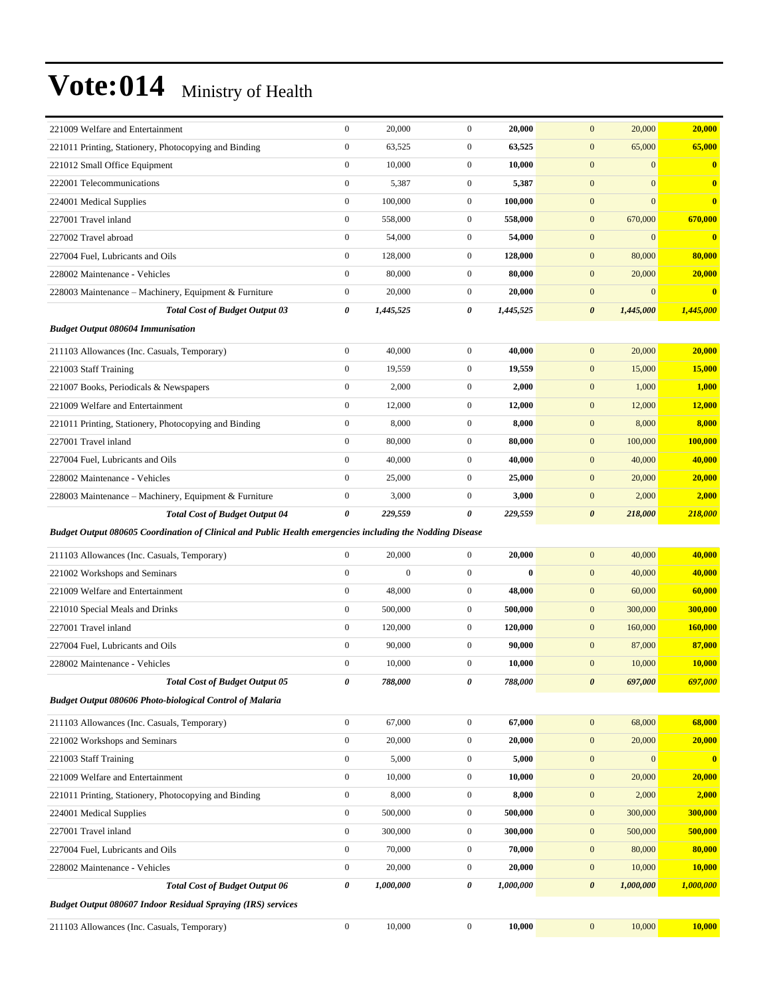| 221009 Welfare and Entertainment                                                                          | $\boldsymbol{0}$      | 20,000       | $\boldsymbol{0}$ | 20,000       | $\boldsymbol{0}$<br>20,000           | 20,000                  |
|-----------------------------------------------------------------------------------------------------------|-----------------------|--------------|------------------|--------------|--------------------------------------|-------------------------|
| 221011 Printing, Stationery, Photocopying and Binding                                                     | $\boldsymbol{0}$      | 63,525       | $\boldsymbol{0}$ | 63,525       | $\mathbf{0}$<br>65,000               | 65,000                  |
| 221012 Small Office Equipment                                                                             | $\boldsymbol{0}$      | 10,000       | $\boldsymbol{0}$ | 10,000       | $\mathbf{0}$<br>$\mathbf{0}$         | $\bf{0}$                |
| 222001 Telecommunications                                                                                 | $\boldsymbol{0}$      | 5,387        | $\boldsymbol{0}$ | 5,387        | $\mathbf{0}$<br>$\overline{0}$       | $\bf{0}$                |
| 224001 Medical Supplies                                                                                   | $\boldsymbol{0}$      | 100,000      | $\mathbf{0}$     | 100,000      | $\boldsymbol{0}$<br>$\overline{0}$   | $\bf{0}$                |
| 227001 Travel inland                                                                                      | $\boldsymbol{0}$      | 558,000      | $\boldsymbol{0}$ | 558,000      | $\boldsymbol{0}$<br>670,000          | 670,000                 |
| 227002 Travel abroad                                                                                      | $\boldsymbol{0}$      | 54,000       | $\boldsymbol{0}$ | 54,000       | $\mathbf{0}$<br>$\overline{0}$       | $\bf{0}$                |
| 227004 Fuel, Lubricants and Oils                                                                          | $\boldsymbol{0}$      | 128,000      | $\mathbf{0}$     | 128,000      | 80,000<br>$\mathbf{0}$               | 80,000                  |
| 228002 Maintenance - Vehicles                                                                             | $\boldsymbol{0}$      | 80,000       | $\boldsymbol{0}$ | 80,000       | $\mathbf{0}$<br>20,000               | 20,000                  |
| 228003 Maintenance - Machinery, Equipment & Furniture                                                     | $\boldsymbol{0}$      | 20,000       | $\mathbf{0}$     | 20,000       | $\boldsymbol{0}$<br>$\mathbf{0}$     | $\bf{0}$                |
| <b>Total Cost of Budget Output 03</b>                                                                     | 0                     | 1,445,525    | 0                | 1,445,525    | $\boldsymbol{\theta}$<br>1,445,000   | 1,445,000               |
| <b>Budget Output 080604 Immunisation</b>                                                                  |                       |              |                  |              |                                      |                         |
| 211103 Allowances (Inc. Casuals, Temporary)                                                               | $\boldsymbol{0}$      | 40,000       | $\boldsymbol{0}$ | 40,000       | $\mathbf{0}$<br>20,000               | 20,000                  |
| 221003 Staff Training                                                                                     | $\boldsymbol{0}$      | 19,559       | $\boldsymbol{0}$ | 19,559       | $\boldsymbol{0}$<br>15,000           | 15,000                  |
| 221007 Books, Periodicals & Newspapers                                                                    | $\boldsymbol{0}$      | 2,000        | $\overline{0}$   | 2,000        | $\boldsymbol{0}$<br>1,000            | 1,000                   |
| 221009 Welfare and Entertainment                                                                          | $\boldsymbol{0}$      | 12,000       | $\mathbf{0}$     | 12,000       | $\mathbf{0}$<br>12,000               | 12,000                  |
| 221011 Printing, Stationery, Photocopying and Binding                                                     | $\boldsymbol{0}$      | 8,000        | $\mathbf{0}$     | 8,000        | $\boldsymbol{0}$<br>8,000            | 8,000                   |
| 227001 Travel inland                                                                                      | $\mathbf{0}$          | 80,000       | $\boldsymbol{0}$ | 80,000       | $\mathbf{0}$<br>100,000              | 100,000                 |
| 227004 Fuel, Lubricants and Oils                                                                          | $\boldsymbol{0}$      | 40,000       | $\mathbf{0}$     | 40,000       | $\mathbf{0}$<br>40,000               | 40,000                  |
| 228002 Maintenance - Vehicles                                                                             | $\boldsymbol{0}$      | 25,000       | $\mathbf{0}$     | 25,000       | $\boldsymbol{0}$<br>20,000           | 20,000                  |
| 228003 Maintenance – Machinery, Equipment & Furniture                                                     | $\boldsymbol{0}$      | 3,000        | $\overline{0}$   | 3,000        | $\mathbf{0}$<br>2,000                | 2,000                   |
| <b>Total Cost of Budget Output 04</b>                                                                     | $\boldsymbol{\theta}$ | 229,559      | 0                | 229,559      | $\boldsymbol{\theta}$<br>218,000     | 218,000                 |
| Budget Output 080605 Coordination of Clinical and Public Health emergencies including the Nodding Disease |                       |              |                  |              |                                      |                         |
| 211103 Allowances (Inc. Casuals, Temporary)                                                               | $\boldsymbol{0}$      | 20,000       | $\overline{0}$   | 20,000       | $\mathbf{0}$<br>40,000               | 40,000                  |
| 221002 Workshops and Seminars                                                                             | $\boldsymbol{0}$      | $\mathbf{0}$ | $\boldsymbol{0}$ | $\mathbf{0}$ | $\mathbf{0}$<br>40,000               | 40,000                  |
| 221009 Welfare and Entertainment                                                                          | $\boldsymbol{0}$      | 48,000       | $\mathbf{0}$     | 48,000       | $\mathbf{0}$<br>60,000               | 60,000                  |
| 221010 Special Meals and Drinks                                                                           | $\boldsymbol{0}$      | 500,000      | $\mathbf{0}$     | 500,000      | $\mathbf{0}$<br>300,000              | 300,000                 |
| 227001 Travel inland                                                                                      | $\boldsymbol{0}$      | 120,000      | $\boldsymbol{0}$ | 120,000      | $\mathbf{0}$<br>160,000              | 160,000                 |
| 227004 Fuel, Lubricants and Oils                                                                          | $\boldsymbol{0}$      | 90,000       | $\boldsymbol{0}$ | 90,000       | $\mathbf{0}$<br>87,000               | 87,000                  |
| 228002 Maintenance - Vehicles                                                                             | $\boldsymbol{0}$      | 10,000       | $\boldsymbol{0}$ | 10,000       | $\mathbf{0}$<br>10,000               | 10,000                  |
| <b>Total Cost of Budget Output 05</b>                                                                     | 0                     | 788,000      | 0                | 788,000      | $\boldsymbol{\theta}$<br>697,000     | 697,000                 |
| Budget Output 080606 Photo-biological Control of Malaria                                                  |                       |              |                  |              |                                      |                         |
| 211103 Allowances (Inc. Casuals, Temporary)                                                               | $\boldsymbol{0}$      | 67,000       | $\boldsymbol{0}$ | 67,000       | $\boldsymbol{0}$<br>68,000           | 68,000                  |
| 221002 Workshops and Seminars                                                                             | $\boldsymbol{0}$      | 20,000       | $\boldsymbol{0}$ | 20,000       | $\boldsymbol{0}$<br>20,000           | 20,000                  |
| 221003 Staff Training                                                                                     | $\boldsymbol{0}$      | 5,000        | $\boldsymbol{0}$ | 5,000        | $\boldsymbol{0}$<br>$\boldsymbol{0}$ | $\overline{\mathbf{0}}$ |
| 221009 Welfare and Entertainment                                                                          | $\boldsymbol{0}$      | 10,000       | $\boldsymbol{0}$ | 10,000       | $\boldsymbol{0}$<br>20,000           | 20,000                  |
| 221011 Printing, Stationery, Photocopying and Binding                                                     | $\boldsymbol{0}$      | 8,000        | $\boldsymbol{0}$ | 8,000        | $\boldsymbol{0}$<br>2,000            | 2,000                   |
| 224001 Medical Supplies                                                                                   | $\boldsymbol{0}$      | 500,000      | $\boldsymbol{0}$ | 500,000      | $\boldsymbol{0}$<br>300,000          | 300,000                 |
| 227001 Travel inland                                                                                      | $\boldsymbol{0}$      | 300,000      | $\boldsymbol{0}$ | 300,000      | $\boldsymbol{0}$<br>500,000          | 500,000                 |
| 227004 Fuel, Lubricants and Oils                                                                          | $\boldsymbol{0}$      | 70,000       | $\boldsymbol{0}$ | 70,000       | $\boldsymbol{0}$<br>80,000           | 80,000                  |
| 228002 Maintenance - Vehicles                                                                             | $\boldsymbol{0}$      | 20,000       | $\boldsymbol{0}$ | 20,000       | $\boldsymbol{0}$<br>10,000           | 10,000                  |
| <b>Total Cost of Budget Output 06</b>                                                                     | $\pmb{\theta}$        | 1,000,000    | $\pmb{\theta}$   | 1,000,000    | $\boldsymbol{\theta}$<br>1,000,000   | 1,000,000               |
| <b>Budget Output 080607 Indoor Residual Spraying (IRS) services</b>                                       |                       |              |                  |              |                                      |                         |
| 211103 Allowances (Inc. Casuals, Temporary)                                                               | $\boldsymbol{0}$      | 10,000       | $\boldsymbol{0}$ | 10,000       | $\boldsymbol{0}$<br>10,000           | <b>10,000</b>           |
|                                                                                                           |                       |              |                  |              |                                      |                         |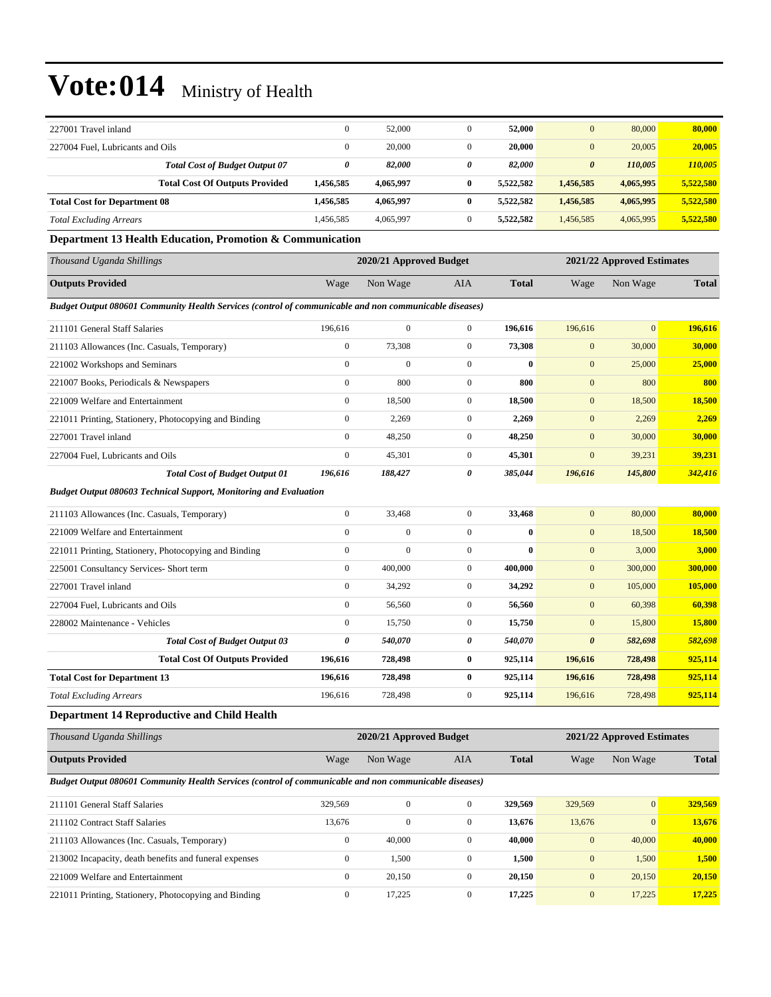| 227001 Travel inland                                                                                   | $\boldsymbol{0}$ | 52,000                  | $\boldsymbol{0}$ | 52,000       | $\mathbf{0}$          | 80,000                     | 80,000        |
|--------------------------------------------------------------------------------------------------------|------------------|-------------------------|------------------|--------------|-----------------------|----------------------------|---------------|
| 227004 Fuel, Lubricants and Oils                                                                       | $\boldsymbol{0}$ | 20,000                  | $\boldsymbol{0}$ | 20,000       | $\boldsymbol{0}$      | 20,005                     | 20,005        |
| <b>Total Cost of Budget Output 07</b>                                                                  | 0                | 82,000                  | 0                | 82,000       | $\boldsymbol{\theta}$ | 110,005                    | 110,005       |
| <b>Total Cost Of Outputs Provided</b>                                                                  | 1,456,585        | 4,065,997               | $\bf{0}$         | 5,522,582    | 1,456,585             | 4,065,995                  | 5,522,580     |
| <b>Total Cost for Department 08</b>                                                                    | 1,456,585        | 4,065,997               | $\bf{0}$         | 5,522,582    | 1,456,585             | 4,065,995                  | 5,522,580     |
| <b>Total Excluding Arrears</b>                                                                         | 1,456,585        | 4,065,997               | $\mathbf{0}$     | 5,522,582    | 1,456,585             | 4,065,995                  | 5,522,580     |
| Department 13 Health Education, Promotion & Communication                                              |                  |                         |                  |              |                       |                            |               |
| Thousand Uganda Shillings                                                                              |                  | 2020/21 Approved Budget |                  |              |                       | 2021/22 Approved Estimates |               |
| <b>Outputs Provided</b>                                                                                | Wage             | Non Wage                | AIA              | <b>Total</b> | Wage                  | Non Wage                   | <b>Total</b>  |
| Budget Output 080601 Community Health Services (control of communicable and non communicable diseases) |                  |                         |                  |              |                       |                            |               |
| 211101 General Staff Salaries                                                                          | 196,616          | $\boldsymbol{0}$        | $\boldsymbol{0}$ | 196,616      | 196,616               | $\overline{0}$             | 196,616       |
| 211103 Allowances (Inc. Casuals, Temporary)                                                            | $\boldsymbol{0}$ | 73,308                  | $\boldsymbol{0}$ | 73,308       | $\boldsymbol{0}$      | 30,000                     | 30,000        |
| 221002 Workshops and Seminars                                                                          | $\boldsymbol{0}$ | $\mathbf{0}$            | $\boldsymbol{0}$ | $\bf{0}$     | $\boldsymbol{0}$      | 25,000                     | 25,000        |
| 221007 Books, Periodicals & Newspapers                                                                 | $\boldsymbol{0}$ | 800                     | $\mathbf{0}$     | 800          | $\mathbf{0}$          | 800                        | 800           |
| 221009 Welfare and Entertainment                                                                       | $\boldsymbol{0}$ | 18,500                  | $\mathbf{0}$     | 18,500       | $\mathbf{0}$          | 18,500                     | 18,500        |
| 221011 Printing, Stationery, Photocopying and Binding                                                  | $\boldsymbol{0}$ | 2,269                   | $\boldsymbol{0}$ | 2,269        | $\mathbf{0}$          | 2,269                      | 2,269         |
| 227001 Travel inland                                                                                   | $\boldsymbol{0}$ | 48,250                  | $\boldsymbol{0}$ | 48,250       | $\mathbf{0}$          | 30,000                     | 30,000        |
| 227004 Fuel, Lubricants and Oils                                                                       | $\boldsymbol{0}$ | 45,301                  | $\boldsymbol{0}$ | 45,301       | $\mathbf{0}$          | 39,231                     | 39,231        |
| <b>Total Cost of Budget Output 01</b>                                                                  | 196,616          | 188,427                 | 0                | 385,044      | 196,616               | 145,800                    | 342,416       |
| <b>Budget Output 080603 Technical Support, Monitoring and Evaluation</b>                               |                  |                         |                  |              |                       |                            |               |
| 211103 Allowances (Inc. Casuals, Temporary)                                                            | $\boldsymbol{0}$ | 33,468                  | $\boldsymbol{0}$ | 33,468       | $\mathbf{0}$          | 80,000                     | 80,000        |
| 221009 Welfare and Entertainment                                                                       | $\boldsymbol{0}$ | $\overline{0}$          | $\boldsymbol{0}$ | $\bf{0}$     | $\boldsymbol{0}$      | 18,500                     | 18,500        |
| 221011 Printing, Stationery, Photocopying and Binding                                                  | $\boldsymbol{0}$ | $\mathbf{0}$            | $\boldsymbol{0}$ | $\bf{0}$     | $\mathbf{0}$          | 3,000                      | 3,000         |
| 225001 Consultancy Services- Short term                                                                | $\boldsymbol{0}$ | 400,000                 | $\mathbf{0}$     | 400,000      | $\boldsymbol{0}$      | 300,000                    | 300,000       |
| 227001 Travel inland                                                                                   | $\boldsymbol{0}$ | 34,292                  | $\mathbf{0}$     | 34,292       | $\mathbf{0}$          | 105,000                    | 105,000       |
| 227004 Fuel, Lubricants and Oils                                                                       | $\boldsymbol{0}$ | 56,560                  | $\mathbf{0}$     | 56,560       | $\mathbf{0}$          | 60,398                     | 60,398        |
| 228002 Maintenance - Vehicles                                                                          | $\boldsymbol{0}$ | 15,750                  | $\boldsymbol{0}$ | 15,750       | $\boldsymbol{0}$      | 15,800                     | <b>15,800</b> |
| <b>Total Cost of Budget Output 03</b>                                                                  | 0                | 540,070                 | 0                | 540,070      | $\boldsymbol{\theta}$ | 582,698                    | 582,698       |
| <b>Total Cost Of Outputs Provided</b>                                                                  | 196,616          | 728,498                 | $\bf{0}$         | 925,114      | 196,616               | 728,498                    | 925,114       |
| <b>Total Cost for Department 13</b>                                                                    | 196,616          | 728,498                 | $\bf{0}$         | 925,114      | 196,616               | 728,498                    | 925,114       |
| <b>Total Excluding Arrears</b>                                                                         | 196,616          | 728,498                 | $\boldsymbol{0}$ | 925,114      | 196,616               | 728,498                    | 925,114       |
| <b>Department 14 Reproductive and Child Health</b>                                                     |                  |                         |                  |              |                       |                            |               |
| Thousand Uganda Shillings                                                                              |                  | 2020/21 Approved Budget |                  |              |                       | 2021/22 Approved Estimates |               |
| <b>Outputs Provided</b>                                                                                | Wage             | Non Wage                | AIA              | <b>Total</b> | Wage                  | Non Wage                   | <b>Total</b>  |
| Budget Output 080601 Community Health Services (control of communicable and non communicable diseases) |                  |                         |                  |              |                       |                            |               |
| 211101 General Staff Salaries                                                                          | 329,569          | $\boldsymbol{0}$        | $\boldsymbol{0}$ | 329,569      | 329,569               | $\boldsymbol{0}$           | 329,569       |
| 211102 Contract Staff Salaries                                                                         | 13,676           | $\boldsymbol{0}$        | $\boldsymbol{0}$ | 13,676       | 13,676                | $\mathbf{0}$               | 13,676        |
| 211103 Allowances (Inc. Casuals, Temporary)                                                            | $\boldsymbol{0}$ | 40,000                  | $\boldsymbol{0}$ | 40,000       | $\boldsymbol{0}$      | 40,000                     | 40,000        |
| 213002 Incapacity, death benefits and funeral expenses                                                 | $\boldsymbol{0}$ | 1,500                   | $\boldsymbol{0}$ | 1,500        | $\mathbf{0}$          | 1,500                      | <b>1,500</b>  |
| 221009 Welfare and Entertainment                                                                       | $\boldsymbol{0}$ | 20,150                  | $\boldsymbol{0}$ | 20,150       | $\mathbf{0}$          | 20,150                     | 20,150        |
| 221011 Printing, Stationery, Photocopying and Binding                                                  | $\boldsymbol{0}$ | 17,225                  | $\boldsymbol{0}$ | 17,225       | $\mathbf{0}$          | 17,225                     | 17,225        |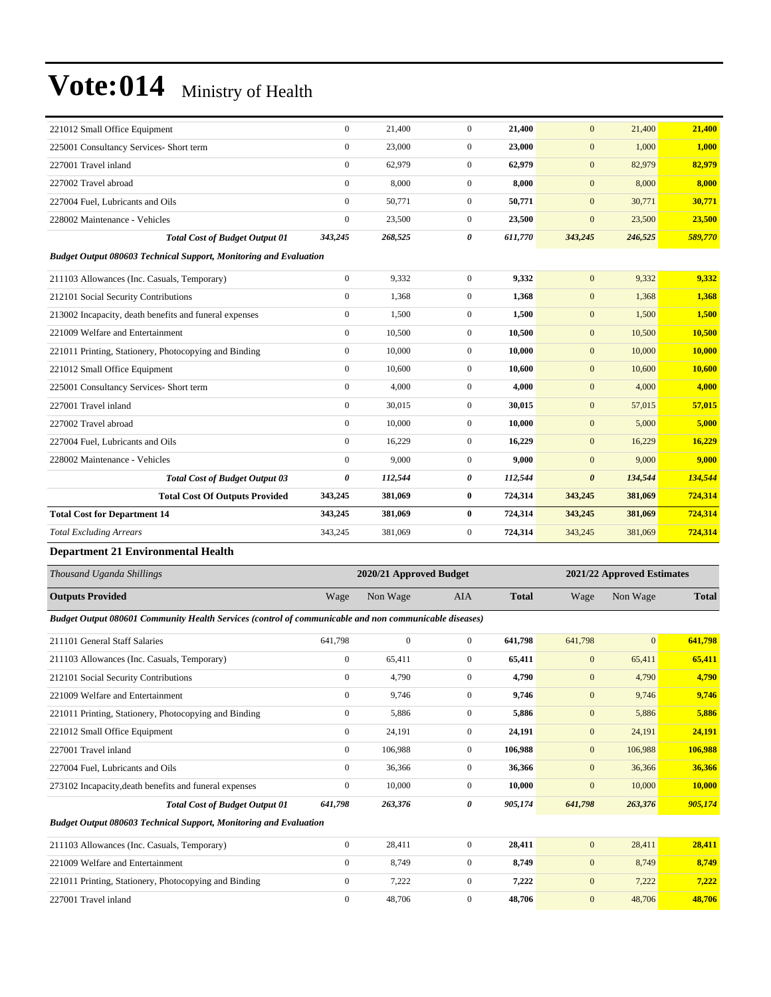| 221012 Small Office Equipment                                            | $\theta$              | 21,400  | $\mathbf{0}$   | 21,400  | $\overline{0}$        | 21,400  | 21,400  |
|--------------------------------------------------------------------------|-----------------------|---------|----------------|---------|-----------------------|---------|---------|
| 225001 Consultancy Services- Short term                                  | $\mathbf{0}$          | 23,000  | $\mathbf{0}$   | 23,000  | $\mathbf{0}$          | 1,000   | 1,000   |
| 227001 Travel inland                                                     | $\Omega$              | 62,979  | $\Omega$       | 62,979  | $\overline{0}$        | 82,979  | 82,979  |
| 227002 Travel abroad                                                     | $\mathbf{0}$          | 8,000   | $\overline{0}$ | 8.000   | $\overline{0}$        | 8,000   | 8,000   |
| 227004 Fuel, Lubricants and Oils                                         | $\Omega$              | 50,771  | $\overline{0}$ | 50,771  | $\overline{0}$        | 30,771  | 30,771  |
| 228002 Maintenance - Vehicles                                            | $\mathbf{0}$          | 23,500  | $\overline{0}$ | 23,500  | $\overline{0}$        | 23,500  | 23,500  |
| <b>Total Cost of Budget Output 01</b>                                    | 343,245               | 268,525 | 0              | 611,770 | 343,245               | 246,525 | 589,770 |
| <b>Budget Output 080603 Technical Support, Monitoring and Evaluation</b> |                       |         |                |         |                       |         |         |
| 211103 Allowances (Inc. Casuals, Temporary)                              | $\mathbf{0}$          | 9,332   | $\overline{0}$ | 9.332   | $\overline{0}$        | 9,332   | 9,332   |
| 212101 Social Security Contributions                                     | $\mathbf{0}$          | 1,368   | $\overline{0}$ | 1,368   | $\mathbf{0}$          | 1,368   | 1,368   |
| 213002 Incapacity, death benefits and funeral expenses                   | $\overline{0}$        | 1.500   | $\overline{0}$ | 1,500   | $\mathbf{0}$          | 1,500   | 1,500   |
| 221009 Welfare and Entertainment                                         | $\mathbf{0}$          | 10,500  | $\overline{0}$ | 10,500  | $\mathbf{0}$          | 10,500  | 10,500  |
| 221011 Printing, Stationery, Photocopying and Binding                    | $\overline{0}$        | 10,000  | $\overline{0}$ | 10,000  | $\mathbf{0}$          | 10,000  | 10,000  |
| 221012 Small Office Equipment                                            | $\mathbf{0}$          | 10,600  | $\overline{0}$ | 10,600  | $\mathbf{0}$          | 10,600  | 10,600  |
| 225001 Consultancy Services- Short term                                  | $\mathbf{0}$          | 4,000   | $\overline{0}$ | 4,000   | $\mathbf{0}$          | 4,000   | 4,000   |
| 227001 Travel inland                                                     | $\mathbf{0}$          | 30.015  | $\overline{0}$ | 30.015  | $\mathbf{0}$          | 57,015  | 57,015  |
| 227002 Travel abroad                                                     | $\mathbf{0}$          | 10,000  | $\overline{0}$ | 10,000  | $\mathbf{0}$          | 5,000   | 5,000   |
| 227004 Fuel, Lubricants and Oils                                         | $\mathbf{0}$          | 16,229  | $\overline{0}$ | 16,229  | $\overline{0}$        | 16,229  | 16,229  |
| 228002 Maintenance - Vehicles                                            | $\mathbf{0}$          | 9,000   | $\overline{0}$ | 9,000   | $\mathbf{0}$          | 9,000   | 9,000   |
| <b>Total Cost of Budget Output 03</b>                                    | $\boldsymbol{\theta}$ | 112,544 | 0              | 112,544 | $\boldsymbol{\theta}$ | 134,544 | 134,544 |
| <b>Total Cost Of Outputs Provided</b>                                    | 343,245               | 381,069 | $\bf{0}$       | 724,314 | 343,245               | 381,069 | 724,314 |
| <b>Total Cost for Department 14</b>                                      | 343,245               | 381,069 | $\bf{0}$       | 724,314 | 343,245               | 381,069 | 724,314 |
| <b>Total Excluding Arrears</b>                                           | 343,245               | 381,069 | $\mathbf{0}$   | 724,314 | 343,245               | 381,069 | 724,314 |
|                                                                          |                       |         |                |         |                       |         |         |

#### **Department 21 Environmental Health**

| Thousand Uganda Shillings                                                                              |                | 2020/21 Approved Budget |                |              |                | 2021/22 Approved Estimates |              |  |
|--------------------------------------------------------------------------------------------------------|----------------|-------------------------|----------------|--------------|----------------|----------------------------|--------------|--|
| <b>Outputs Provided</b>                                                                                | Wage           | Non Wage                | <b>AIA</b>     | <b>Total</b> | Wage           | Non Wage                   | <b>Total</b> |  |
| Budget Output 080601 Community Health Services (control of communicable and non communicable diseases) |                |                         |                |              |                |                            |              |  |
| 211101 General Staff Salaries                                                                          | 641,798        | $\mathbf{0}$            | $\overline{0}$ | 641.798      | 641,798        | $\mathbf{0}$               | 641,798      |  |
| 211103 Allowances (Inc. Casuals, Temporary)                                                            | $\mathbf{0}$   | 65,411                  | $\overline{0}$ | 65,411       | $\mathbf{0}$   | 65,411                     | 65,411       |  |
| 212101 Social Security Contributions                                                                   | $\overline{0}$ | 4,790                   | $\mathbf{0}$   | 4.790        | $\overline{0}$ | 4,790                      | 4,790        |  |
| 221009 Welfare and Entertainment                                                                       | $\mathbf{0}$   | 9,746                   | $\Omega$       | 9,746        | $\mathbf{0}$   | 9,746                      | 9,746        |  |
| 221011 Printing, Stationery, Photocopying and Binding                                                  | $\overline{0}$ | 5,886                   | $\Omega$       | 5,886        | $\mathbf{0}$   | 5,886                      | 5,886        |  |
| 221012 Small Office Equipment                                                                          | $\overline{0}$ | 24,191                  | $\mathbf{0}$   | 24,191       | $\mathbf{0}$   | 24,191                     | 24,191       |  |
| 227001 Travel inland                                                                                   | $\Omega$       | 106,988                 | $\mathbf{0}$   | 106,988      | $\overline{0}$ | 106,988                    | 106,988      |  |
| 227004 Fuel, Lubricants and Oils                                                                       | $\overline{0}$ | 36,366                  | $\mathbf{0}$   | 36,366       | $\overline{0}$ | 36,366                     | 36,366       |  |
| 273102 Incapacity, death benefits and funeral expenses                                                 | $\mathbf{0}$   | 10,000                  | $\Omega$       | 10,000       | $\mathbf{0}$   | 10,000                     | 10,000       |  |
| <b>Total Cost of Budget Output 01</b>                                                                  | 641,798        | 263,376                 | 0              | 905,174      | 641,798        | 263,376                    | 905,174      |  |
| <b>Budget Output 080603 Technical Support, Monitoring and Evaluation</b>                               |                |                         |                |              |                |                            |              |  |
| 211103 Allowances (Inc. Casuals, Temporary)                                                            | $\overline{0}$ | 28,411                  | $\overline{0}$ | 28,411       | $\mathbf{0}$   | 28,411                     | 28,411       |  |
| 221009 Welfare and Entertainment                                                                       | $\Omega$       | 8,749                   | $\overline{0}$ | 8,749        | $\mathbf{0}$   | 8,749                      | 8,749        |  |
| 221011 Printing, Stationery, Photocopying and Binding                                                  | $\overline{0}$ | 7,222                   | $\overline{0}$ | 7,222        | $\mathbf{0}$   | 7,222                      | 7,222        |  |
| 227001 Travel inland                                                                                   | $\mathbf{0}$   | 48,706                  | $\Omega$       | 48,706       | $\mathbf{0}$   | 48,706                     | 48,706       |  |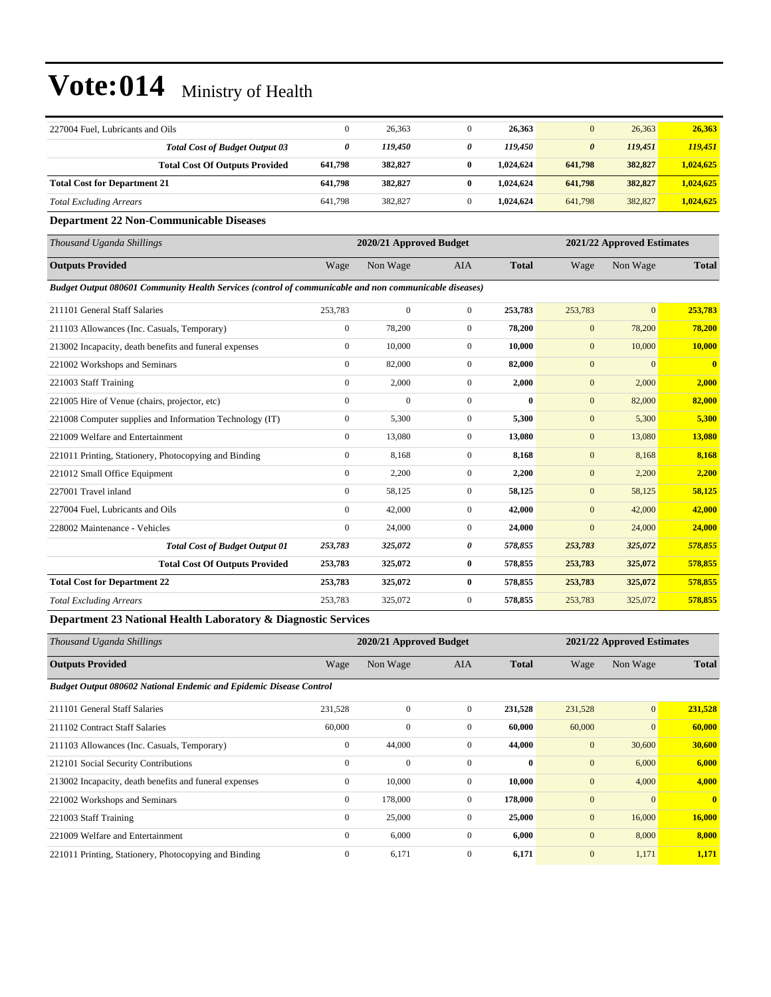|         | 26,363  |   | 26,363    | $\mathbf{0}$          | 26,363  | 26,363    |
|---------|---------|---|-----------|-----------------------|---------|-----------|
| 0       | 119,450 | 0 | 119.450   | $\boldsymbol{\theta}$ | 119,451 | 119,451   |
| 641.798 | 382,827 |   | 1.024.624 | 641,798               | 382,827 | 1,024,625 |
| 641,798 | 382,827 |   | 1.024.624 | 641,798               | 382,827 | 1.024.625 |
| 641.798 | 382,827 |   | 1.024.624 | 641,798               | 382,827 | 1.024.625 |
|         |         |   |           |                       |         |           |

#### **Department 22 Non-Communicable Diseases**

| Thousand Uganda Shillings                                                                              |                  | 2020/21 Approved Budget |                |              |              | 2021/22 Approved Estimates |                         |  |
|--------------------------------------------------------------------------------------------------------|------------------|-------------------------|----------------|--------------|--------------|----------------------------|-------------------------|--|
| <b>Outputs Provided</b>                                                                                | Wage             | Non Wage                | <b>AIA</b>     | <b>Total</b> | Wage         | Non Wage                   | <b>Total</b>            |  |
| Budget Output 080601 Community Health Services (control of communicable and non communicable diseases) |                  |                         |                |              |              |                            |                         |  |
| 211101 General Staff Salaries                                                                          | 253,783          | $\mathbf{0}$            | $\overline{0}$ | 253,783      | 253,783      | $\overline{0}$             | 253,783                 |  |
| 211103 Allowances (Inc. Casuals, Temporary)                                                            | $\mathbf{0}$     | 78,200                  | $\overline{0}$ | 78,200       | $\mathbf{0}$ | 78,200                     | 78,200                  |  |
| 213002 Incapacity, death benefits and funeral expenses                                                 | $\mathbf{0}$     | 10,000                  | $\overline{0}$ | 10,000       | $\mathbf{0}$ | 10,000                     | 10,000                  |  |
| 221002 Workshops and Seminars                                                                          | $\mathbf{0}$     | 82,000                  | $\overline{0}$ | 82,000       | $\mathbf{0}$ | $\overline{0}$             | $\overline{\mathbf{0}}$ |  |
| 221003 Staff Training                                                                                  | $\mathbf{0}$     | 2,000                   | $\overline{0}$ | 2,000        | $\mathbf{0}$ | 2,000                      | 2.000                   |  |
| 221005 Hire of Venue (chairs, projector, etc)                                                          | $\mathbf{0}$     | $\mathbf{0}$            | $\overline{0}$ | $\mathbf{0}$ | $\mathbf{0}$ | 82,000                     | 82,000                  |  |
| 221008 Computer supplies and Information Technology (IT)                                               | $\mathbf{0}$     | 5,300                   | $\overline{0}$ | 5,300        | $\mathbf{0}$ | 5,300                      | 5,300                   |  |
| 221009 Welfare and Entertainment                                                                       | $\mathbf{0}$     | 13,080                  | $\overline{0}$ | 13,080       | $\mathbf{0}$ | 13,080                     | 13,080                  |  |
| 221011 Printing, Stationery, Photocopying and Binding                                                  | $\boldsymbol{0}$ | 8,168                   | $\mathbf{0}$   | 8,168        | $\mathbf{0}$ | 8,168                      | 8,168                   |  |
| 221012 Small Office Equipment                                                                          | $\mathbf{0}$     | 2,200                   | $\overline{0}$ | 2,200        | $\mathbf{0}$ | 2,200                      | 2,200                   |  |
| 227001 Travel inland                                                                                   | $\mathbf{0}$     | 58,125                  | $\overline{0}$ | 58,125       | $\mathbf{0}$ | 58,125                     | 58,125                  |  |
| 227004 Fuel, Lubricants and Oils                                                                       | $\mathbf{0}$     | 42,000                  | $\overline{0}$ | 42,000       | $\mathbf{0}$ | 42,000                     | 42,000                  |  |
| 228002 Maintenance - Vehicles                                                                          | $\mathbf{0}$     | 24,000                  | $\overline{0}$ | 24,000       | $\mathbf{0}$ | 24,000                     | 24,000                  |  |
| <b>Total Cost of Budget Output 01</b>                                                                  | 253,783          | 325,072                 | 0              | 578,855      | 253,783      | 325,072                    | 578,855                 |  |
| <b>Total Cost Of Outputs Provided</b>                                                                  | 253,783          | 325,072                 | $\bf{0}$       | 578,855      | 253,783      | 325,072                    | 578,855                 |  |
| <b>Total Cost for Department 22</b>                                                                    | 253,783          | 325,072                 | $\bf{0}$       | 578,855      | 253,783      | 325,072                    | 578,855                 |  |
| <b>Total Excluding Arrears</b>                                                                         | 253,783          | 325,072                 | $\overline{0}$ | 578,855      | 253,783      | 325,072                    | 578,855                 |  |

**Department 23 National Health Laboratory & Diagnostic Services**

| Thousand Uganda Shillings                                                 |              | 2020/21 Approved Budget |                |              |              | 2021/22 Approved Estimates |                |  |  |
|---------------------------------------------------------------------------|--------------|-------------------------|----------------|--------------|--------------|----------------------------|----------------|--|--|
| <b>Outputs Provided</b>                                                   | Wage         | Non Wage                | <b>AIA</b>     | <b>Total</b> | Wage         | Non Wage                   | <b>Total</b>   |  |  |
| <b>Budget Output 080602 National Endemic and Epidemic Disease Control</b> |              |                         |                |              |              |                            |                |  |  |
| 211101 General Staff Salaries                                             | 231,528      | $\Omega$                | $\Omega$       | 231,528      | 231,528      | $\vert 0 \vert$            | 231,528        |  |  |
| 211102 Contract Staff Salaries                                            | 60,000       | $\mathbf{0}$            | $\mathbf{0}$   | 60,000       | 60,000       | $\overline{0}$             | 60,000         |  |  |
| 211103 Allowances (Inc. Casuals, Temporary)                               | $\mathbf{0}$ | 44,000                  | $\mathbf{0}$   | 44,000       | $\mathbf{0}$ | 30,600                     | 30,600         |  |  |
| 212101 Social Security Contributions                                      | $\mathbf{0}$ | $\mathbf{0}$            | $\Omega$       | $\bf{0}$     | $\mathbf{0}$ | 6,000                      | 6,000          |  |  |
| 213002 Incapacity, death benefits and funeral expenses                    | $\mathbf{0}$ | 10,000                  | $\mathbf{0}$   | 10,000       | $\mathbf{0}$ | 4,000                      | 4,000          |  |  |
| 221002 Workshops and Seminars                                             | $\mathbf{0}$ | 178,000                 | $\overline{0}$ | 178,000      | $\mathbf{0}$ | $\mathbf{0}$               | $\overline{0}$ |  |  |
| 221003 Staff Training                                                     | $\mathbf{0}$ | 25,000                  | $\overline{0}$ | 25,000       | $\mathbf{0}$ | 16,000                     | 16,000         |  |  |
| 221009 Welfare and Entertainment                                          | $\mathbf{0}$ | 6,000                   | $\mathbf{0}$   | 6,000        | $\mathbf{0}$ | 8,000                      | 8,000          |  |  |
| 221011 Printing, Stationery, Photocopying and Binding                     | $\mathbf{0}$ | 6,171                   | $\Omega$       | 6,171        | $\mathbf{0}$ | 1,171                      | 1,171          |  |  |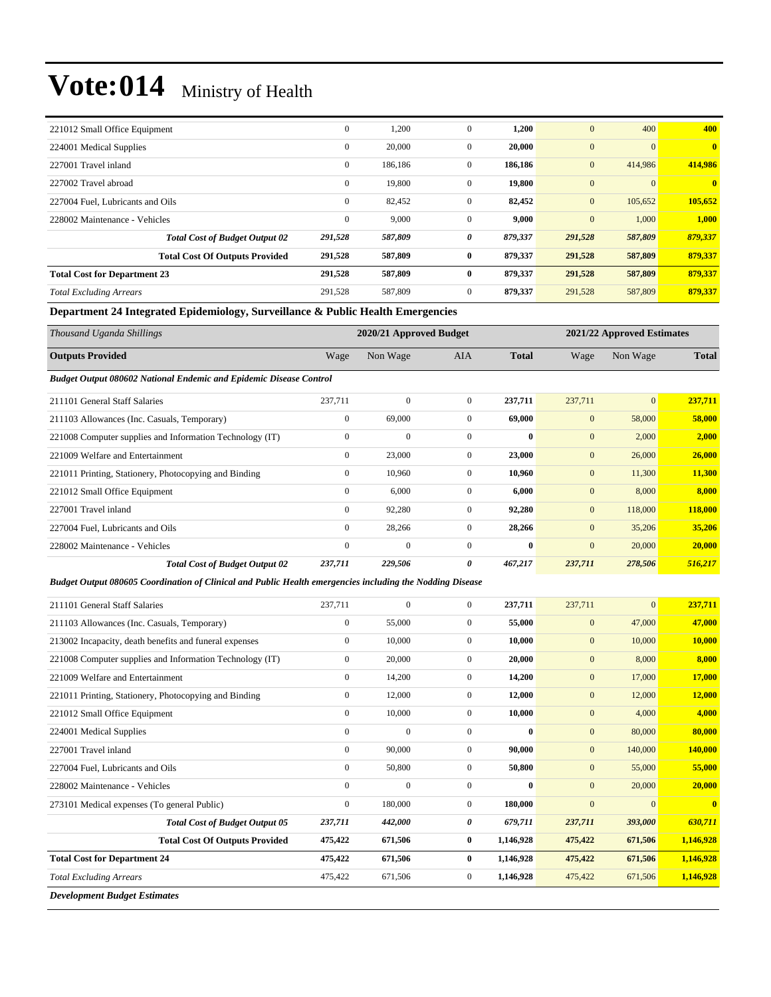| 221012 Small Office Equipment         | $\mathbf{0}$ | 1,200   | $\mathbf{0}$ | 1,200   | $\mathbf{0}$     | 400      | 400            |
|---------------------------------------|--------------|---------|--------------|---------|------------------|----------|----------------|
| 224001 Medical Supplies               | $\mathbf{0}$ | 20,000  | $\mathbf{0}$ | 20,000  | $\mathbf{0}$     | $\Omega$ | $\overline{0}$ |
| 227001 Travel inland                  | $\mathbf{0}$ | 186,186 | $\mathbf{0}$ | 186,186 | $\boldsymbol{0}$ | 414,986  | 414,986        |
| 227002 Travel abroad                  | $\mathbf{0}$ | 19,800  | $\mathbf{0}$ | 19,800  | $\mathbf{0}$     | $\Omega$ | $\mathbf{0}$   |
| 227004 Fuel, Lubricants and Oils      | $\mathbf{0}$ | 82,452  | $\mathbf{0}$ | 82,452  | $\mathbf{0}$     | 105,652  | 105,652        |
| 228002 Maintenance - Vehicles         | $\mathbf{0}$ | 9,000   | $\mathbf{0}$ | 9,000   | $\mathbf{0}$     | 1,000    | 1,000          |
| <b>Total Cost of Budget Output 02</b> | 291,528      | 587,809 | 0            | 879,337 | 291,528          | 587,809  | 879,337        |
| <b>Total Cost Of Outputs Provided</b> | 291,528      | 587,809 | $\bf{0}$     | 879,337 | 291,528          | 587,809  | 879,337        |
| <b>Total Cost for Department 23</b>   | 291,528      | 587,809 | $\bf{0}$     | 879,337 | 291,528          | 587,809  | 879,337        |
| <b>Total Excluding Arrears</b>        | 291,528      | 587,809 | $\mathbf{0}$ | 879,337 | 291,528          | 587,809  | 879,337        |

#### **Department 24 Integrated Epidemiology, Surveillance & Public Health Emergencies**

| Thousand Uganda Shillings                                                 | 2020/21 Approved Budget |              |                |              | 2021/22 Approved Estimates |                |              |
|---------------------------------------------------------------------------|-------------------------|--------------|----------------|--------------|----------------------------|----------------|--------------|
|                                                                           |                         |              |                |              |                            |                |              |
| <b>Outputs Provided</b>                                                   | Wage                    | Non Wage     | AIA            | <b>Total</b> | Wage                       | Non Wage       | <b>Total</b> |
| <b>Budget Output 080602 National Endemic and Epidemic Disease Control</b> |                         |              |                |              |                            |                |              |
| 211101 General Staff Salaries                                             | 237,711                 | $\mathbf{0}$ | $\overline{0}$ | 237,711      | 237,711                    | $\overline{0}$ | 237,711      |
| 211103 Allowances (Inc. Casuals, Temporary)                               | $\bf{0}$                | 69,000       | $\overline{0}$ | 69,000       | $\mathbf{0}$               | 58,000         | 58,000       |
| 221008 Computer supplies and Information Technology (IT)                  | $\mathbf{0}$            | $\mathbf{0}$ | $\Omega$       | $\mathbf{0}$ | $\mathbf{0}$               | 2,000          | 2,000        |
| 221009 Welfare and Entertainment                                          | $\mathbf{0}$            | 23,000       | $\overline{0}$ | 23,000       | $\mathbf{0}$               | 26,000         | 26,000       |
| 221011 Printing, Stationery, Photocopying and Binding                     | $\mathbf{0}$            | 10,960       | $\overline{0}$ | 10,960       | $\mathbf{0}$               | 11,300         | 11,300       |
| 221012 Small Office Equipment                                             | $\mathbf{0}$            | 6,000        | $\mathbf{0}$   | 6,000        | $\mathbf{0}$               | 8,000          | 8,000        |
| 227001 Travel inland                                                      | $\mathbf{0}$            | 92,280       | $\overline{0}$ | 92,280       | $\mathbf{0}$               | 118,000        | 118,000      |
| 227004 Fuel, Lubricants and Oils                                          | $\mathbf{0}$            | 28,266       | $\Omega$       | 28,266       | $\mathbf{0}$               | 35,206         | 35,206       |
| 228002 Maintenance - Vehicles                                             | $\mathbf{0}$            | $\mathbf{0}$ | $\Omega$       | $\bf{0}$     | $\mathbf{0}$               | 20,000         | 20,000       |
| <b>Total Cost of Budget Output 02</b>                                     | 237,711                 | 229,506      | 0              | 467,217      | 237,711                    | 278,506        | 516,217      |

*Budget Output 080605 Coordination of Clinical and Public Health emergencies including the Nodding Disease*

| 211101 General Staff Salaries                            | 237,711          | $\mathbf{0}$ | $\overline{0}$ | 237,711   | 237,711      | $\mathbf{0}$ | 237,711      |
|----------------------------------------------------------|------------------|--------------|----------------|-----------|--------------|--------------|--------------|
| 211103 Allowances (Inc. Casuals, Temporary)              | $\boldsymbol{0}$ | 55,000       | $\mathbf{0}$   | 55,000    | $\mathbf{0}$ | 47,000       | 47,000       |
| 213002 Incapacity, death benefits and funeral expenses   | $\mathbf{0}$     | 10,000       | $\overline{0}$ | 10,000    | $\mathbf{0}$ | 10,000       | 10,000       |
| 221008 Computer supplies and Information Technology (IT) | $\mathbf{0}$     | 20,000       | $\overline{0}$ | 20,000    | $\mathbf{0}$ | 8,000        | 8,000        |
| 221009 Welfare and Entertainment                         | $\mathbf{0}$     | 14,200       | $\overline{0}$ | 14,200    | $\mathbf{0}$ | 17,000       | 17,000       |
| 221011 Printing, Stationery, Photocopying and Binding    | $\boldsymbol{0}$ | 12,000       | $\overline{0}$ | 12,000    | $\mathbf{0}$ | 12,000       | 12,000       |
| 221012 Small Office Equipment                            | $\mathbf{0}$     | 10,000       | $\mathbf{0}$   | 10,000    | $\mathbf{0}$ | 4,000        | 4,000        |
| 224001 Medical Supplies                                  | $\mathbf{0}$     | $\mathbf{0}$ | $\overline{0}$ | $\bf{0}$  | $\mathbf{0}$ | 80,000       | 80,000       |
| 227001 Travel inland                                     | $\boldsymbol{0}$ | 90,000       | $\overline{0}$ | 90,000    | $\mathbf{0}$ | 140,000      | 140,000      |
| 227004 Fuel, Lubricants and Oils                         | $\mathbf{0}$     | 50,800       | $\overline{0}$ | 50,800    | $\mathbf{0}$ | 55,000       | 55,000       |
| 228002 Maintenance - Vehicles                            | $\mathbf{0}$     | $\mathbf{0}$ | $\Omega$       | $\bf{0}$  | $\mathbf{0}$ | 20,000       | 20,000       |
| 273101 Medical expenses (To general Public)              | $\boldsymbol{0}$ | 180,000      | $\mathbf{0}$   | 180,000   | $\mathbf{0}$ | $\mathbf{0}$ | $\mathbf{0}$ |
| <b>Total Cost of Budget Output 05</b>                    | 237,711          | 442,000      | 0              | 679,711   | 237,711      | 393,000      | 630,711      |
| <b>Total Cost Of Outputs Provided</b>                    | 475,422          | 671,506      | $\bf{0}$       | 1,146,928 | 475,422      | 671,506      | 1,146,928    |
| <b>Total Cost for Department 24</b>                      | 475,422          | 671,506      | $\bf{0}$       | 1,146,928 | 475,422      | 671,506      | 1,146,928    |
| <b>Total Excluding Arrears</b>                           | 475,422          | 671,506      | $\overline{0}$ | 1,146,928 | 475,422      | 671,506      | 1,146,928    |
| <b>Development Budget Estimates</b>                      |                  |              |                |           |              |              |              |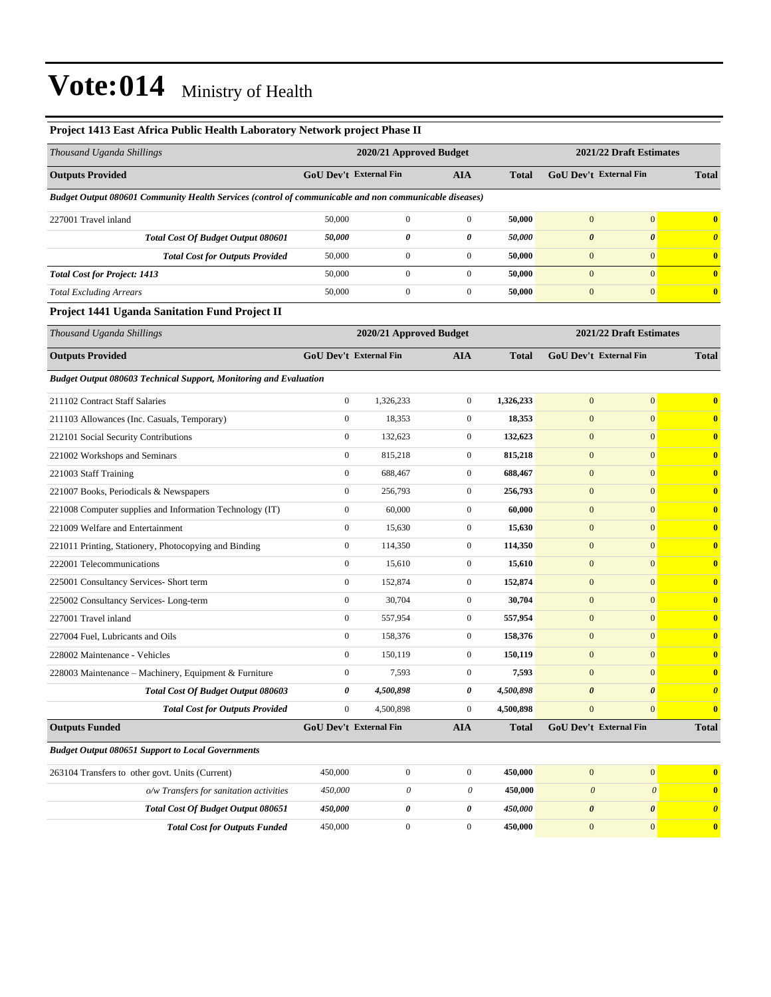| Project 1413 East Africa Public Health Laboratory Network project Phase II                             |                         |                           |                  |              |                               |                         |                         |
|--------------------------------------------------------------------------------------------------------|-------------------------|---------------------------|------------------|--------------|-------------------------------|-------------------------|-------------------------|
| Thousand Uganda Shillings                                                                              | 2020/21 Approved Budget |                           |                  |              | 2021/22 Draft Estimates       |                         |                         |
| <b>Outputs Provided</b>                                                                                | GoU Dev't External Fin  |                           | AIA              | <b>Total</b> | <b>GoU Dev't External Fin</b> |                         | <b>Total</b>            |
| Budget Output 080601 Community Health Services (control of communicable and non communicable diseases) |                         |                           |                  |              |                               |                         |                         |
| 227001 Travel inland                                                                                   | 50,000                  | $\boldsymbol{0}$          | $\boldsymbol{0}$ | 50,000       | $\boldsymbol{0}$              | $\mathbf{0}$            | $\bf{0}$                |
| Total Cost Of Budget Output 080601                                                                     | 50,000                  | 0                         | 0                | 50,000       | $\boldsymbol{\theta}$         | $\boldsymbol{\theta}$   | $\boldsymbol{\theta}$   |
| <b>Total Cost for Outputs Provided</b>                                                                 | 50,000                  | 0                         | $\boldsymbol{0}$ | 50,000       | $\boldsymbol{0}$              | $\mathbf{0}$            | $\bf{0}$                |
| <b>Total Cost for Project: 1413</b>                                                                    | 50,000                  | $\mathbf{0}$              | $\boldsymbol{0}$ | 50,000       | $\mathbf{0}$                  | $\mathbf{0}$            | $\bf{0}$                |
| <b>Total Excluding Arrears</b>                                                                         | 50,000                  | $\boldsymbol{0}$          | $\boldsymbol{0}$ | 50,000       | $\boldsymbol{0}$              | $\mathbf{0}$            | $\mathbf{0}$            |
| <b>Project 1441 Uganda Sanitation Fund Project II</b>                                                  |                         |                           |                  |              |                               |                         |                         |
| Thousand Uganda Shillings                                                                              |                         | 2020/21 Approved Budget   |                  |              |                               | 2021/22 Draft Estimates |                         |
| <b>Outputs Provided</b>                                                                                | GoU Dev't External Fin  |                           | AIA              | <b>Total</b> | GoU Dev't External Fin        |                         | <b>Total</b>            |
| Budget Output 080603 Technical Support, Monitoring and Evaluation                                      |                         |                           |                  |              |                               |                         |                         |
| 211102 Contract Staff Salaries                                                                         | $\boldsymbol{0}$        | 1,326,233                 | $\boldsymbol{0}$ | 1,326,233    | $\boldsymbol{0}$              | $\mathbf{0}$            | $\bf{0}$                |
| 211103 Allowances (Inc. Casuals, Temporary)                                                            | $\boldsymbol{0}$        | 18,353                    | $\boldsymbol{0}$ | 18,353       | $\mathbf{0}$                  | $\mathbf{0}$            | $\bf{0}$                |
| 212101 Social Security Contributions                                                                   | $\boldsymbol{0}$        | 132,623                   | $\boldsymbol{0}$ | 132,623      | $\boldsymbol{0}$              | $\mathbf{0}$            | $\bf{0}$                |
| 221002 Workshops and Seminars                                                                          | $\boldsymbol{0}$        | 815,218                   | $\boldsymbol{0}$ | 815,218      | $\mathbf{0}$                  | $\overline{0}$          | $\bf{0}$                |
| 221003 Staff Training                                                                                  | $\boldsymbol{0}$        | 688,467                   | $\boldsymbol{0}$ | 688,467      | $\bf{0}$                      | $\mathbf{0}$            | $\bf{0}$                |
| 221007 Books, Periodicals & Newspapers                                                                 | $\boldsymbol{0}$        | 256,793                   | $\boldsymbol{0}$ | 256,793      | $\boldsymbol{0}$              | $\mathbf{0}$            | $\bf{0}$                |
| 221008 Computer supplies and Information Technology (IT)                                               | $\boldsymbol{0}$        | 60,000                    | $\boldsymbol{0}$ | 60,000       | $\mathbf{0}$                  | $\mathbf{0}$            | $\bf{0}$                |
| 221009 Welfare and Entertainment                                                                       | $\boldsymbol{0}$        | 15,630                    | $\boldsymbol{0}$ | 15,630       | $\boldsymbol{0}$              | $\mathbf{0}$            | $\bf{0}$                |
| 221011 Printing, Stationery, Photocopying and Binding                                                  | $\boldsymbol{0}$        | 114,350                   | $\boldsymbol{0}$ | 114,350      | $\mathbf{0}$                  | $\overline{0}$          | $\bf{0}$                |
| 222001 Telecommunications                                                                              | $\boldsymbol{0}$        | 15,610                    | $\boldsymbol{0}$ | 15,610       | $\mathbf{0}$                  | $\mathbf{0}$            | $\bf{0}$                |
| 225001 Consultancy Services- Short term                                                                | $\boldsymbol{0}$        | 152,874                   | $\boldsymbol{0}$ | 152,874      | $\boldsymbol{0}$              | $\mathbf{0}$            | $\bf{0}$                |
| 225002 Consultancy Services-Long-term                                                                  | $\boldsymbol{0}$        | 30,704                    | $\boldsymbol{0}$ | 30,704       | $\mathbf{0}$                  | $\mathbf{0}$            | $\bf{0}$                |
| 227001 Travel inland                                                                                   | $\boldsymbol{0}$        | 557,954                   | $\boldsymbol{0}$ | 557,954      | $\boldsymbol{0}$              | $\mathbf{0}$            | $\bf{0}$                |
| 227004 Fuel, Lubricants and Oils                                                                       | $\boldsymbol{0}$        | 158,376                   | $\boldsymbol{0}$ | 158,376      | $\mathbf{0}$                  | $\overline{0}$          | $\bf{0}$                |
| 228002 Maintenance - Vehicles                                                                          | $\boldsymbol{0}$        | 150,119                   | $\boldsymbol{0}$ | 150,119      | $\mathbf{0}$                  | $\mathbf{0}$            | $\bf{0}$                |
| 228003 Maintenance – Machinery, Equipment & Furniture                                                  | $\boldsymbol{0}$        | 7,593                     | $\boldsymbol{0}$ | 7,593        | $\boldsymbol{0}$              | $\mathbf{0}$            | $\bf{0}$                |
| Total Cost Of Budget Output 080603                                                                     | 0                       | 4,500,898                 | 0                | 4,500,898    | $\boldsymbol{\theta}$         | $\boldsymbol{\theta}$   |                         |
| <b>Total Cost for Outputs Provided</b>                                                                 | $\boldsymbol{0}$        | 4,500,898                 | $\boldsymbol{0}$ | 4,500,898    | $\boldsymbol{0}$              | $\mathbf{0}$            | $\bf{0}$                |
| <b>Outputs Funded</b>                                                                                  | GoU Dev't External Fin  |                           | ${\bf A I A}$    | <b>Total</b> | GoU Dev't External Fin        |                         | <b>Total</b>            |
| <b>Budget Output 080651 Support to Local Governments</b>                                               |                         |                           |                  |              |                               |                         |                         |
| 263104 Transfers to other govt. Units (Current)                                                        | 450,000                 | $\boldsymbol{0}$          | $\boldsymbol{0}$ | 450,000      | $\boldsymbol{0}$              | $\mathbf{0}$            | $\overline{\mathbf{0}}$ |
| o/w Transfers for sanitation activities                                                                | 450,000                 | $\boldsymbol{\mathit{0}}$ | $\theta$         | 450,000      | $\boldsymbol{\theta}$         | $\boldsymbol{\theta}$   | $\bf{0}$                |
| Total Cost Of Budget Output 080651                                                                     | 450,000                 | 0                         | 0                | 450,000      | $\pmb{\theta}$                | $\boldsymbol{\theta}$   | $\boldsymbol{\theta}$   |

*Total Cost for Outputs Funded* 450,000 0 0 **450,000** 0 0 **0**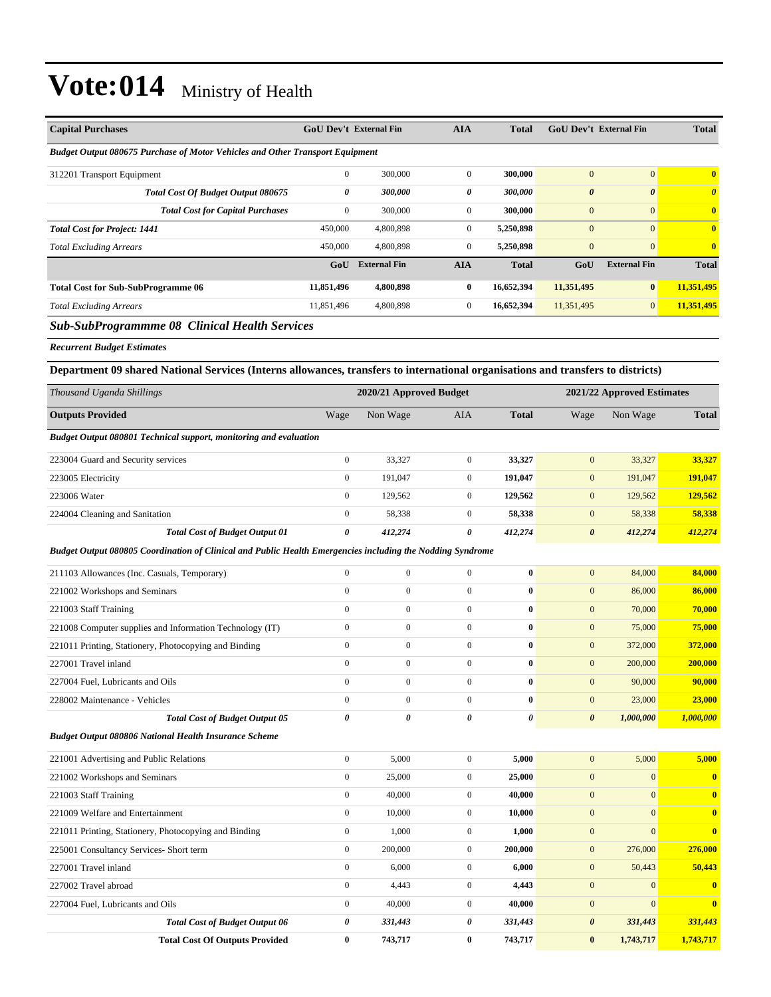| <b>Capital Purchases</b>                                                             |              | <b>GoU Dev't External Fin</b> | <b>AIA</b>     | <b>Total</b> | <b>GoU Dev't External Fin</b> |                       | <b>Total</b>            |
|--------------------------------------------------------------------------------------|--------------|-------------------------------|----------------|--------------|-------------------------------|-----------------------|-------------------------|
| <b>Budget Output 080675 Purchase of Motor Vehicles and Other Transport Equipment</b> |              |                               |                |              |                               |                       |                         |
| 312201 Transport Equipment                                                           | $\mathbf{0}$ | 300,000                       | $\Omega$       | 300,000      | $\mathbf{0}$                  | $\Omega$              | $\overline{\mathbf{0}}$ |
| Total Cost Of Budget Output 080675                                                   | 0            | 300,000                       | 0              | 300,000      | $\boldsymbol{\theta}$         | $\boldsymbol{\theta}$ | $\boldsymbol{\theta}$   |
| <b>Total Cost for Capital Purchases</b>                                              | 0            | 300,000                       | $\overline{0}$ | 300,000      | $\mathbf{0}$                  | $\mathbf{0}$          | $\overline{\mathbf{0}}$ |
| <b>Total Cost for Project: 1441</b>                                                  | 450,000      | 4,800,898                     | $\overline{0}$ | 5,250,898    | $\mathbf{0}$                  | $\Omega$              | $\overline{\mathbf{0}}$ |
| <b>Total Excluding Arrears</b>                                                       | 450,000      | 4,800,898                     | $\mathbf{0}$   | 5,250,898    | $\mathbf{0}$                  | $\mathbf{0}$          | $\overline{\mathbf{0}}$ |
|                                                                                      | GoU          | <b>External Fin</b>           | <b>AIA</b>     | <b>Total</b> | GoU                           | <b>External Fin</b>   | <b>Total</b>            |
| <b>Total Cost for Sub-SubProgramme 06</b>                                            | 11,851,496   | 4,800,898                     | $\bf{0}$       | 16,652,394   | 11,351,495                    | $\bf{0}$              | 11,351,495              |
| <b>Total Excluding Arrears</b>                                                       | 11,851,496   | 4,800,898                     | $\overline{0}$ | 16,652,394   | 11,351,495                    | $\overline{0}$        | 11,351,495              |
| <b>Sub-SubProgrammme 08 Clinical Health Services</b>                                 |              |                               |                |              |                               |                       |                         |
| <b>Recurrent Budget Estimates</b>                                                    |              |                               |                |              |                               |                       |                         |
|                                                                                      |              |                               |                |              |                               |                       |                         |

**Department 09 shared National Services (Interns allowances, transfers to international organisations and transfers to districts)**

| Thousand Uganda Shillings                                                                                  |                  | 2020/21 Approved Budget |                  |              |                       | 2021/22 Approved Estimates |                         |
|------------------------------------------------------------------------------------------------------------|------------------|-------------------------|------------------|--------------|-----------------------|----------------------------|-------------------------|
| <b>Outputs Provided</b>                                                                                    | Wage             | Non Wage                | AIA              | <b>Total</b> | Wage                  | Non Wage                   | <b>Total</b>            |
| Budget Output 080801 Technical support, monitoring and evaluation                                          |                  |                         |                  |              |                       |                            |                         |
| 223004 Guard and Security services                                                                         | $\boldsymbol{0}$ | 33,327                  | $\boldsymbol{0}$ | 33,327       | $\mathbf{0}$          | 33,327                     | 33,327                  |
| 223005 Electricity                                                                                         | $\boldsymbol{0}$ | 191,047                 | $\mathbf{0}$     | 191,047      | $\mathbf{0}$          | 191,047                    | 191,047                 |
| 223006 Water                                                                                               | $\boldsymbol{0}$ | 129,562                 | $\mathbf{0}$     | 129,562      | $\mathbf{0}$          | 129,562                    | 129,562                 |
| 224004 Cleaning and Sanitation                                                                             | $\mathbf{0}$     | 58,338                  | $\mathbf{0}$     | 58,338       | $\mathbf{0}$          | 58,338                     | 58,338                  |
| <b>Total Cost of Budget Output 01</b>                                                                      | 0                | 412,274                 | 0                | 412,274      | $\boldsymbol{\theta}$ | 412,274                    | 412,274                 |
| Budget Output 080805 Coordination of Clinical and Public Health Emergencies including the Nodding Syndrome |                  |                         |                  |              |                       |                            |                         |
| 211103 Allowances (Inc. Casuals, Temporary)                                                                | $\boldsymbol{0}$ | 0                       | $\boldsymbol{0}$ | $\bf{0}$     | $\mathbf{0}$          | 84,000                     | 84,000                  |
| 221002 Workshops and Seminars                                                                              | $\mathbf{0}$     | $\boldsymbol{0}$        | $\overline{0}$   | $\bf{0}$     | $\mathbf{0}$          | 86,000                     | 86,000                  |
| 221003 Staff Training                                                                                      | $\mathbf{0}$     | $\boldsymbol{0}$        | $\overline{0}$   | $\bf{0}$     | $\boldsymbol{0}$      | 70,000                     | 70,000                  |
| 221008 Computer supplies and Information Technology (IT)                                                   | $\mathbf{0}$     | $\boldsymbol{0}$        | $\overline{0}$   | $\bf{0}$     | $\mathbf{0}$          | 75,000                     | 75,000                  |
| 221011 Printing, Stationery, Photocopying and Binding                                                      | $\mathbf{0}$     | $\mathbf{0}$            | $\boldsymbol{0}$ | $\bf{0}$     | $\mathbf{0}$          | 372,000                    | 372,000                 |
| 227001 Travel inland                                                                                       | $\boldsymbol{0}$ | $\boldsymbol{0}$        | $\overline{0}$   | $\bf{0}$     | $\mathbf{0}$          | 200,000                    | 200,000                 |
| 227004 Fuel, Lubricants and Oils                                                                           | $\mathbf{0}$     | $\boldsymbol{0}$        | $\overline{0}$   | $\bf{0}$     | $\mathbf{0}$          | 90,000                     | 90,000                  |
| 228002 Maintenance - Vehicles                                                                              | $\mathbf{0}$     | $\boldsymbol{0}$        | $\overline{0}$   | $\bf{0}$     | $\mathbf{0}$          | 23,000                     | 23,000                  |
| <b>Total Cost of Budget Output 05</b>                                                                      | $\theta$         | $\boldsymbol{\theta}$   | $\theta$         | 0            | $\boldsymbol{\theta}$ | 1,000,000                  | 1,000,000               |
| <b>Budget Output 080806 National Health Insurance Scheme</b>                                               |                  |                         |                  |              |                       |                            |                         |
| 221001 Advertising and Public Relations                                                                    | $\boldsymbol{0}$ | 5,000                   | $\boldsymbol{0}$ | 5,000        | $\boldsymbol{0}$      | 5,000                      | 5,000                   |
| 221002 Workshops and Seminars                                                                              | $\boldsymbol{0}$ | 25,000                  | $\mathbf{0}$     | 25,000       | $\boldsymbol{0}$      | $\mathbf{0}$               | $\bf{0}$                |
| 221003 Staff Training                                                                                      | $\mathbf{0}$     | 40,000                  | $\boldsymbol{0}$ | 40,000       | $\mathbf{0}$          | $\overline{0}$             | $\bf{0}$                |
| 221009 Welfare and Entertainment                                                                           | $\mathbf{0}$     | 10,000                  | $\boldsymbol{0}$ | 10,000       | $\mathbf{0}$          | $\overline{0}$             | $\bf{0}$                |
| 221011 Printing, Stationery, Photocopying and Binding                                                      | $\boldsymbol{0}$ | 1,000                   | $\mathbf{0}$     | 1,000        | $\mathbf{0}$          | $\overline{0}$             | $\overline{\mathbf{0}}$ |
| 225001 Consultancy Services- Short term                                                                    | $\boldsymbol{0}$ | 200,000                 | $\boldsymbol{0}$ | 200,000      | $\boldsymbol{0}$      | 276,000                    | 276,000                 |
| 227001 Travel inland                                                                                       | $\boldsymbol{0}$ | 6,000                   | $\mathbf{0}$     | 6,000        | $\mathbf{0}$          | 50,443                     | 50,443                  |
| 227002 Travel abroad                                                                                       | $\boldsymbol{0}$ | 4,443                   | $\overline{0}$   | 4,443        | $\mathbf{0}$          | $\mathbf{0}$               | $\bf{0}$                |
| 227004 Fuel, Lubricants and Oils                                                                           | $\boldsymbol{0}$ | 40,000                  | $\overline{0}$   | 40,000       | $\mathbf{0}$          | $\overline{0}$             | $\bf{0}$                |
| <b>Total Cost of Budget Output 06</b>                                                                      | 0                | 331,443                 | 0                | 331,443      | $\boldsymbol{\theta}$ | 331,443                    | 331,443                 |
| <b>Total Cost Of Outputs Provided</b>                                                                      | $\bf{0}$         | 743,717                 | $\bf{0}$         | 743,717      | $\bf{0}$              | 1,743,717                  | 1,743,717               |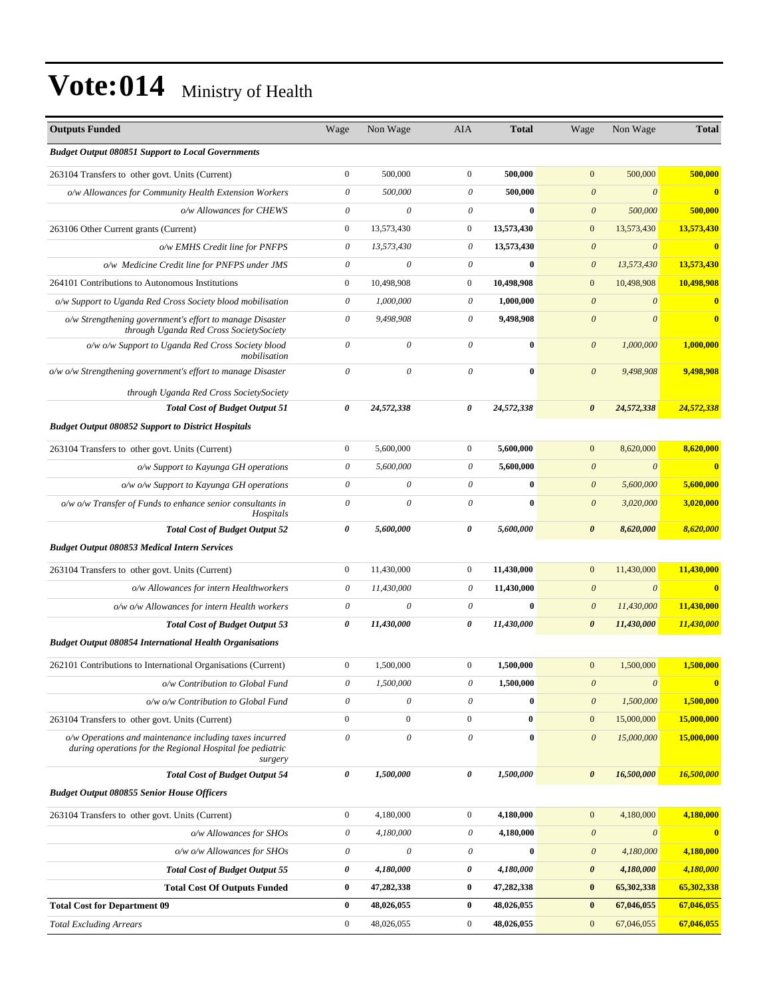| <b>Outputs Funded</b>                                                                                                           | Wage                      | Non Wage                  | AIA                       | <b>Total</b> | Wage                  | Non Wage              | <b>Total</b>            |
|---------------------------------------------------------------------------------------------------------------------------------|---------------------------|---------------------------|---------------------------|--------------|-----------------------|-----------------------|-------------------------|
| <b>Budget Output 080851 Support to Local Governments</b>                                                                        |                           |                           |                           |              |                       |                       |                         |
| 263104 Transfers to other govt. Units (Current)                                                                                 | $\boldsymbol{0}$          | 500,000                   | $\boldsymbol{0}$          | 500,000      | $\boldsymbol{0}$      | 500,000               | 500,000                 |
| o/w Allowances for Community Health Extension Workers                                                                           | $\boldsymbol{\mathit{0}}$ | 500,000                   | $\boldsymbol{\mathit{0}}$ | 500,000      | $\boldsymbol{\theta}$ | $\boldsymbol{\theta}$ | $\bf{0}$                |
| o/w Allowances for CHEWS                                                                                                        | 0                         | $\boldsymbol{\mathit{0}}$ | $\boldsymbol{\theta}$     | $\bf{0}$     | $\boldsymbol{\theta}$ | 500,000               | 500,000                 |
| 263106 Other Current grants (Current)                                                                                           | $\mathbf{0}$              | 13,573,430                | $\boldsymbol{0}$          | 13,573,430   | $\boldsymbol{0}$      | 13,573,430            | 13,573,430              |
| o/w EMHS Credit line for PNFPS                                                                                                  | $\theta$                  | 13.573.430                | $\boldsymbol{\theta}$     | 13,573,430   | $\boldsymbol{\theta}$ | $\boldsymbol{\theta}$ | $\bf{0}$                |
| o/w Medicine Credit line for PNFPS under JMS                                                                                    | $\boldsymbol{\theta}$     | $\boldsymbol{\mathit{0}}$ | $\boldsymbol{\mathit{0}}$ | $\bf{0}$     | $\boldsymbol{\theta}$ | 13,573,430            | 13,573,430              |
| 264101 Contributions to Autonomous Institutions                                                                                 | $\boldsymbol{0}$          | 10,498,908                | $\boldsymbol{0}$          | 10,498,908   | $\boldsymbol{0}$      | 10,498,908            | 10,498,908              |
| o/w Support to Uganda Red Cross Society blood mobilisation                                                                      | 0                         | 1,000,000                 | $\boldsymbol{\theta}$     | 1,000,000    | $\boldsymbol{\theta}$ | $\boldsymbol{\theta}$ | $\bf{0}$                |
| o/w Strengthening government's effort to manage Disaster<br>through Uganda Red Cross SocietySociety                             | $\boldsymbol{\mathit{0}}$ | 9,498,908                 | $\boldsymbol{\theta}$     | 9,498,908    | $\boldsymbol{\theta}$ | $\theta$              | $\bf{0}$                |
| o/w o/w Support to Uganda Red Cross Society blood<br>mobilisation                                                               | $\boldsymbol{\theta}$     | $\boldsymbol{\mathit{0}}$ | $\boldsymbol{\mathit{0}}$ | $\bf{0}$     | $\boldsymbol{\theta}$ | 1,000,000             | 1,000,000               |
| o/w o/w Strengthening government's effort to manage Disaster                                                                    | $\boldsymbol{\theta}$     | $\boldsymbol{\mathit{0}}$ | $\boldsymbol{\theta}$     | $\bf{0}$     | $\theta$              | 9,498,908             | 9,498,908               |
| through Uganda Red Cross SocietySociety                                                                                         |                           |                           |                           |              |                       |                       |                         |
| <b>Total Cost of Budget Output 51</b>                                                                                           | $\boldsymbol{\theta}$     | 24,572,338                | 0                         | 24,572,338   | $\boldsymbol{\theta}$ | 24,572,338            | 24,572,338              |
| <b>Budget Output 080852 Support to District Hospitals</b>                                                                       |                           |                           |                           |              |                       |                       |                         |
| 263104 Transfers to other govt. Units (Current)                                                                                 | $\boldsymbol{0}$          | 5,600,000                 | $\mathbf{0}$              | 5,600,000    | $\mathbf{0}$          | 8,620,000             | 8,620,000               |
| o/w Support to Kayunga GH operations                                                                                            | $\boldsymbol{\mathit{0}}$ | 5,600,000                 | $\boldsymbol{\theta}$     | 5,600,000    | $\boldsymbol{\theta}$ | $\boldsymbol{\theta}$ | $\overline{\mathbf{0}}$ |
| o/w o/w Support to Kayunga GH operations                                                                                        | $\boldsymbol{\theta}$     | $\boldsymbol{\mathit{0}}$ | $\boldsymbol{\mathit{0}}$ | $\bf{0}$     | $\boldsymbol{\theta}$ | 5,600,000             | 5,600,000               |
| $o/w$ o/w Transfer of Funds to enhance senior consultants in<br>Hospitals                                                       | $\boldsymbol{\theta}$     | $\theta$                  | $\boldsymbol{\mathit{0}}$ | $\bf{0}$     | $\boldsymbol{\theta}$ | 3,020,000             | 3,020,000               |
| <b>Total Cost of Budget Output 52</b>                                                                                           | $\boldsymbol{\theta}$     | 5,600,000                 | $\theta$                  | 5,600,000    | $\boldsymbol{\theta}$ | 8,620,000             | 8,620,000               |
| <b>Budget Output 080853 Medical Intern Services</b>                                                                             |                           |                           |                           |              |                       |                       |                         |
| 263104 Transfers to other govt. Units (Current)                                                                                 | $\boldsymbol{0}$          | 11,430,000                | $\mathbf{0}$              | 11,430,000   | $\boldsymbol{0}$      | 11,430,000            | 11,430,000              |
| o/w Allowances for intern Healthworkers                                                                                         | 0                         | 11,430,000                | $\boldsymbol{\theta}$     | 11,430,000   | $\boldsymbol{\theta}$ | $\boldsymbol{\theta}$ | $\bf{0}$                |
| o/w o/w Allowances for intern Health workers                                                                                    | $\boldsymbol{\theta}$     | $\theta$                  | $\boldsymbol{\theta}$     | $\bf{0}$     | $\boldsymbol{\theta}$ | 11,430,000            | 11,430,000              |
| <b>Total Cost of Budget Output 53</b>                                                                                           | 0                         | 11,430,000                | 0                         | 11,430,000   | $\boldsymbol{\theta}$ | 11,430,000            | 11,430,000              |
| <b>Budget Output 080854 International Health Organisations</b>                                                                  |                           |                           |                           |              |                       |                       |                         |
| 262101 Contributions to International Organisations (Current)                                                                   | $\boldsymbol{0}$          | 1,500,000                 | $\boldsymbol{0}$          | 1,500,000    | $\mathbf{0}$          | 1,500,000             | 1,500,000               |
| o/w Contribution to Global Fund                                                                                                 | 0                         | 1,500,000                 | $\boldsymbol{\mathit{0}}$ | 1,500,000    | $\boldsymbol{\theta}$ | $\theta$              | $\mathbf{0}$            |
| o/w o/w Contribution to Global Fund                                                                                             | $\boldsymbol{\mathit{0}}$ | $\boldsymbol{\mathit{0}}$ | $\boldsymbol{\theta}$     | $\bf{0}$     | $\boldsymbol{\theta}$ | 1,500,000             | 1,500,000               |
| 263104 Transfers to other govt. Units (Current)                                                                                 | $\boldsymbol{0}$          | $\boldsymbol{0}$          | $\boldsymbol{0}$          | $\bf{0}$     | $\boldsymbol{0}$      | 15,000,000            | 15,000,000              |
| o/w Operations and maintenance including taxes incurred<br>during operations for the Regional Hospital foe pediatric<br>surgery | $\boldsymbol{\theta}$     | $\boldsymbol{\mathit{0}}$ | $\boldsymbol{\theta}$     | $\bf{0}$     | $\boldsymbol{\theta}$ | 15,000,000            | 15,000,000              |
| <b>Total Cost of Budget Output 54</b>                                                                                           | 0                         | 1,500,000                 | 0                         | 1,500,000    | $\pmb{\theta}$        | 16,500,000            | 16,500,000              |
| <b>Budget Output 080855 Senior House Officers</b>                                                                               |                           |                           |                           |              |                       |                       |                         |
| 263104 Transfers to other govt. Units (Current)                                                                                 | $\boldsymbol{0}$          | 4,180,000                 | $\mathbf{0}$              | 4,180,000    | $\boldsymbol{0}$      | 4,180,000             | 4,180,000               |
| o/w Allowances for SHOs                                                                                                         | $\boldsymbol{\mathit{0}}$ | 4,180,000                 | $\theta$                  | 4,180,000    | $\boldsymbol{\theta}$ | $\boldsymbol{\theta}$ | $\bf{0}$                |
| o/w o/w Allowances for SHOs                                                                                                     | $\theta$                  | $\boldsymbol{\mathit{0}}$ | $\theta$                  | $\bf{0}$     | $\boldsymbol{\theta}$ | 4,180,000             | 4,180,000               |
| <b>Total Cost of Budget Output 55</b>                                                                                           | 0                         | 4,180,000                 | 0                         | 4,180,000    | $\pmb{\theta}$        | 4,180,000             | 4,180,000               |
| <b>Total Cost Of Outputs Funded</b>                                                                                             | $\bf{0}$                  | 47,282,338                | $\bf{0}$                  | 47,282,338   | $\bf{0}$              | 65,302,338            | 65,302,338              |
| <b>Total Cost for Department 09</b>                                                                                             | $\bf{0}$                  | 48,026,055                | $\bf{0}$                  | 48,026,055   | $\bf{0}$              | 67,046,055            | 67,046,055              |
| <b>Total Excluding Arrears</b>                                                                                                  | $\boldsymbol{0}$          | 48,026,055                | $\boldsymbol{0}$          | 48,026,055   | $\boldsymbol{0}$      | 67,046,055            | 67,046,055              |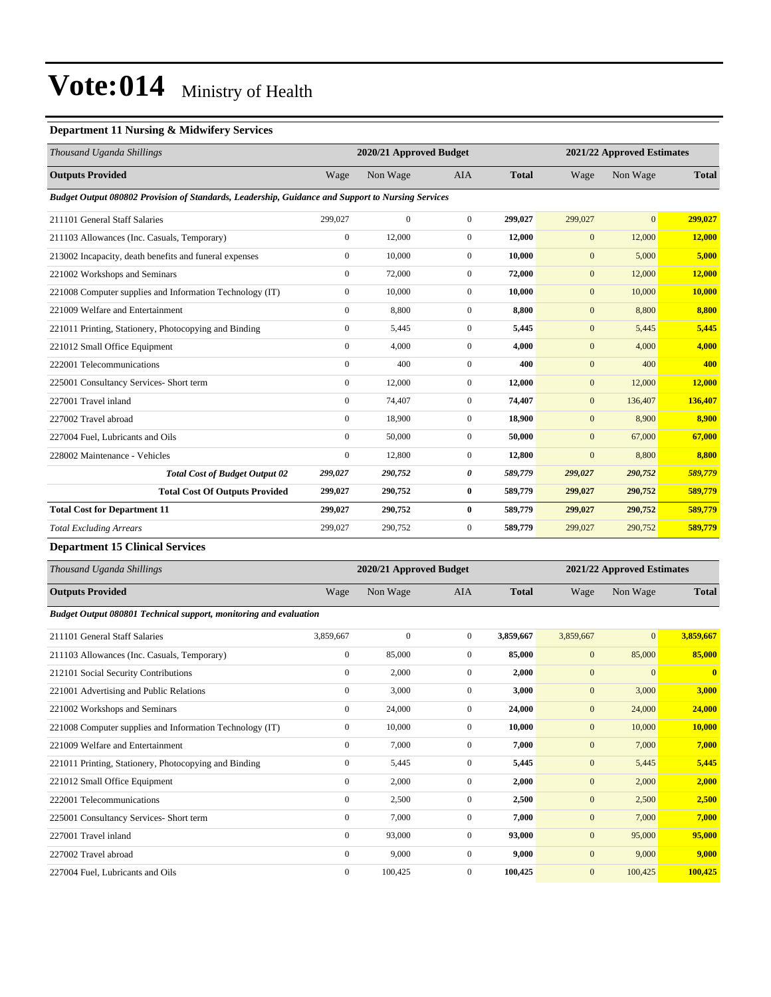### **Department 11 Nursing & Midwifery Services**

| Thousand Uganda Shillings                                                                         |                  | 2020/21 Approved Budget |                  |              |              | 2021/22 Approved Estimates |              |
|---------------------------------------------------------------------------------------------------|------------------|-------------------------|------------------|--------------|--------------|----------------------------|--------------|
| <b>Outputs Provided</b>                                                                           | Wage             | Non Wage                | <b>AIA</b>       | <b>Total</b> | Wage         | Non Wage                   | <b>Total</b> |
| Budget Output 080802 Provision of Standards, Leadership, Guidance and Support to Nursing Services |                  |                         |                  |              |              |                            |              |
| 211101 General Staff Salaries                                                                     | 299,027          | $\overline{0}$          | $\overline{0}$   | 299,027      | 299,027      | $\overline{0}$             | 299,027      |
| 211103 Allowances (Inc. Casuals, Temporary)                                                       | $\boldsymbol{0}$ | 12,000                  | $\boldsymbol{0}$ | 12,000       | $\mathbf{0}$ | 12,000                     | 12,000       |
| 213002 Incapacity, death benefits and funeral expenses                                            | $\mathbf{0}$     | 10,000                  | $\overline{0}$   | 10,000       | $\mathbf{0}$ | 5,000                      | 5,000        |
| 221002 Workshops and Seminars                                                                     | $\mathbf{0}$     | 72,000                  | $\overline{0}$   | 72,000       | $\mathbf{0}$ | 12,000                     | 12,000       |
| 221008 Computer supplies and Information Technology (IT)                                          | $\mathbf{0}$     | 10,000                  | $\mathbf{0}$     | 10,000       | $\mathbf{0}$ | 10,000                     | 10,000       |
| 221009 Welfare and Entertainment                                                                  | $\overline{0}$   | 8,800                   | $\overline{0}$   | 8,800        | $\mathbf{0}$ | 8,800                      | 8,800        |
| 221011 Printing, Stationery, Photocopying and Binding                                             | $\mathbf{0}$     | 5,445                   | $\overline{0}$   | 5,445        | $\mathbf{0}$ | 5,445                      | 5,445        |
| 221012 Small Office Equipment                                                                     | $\mathbf{0}$     | 4,000                   | $\mathbf{0}$     | 4,000        | $\mathbf{0}$ | 4,000                      | 4,000        |
| 222001 Telecommunications                                                                         | $\mathbf{0}$     | 400                     | $\mathbf{0}$     | 400          | $\mathbf{0}$ | 400                        | 400          |
| 225001 Consultancy Services- Short term                                                           | $\mathbf{0}$     | 12,000                  | $\overline{0}$   | 12,000       | $\mathbf{0}$ | 12,000                     | 12,000       |
| 227001 Travel inland                                                                              | $\mathbf{0}$     | 74,407                  | $\boldsymbol{0}$ | 74,407       | $\mathbf{0}$ | 136,407                    | 136,407      |
| 227002 Travel abroad                                                                              | $\overline{0}$   | 18,900                  | $\overline{0}$   | 18,900       | $\mathbf{0}$ | 8,900                      | 8,900        |
| 227004 Fuel, Lubricants and Oils                                                                  | $\mathbf{0}$     | 50,000                  | $\overline{0}$   | 50,000       | $\mathbf{0}$ | 67,000                     | 67,000       |
| 228002 Maintenance - Vehicles                                                                     | $\mathbf{0}$     | 12,800                  | $\mathbf{0}$     | 12,800       | $\mathbf{0}$ | 8,800                      | 8,800        |
| <b>Total Cost of Budget Output 02</b>                                                             | 299,027          | 290,752                 | 0                | 589,779      | 299,027      | 290,752                    | 589,779      |
| <b>Total Cost Of Outputs Provided</b>                                                             | 299,027          | 290,752                 | $\bf{0}$         | 589,779      | 299,027      | 290,752                    | 589,779      |
| <b>Total Cost for Department 11</b>                                                               | 299,027          | 290,752                 | $\bf{0}$         | 589,779      | 299,027      | 290,752                    | 589,779      |
| <b>Total Excluding Arrears</b>                                                                    | 299,027          | 290,752                 | $\boldsymbol{0}$ | 589,779      | 299,027      | 290,752                    | 589,779      |
|                                                                                                   |                  |                         |                  |              |              |                            |              |

#### **Department 15 Clinical Services**

| Thousand Uganda Shillings                                         |                  | 2020/21 Approved Budget |                |              |              | 2021/22 Approved Estimates |              |
|-------------------------------------------------------------------|------------------|-------------------------|----------------|--------------|--------------|----------------------------|--------------|
| <b>Outputs Provided</b>                                           | Wage             | Non Wage                | <b>AIA</b>     | <b>Total</b> | Wage         | Non Wage                   | <b>Total</b> |
| Budget Output 080801 Technical support, monitoring and evaluation |                  |                         |                |              |              |                            |              |
| 211101 General Staff Salaries                                     | 3,859,667        | $\mathbf{0}$            | $\mathbf{0}$   | 3,859,667    | 3,859,667    | $\mathbf{0}$               | 3,859,667    |
| 211103 Allowances (Inc. Casuals, Temporary)                       | $\boldsymbol{0}$ | 85,000                  | $\mathbf{0}$   | 85,000       | $\mathbf{0}$ | 85,000                     | 85,000       |
| 212101 Social Security Contributions                              | $\overline{0}$   | 2,000                   | $\overline{0}$ | 2,000        | $\mathbf{0}$ | $\mathbf{0}$               | $\bf{0}$     |
| 221001 Advertising and Public Relations                           | $\mathbf{0}$     | 3,000                   | $\mathbf{0}$   | 3,000        | $\mathbf{0}$ | 3,000                      | 3,000        |
| 221002 Workshops and Seminars                                     | $\mathbf{0}$     | 24,000                  | $\Omega$       | 24,000       | $\mathbf{0}$ | 24,000                     | 24,000       |
| 221008 Computer supplies and Information Technology (IT)          | $\boldsymbol{0}$ | 10,000                  | $\overline{0}$ | 10,000       | $\mathbf{0}$ | 10,000                     | 10,000       |
| 221009 Welfare and Entertainment                                  | $\overline{0}$   | 7,000                   | $\overline{0}$ | 7,000        | $\mathbf{0}$ | 7,000                      | 7,000        |
| 221011 Printing, Stationery, Photocopying and Binding             | $\boldsymbol{0}$ | 5,445                   | $\mathbf{0}$   | 5,445        | $\mathbf{0}$ | 5,445                      | 5,445        |
| 221012 Small Office Equipment                                     | $\mathbf{0}$     | 2,000                   | $\overline{0}$ | 2,000        | $\mathbf{0}$ | 2,000                      | 2,000        |
| 222001 Telecommunications                                         | $\overline{0}$   | 2,500                   | $\overline{0}$ | 2,500        | $\mathbf{0}$ | 2,500                      | 2,500        |
| 225001 Consultancy Services- Short term                           | $\overline{0}$   | 7,000                   | $\mathbf{0}$   | 7.000        | $\mathbf{0}$ | 7,000                      | 7,000        |
| 227001 Travel inland                                              | $\overline{0}$   | 93,000                  | $\Omega$       | 93,000       | $\mathbf{0}$ | 95,000                     | 95,000       |
| 227002 Travel abroad                                              | $\overline{0}$   | 9,000                   | $\mathbf{0}$   | 9,000        | $\mathbf{0}$ | 9,000                      | 9,000        |
| 227004 Fuel, Lubricants and Oils                                  | $\overline{0}$   | 100,425                 | $\overline{0}$ | 100,425      | $\mathbf{0}$ | 100,425                    | 100,425      |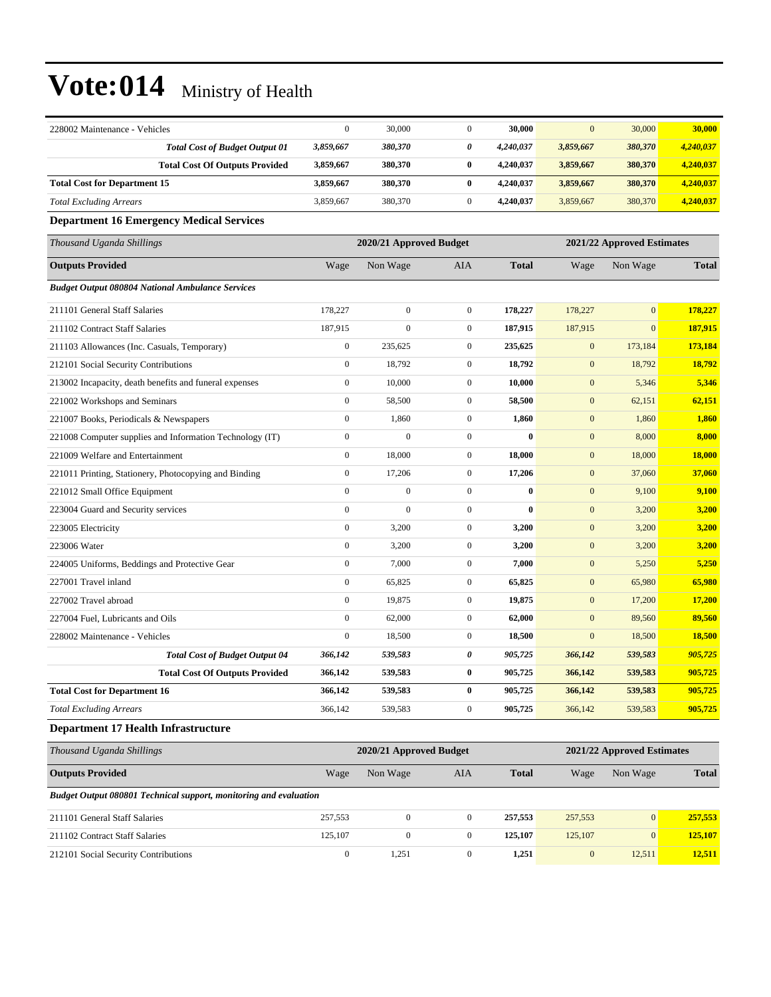| 228002 Maintenance - Vehicles                                     | $\overline{0}$   | 30,000                  | $\mathbf{0}$     | 30,000       | $\boldsymbol{0}$ | 30,000                     | 30,000       |
|-------------------------------------------------------------------|------------------|-------------------------|------------------|--------------|------------------|----------------------------|--------------|
| <b>Total Cost of Budget Output 01</b>                             | 3,859,667        | 380,370                 | 0                | 4,240,037    | 3,859,667        | 380,370                    | 4,240,037    |
| <b>Total Cost Of Outputs Provided</b>                             | 3,859,667        | 380,370                 | $\bf{0}$         | 4,240,037    | 3,859,667        | 380,370                    | 4,240,037    |
| <b>Total Cost for Department 15</b>                               | 3,859,667        | 380,370                 | $\bf{0}$         | 4,240,037    | 3,859,667        | 380,370                    | 4,240,037    |
| <b>Total Excluding Arrears</b>                                    | 3,859,667        | 380,370                 | $\boldsymbol{0}$ | 4,240,037    | 3,859,667        | 380,370                    | 4,240,037    |
| <b>Department 16 Emergency Medical Services</b>                   |                  |                         |                  |              |                  |                            |              |
| Thousand Uganda Shillings                                         |                  | 2020/21 Approved Budget |                  |              |                  | 2021/22 Approved Estimates |              |
| <b>Outputs Provided</b>                                           | Wage             | Non Wage                | AIA              | <b>Total</b> | Wage             | Non Wage                   | <b>Total</b> |
| <b>Budget Output 080804 National Ambulance Services</b>           |                  |                         |                  |              |                  |                            |              |
| 211101 General Staff Salaries                                     | 178,227          | $\mathbf{0}$            | $\boldsymbol{0}$ | 178,227      | 178,227          | $\overline{0}$             | 178,227      |
| 211102 Contract Staff Salaries                                    | 187,915          | $\mathbf{0}$            | $\boldsymbol{0}$ | 187,915      | 187,915          | $\overline{0}$             | 187,915      |
| 211103 Allowances (Inc. Casuals, Temporary)                       | $\boldsymbol{0}$ | 235,625                 | $\mathbf{0}$     | 235,625      | $\boldsymbol{0}$ | 173,184                    | 173,184      |
| 212101 Social Security Contributions                              | $\boldsymbol{0}$ | 18,792                  | $\boldsymbol{0}$ | 18,792       | $\boldsymbol{0}$ | 18,792                     | 18,792       |
| 213002 Incapacity, death benefits and funeral expenses            | $\boldsymbol{0}$ | 10,000                  | $\boldsymbol{0}$ | 10,000       | $\boldsymbol{0}$ | 5,346                      | 5,346        |
| 221002 Workshops and Seminars                                     | $\boldsymbol{0}$ | 58,500                  | $\mathbf{0}$     | 58,500       | $\mathbf{0}$     | 62,151                     | 62,151       |
| 221007 Books, Periodicals & Newspapers                            | $\boldsymbol{0}$ | 1,860                   | $\mathbf{0}$     | 1,860        | $\mathbf{0}$     | 1,860                      | 1,860        |
| 221008 Computer supplies and Information Technology (IT)          | $\boldsymbol{0}$ | $\boldsymbol{0}$        | $\boldsymbol{0}$ | $\bf{0}$     | $\boldsymbol{0}$ | 8,000                      | 8,000        |
| 221009 Welfare and Entertainment                                  | $\boldsymbol{0}$ | 18,000                  | $\mathbf{0}$     | 18,000       | $\boldsymbol{0}$ | 18,000                     | 18,000       |
| 221011 Printing, Stationery, Photocopying and Binding             | $\boldsymbol{0}$ | 17,206                  | $\boldsymbol{0}$ | 17,206       | $\mathbf{0}$     | 37,060                     | 37,060       |
| 221012 Small Office Equipment                                     | $\overline{0}$   | $\mathbf{0}$            | $\boldsymbol{0}$ | $\bf{0}$     | $\mathbf{0}$     | 9,100                      | 9,100        |
| 223004 Guard and Security services                                | $\boldsymbol{0}$ | $\mathbf{0}$            | $\boldsymbol{0}$ | $\bf{0}$     | $\mathbf{0}$     | 3,200                      | 3,200        |
| 223005 Electricity                                                | $\boldsymbol{0}$ | 3,200                   | $\mathbf{0}$     | 3,200        | $\boldsymbol{0}$ | 3,200                      | 3,200        |
| 223006 Water                                                      | $\boldsymbol{0}$ | 3,200                   | $\mathbf{0}$     | 3,200        | $\boldsymbol{0}$ | 3,200                      | 3,200        |
| 224005 Uniforms, Beddings and Protective Gear                     | $\boldsymbol{0}$ | 7,000                   | $\boldsymbol{0}$ | 7,000        | $\boldsymbol{0}$ | 5,250                      | 5,250        |
| 227001 Travel inland                                              | $\boldsymbol{0}$ | 65,825                  | $\mathbf{0}$     | 65,825       | $\mathbf{0}$     | 65,980                     | 65,980       |
| 227002 Travel abroad                                              | $\boldsymbol{0}$ | 19,875                  | $\mathbf{0}$     | 19,875       | $\mathbf{0}$     | 17,200                     | 17,200       |
| 227004 Fuel, Lubricants and Oils                                  | $\boldsymbol{0}$ | 62,000                  | $\mathbf{0}$     | 62,000       | $\boldsymbol{0}$ | 89,560                     | 89,560       |
| 228002 Maintenance - Vehicles                                     | $\boldsymbol{0}$ | 18,500                  | $\boldsymbol{0}$ | 18,500       | $\boldsymbol{0}$ | 18,500                     | 18,500       |
| <b>Total Cost of Budget Output 04</b>                             | 366,142          | 539,583                 | 0                | 905,725      | 366,142          | 539,583                    | 905,725      |
| <b>Total Cost Of Outputs Provided</b>                             | 366,142          | 539,583                 | $\bf{0}$         | 905,725      | 366,142          | 539,583                    | 905,725      |
| <b>Total Cost for Department 16</b>                               | 366,142          | 539,583                 | $\bf{0}$         | 905,725      | 366,142          | 539,583                    | 905,725      |
| <b>Total Excluding Arrears</b>                                    | 366,142          | 539,583                 | $\boldsymbol{0}$ | 905,725      | 366,142          | 539,583                    | 905,725      |
| <b>Department 17 Health Infrastructure</b>                        |                  |                         |                  |              |                  |                            |              |
| Thousand Uganda Shillings                                         |                  | 2020/21 Approved Budget |                  |              |                  | 2021/22 Approved Estimates |              |
| <b>Outputs Provided</b>                                           | Wage             | Non Wage                | AIA              | <b>Total</b> | Wage             | Non Wage                   | <b>Total</b> |
| Budget Output 080801 Technical support, monitoring and evaluation |                  |                         |                  |              |                  |                            |              |
| 211101 General Staff Salaries                                     | 257,553          | $\mathbf{0}$            | $\boldsymbol{0}$ | 257,553      | 257,553          | $\boldsymbol{0}$           | 257,553      |
| 211102 Contract Staff Salaries                                    | 125,107          | $\boldsymbol{0}$        | $\boldsymbol{0}$ | 125,107      | 125,107          | $\mathbf{0}$               | 125,107      |
| 212101 Social Security Contributions                              | $\boldsymbol{0}$ | 1,251                   | $\boldsymbol{0}$ | 1,251        | $\boldsymbol{0}$ | 12,511                     | 12,511       |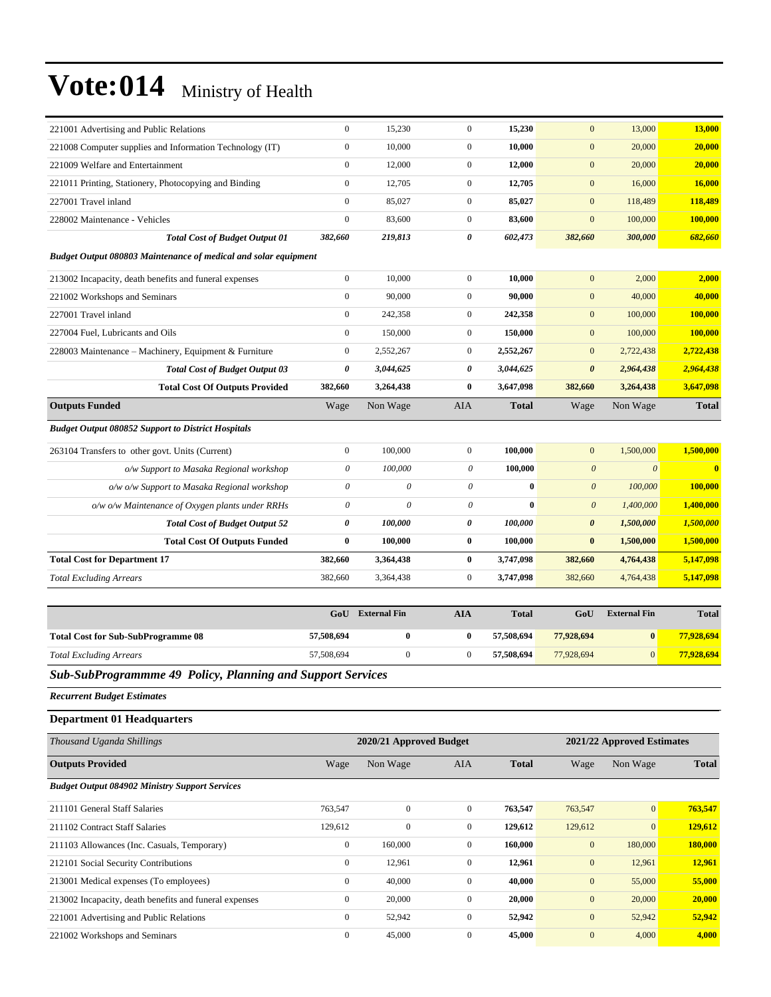| 221001 Advertising and Public Relations                           | $\boldsymbol{0}$          | 15,230                  | $\mathbf{0}$     | 15,230       | $\mathbf{0}$          | 13,000                     | 13,000       |
|-------------------------------------------------------------------|---------------------------|-------------------------|------------------|--------------|-----------------------|----------------------------|--------------|
| 221008 Computer supplies and Information Technology (IT)          | $\boldsymbol{0}$          | 10,000                  | $\mathbf{0}$     | 10,000       | $\boldsymbol{0}$      | 20,000                     | 20,000       |
| 221009 Welfare and Entertainment                                  | $\boldsymbol{0}$          | 12,000                  | $\mathbf{0}$     | 12,000       | $\boldsymbol{0}$      | 20,000                     | 20,000       |
| 221011 Printing, Stationery, Photocopying and Binding             | $\boldsymbol{0}$          | 12,705                  | $\mathbf{0}$     | 12,705       | $\mathbf{0}$          | 16,000                     | 16,000       |
| 227001 Travel inland                                              | $\boldsymbol{0}$          | 85,027                  | $\mathbf{0}$     | 85,027       | $\boldsymbol{0}$      | 118,489                    | 118,489      |
| 228002 Maintenance - Vehicles                                     | $\boldsymbol{0}$          | 83,600                  | $\mathbf{0}$     | 83,600       | $\mathbf{0}$          | 100,000                    | 100,000      |
| <b>Total Cost of Budget Output 01</b>                             | 382,660                   | 219,813                 | 0                | 602,473      | 382,660               | 300,000                    | 682,660      |
| Budget Output 080803 Maintenance of medical and solar equipment   |                           |                         |                  |              |                       |                            |              |
| 213002 Incapacity, death benefits and funeral expenses            | $\boldsymbol{0}$          | 10,000                  | $\mathbf{0}$     | 10,000       | $\mathbf{0}$          | 2,000                      | 2,000        |
| 221002 Workshops and Seminars                                     | $\boldsymbol{0}$          | 90,000                  | $\mathbf{0}$     | 90,000       | $\mathbf{0}$          | 40,000                     | 40,000       |
| 227001 Travel inland                                              | $\boldsymbol{0}$          | 242,358                 | $\boldsymbol{0}$ | 242,358      | $\mathbf{0}$          | 100,000                    | 100,000      |
| 227004 Fuel, Lubricants and Oils                                  | $\boldsymbol{0}$          | 150,000                 | $\mathbf{0}$     | 150,000      | $\mathbf{0}$          | 100,000                    | 100,000      |
| 228003 Maintenance - Machinery, Equipment & Furniture             | $\boldsymbol{0}$          | 2,552,267               | $\mathbf{0}$     | 2,552,267    | $\mathbf{0}$          | 2,722,438                  | 2,722,438    |
| <b>Total Cost of Budget Output 03</b>                             | 0                         | 3,044,625               | 0                | 3,044,625    | $\boldsymbol{\theta}$ | 2,964,438                  | 2,964,438    |
| <b>Total Cost Of Outputs Provided</b>                             | 382,660                   | 3,264,438               | $\bf{0}$         | 3,647,098    | 382,660               | 3,264,438                  | 3,647,098    |
| <b>Outputs Funded</b>                                             | Wage                      | Non Wage                | <b>AIA</b>       | <b>Total</b> | Wage                  | Non Wage                   | <b>Total</b> |
| <b>Budget Output 080852 Support to District Hospitals</b>         |                           |                         |                  |              |                       |                            |              |
| 263104 Transfers to other govt. Units (Current)                   | $\boldsymbol{0}$          | 100,000                 | $\boldsymbol{0}$ | 100,000      | $\mathbf{0}$          | 1,500,000                  | 1,500,000    |
| o/w Support to Masaka Regional workshop                           | 0                         | 100,000                 | $\theta$         | 100,000      | $\boldsymbol{0}$      | $\boldsymbol{\theta}$      | $\bf{0}$     |
| o/w o/w Support to Masaka Regional workshop                       | $\boldsymbol{\mathit{0}}$ | $\theta$                | $\theta$         | $\bf{0}$     | $\boldsymbol{0}$      | 100,000                    | 100,000      |
| $o/w$ $o/w$ Maintenance of Oxygen plants under RRHs               | $\boldsymbol{\mathit{0}}$ | $\theta$                | $\theta$         | $\mathbf{0}$ | $\boldsymbol{\theta}$ | 1,400,000                  | 1,400,000    |
| <b>Total Cost of Budget Output 52</b>                             | 0                         | 100,000                 | 0                | 100,000      | $\boldsymbol{\theta}$ | 1,500,000                  | 1,500,000    |
| <b>Total Cost Of Outputs Funded</b>                               | 0                         | 100,000                 | $\bf{0}$         | 100,000      | $\bf{0}$              | 1,500,000                  | 1,500,000    |
| <b>Total Cost for Department 17</b>                               | 382,660                   | 3,364,438               | $\bf{0}$         | 3,747,098    | 382,660               | 4,764,438                  | 5,147,098    |
| <b>Total Excluding Arrears</b>                                    | 382,660                   | 3,364,438               | $\mathbf{0}$     | 3,747,098    | 382,660               | 4,764,438                  | 5,147,098    |
|                                                                   |                           |                         |                  |              |                       |                            |              |
|                                                                   | GoU                       | <b>External Fin</b>     | <b>AIA</b>       | <b>Total</b> | GoU                   | <b>External Fin</b>        | <b>Total</b> |
| <b>Total Cost for Sub-SubProgramme 08</b>                         | 57,508,694                | 0                       | $\bf{0}$         | 57,508,694   | 77,928,694            | $\bf{0}$                   | 77,928,694   |
| <b>Total Excluding Arrears</b>                                    | 57,508,694                | $\boldsymbol{0}$        | $\boldsymbol{0}$ | 57,508,694   | 77,928,694            | $\mathbf{0}$               | 77,928,694   |
| <b>Sub-SubProgrammme 49 Policy, Planning and Support Services</b> |                           |                         |                  |              |                       |                            |              |
| <b>Recurrent Budget Estimates</b>                                 |                           |                         |                  |              |                       |                            |              |
| <b>Department 01 Headquarters</b>                                 |                           |                         |                  |              |                       |                            |              |
| Thousand Uganda Shillings                                         |                           | 2020/21 Approved Budget |                  |              |                       | 2021/22 Approved Estimates |              |
| <b>Outputs Provided</b>                                           | Wage                      | Non Wage                | AIA              | <b>Total</b> | Wage                  | Non Wage                   | <b>Total</b> |
| <b>Budget Output 084902 Ministry Support Services</b>             |                           |                         |                  |              |                       |                            |              |
| 211101 General Staff Salaries                                     | 763,547                   | $\mathbf{0}$            | $\mathbf{0}$     | 763,547      | 763,547               | $\mathbf{0}$               | 763,547      |
| 211102 Contract Staff Salaries                                    | 129,612                   | $\boldsymbol{0}$        | $\boldsymbol{0}$ | 129,612      | 129,612               | $\boldsymbol{0}$           | 129,612      |
| 211103 Allowances (Inc. Casuals, Temporary)                       | $\boldsymbol{0}$          | 160,000                 | $\boldsymbol{0}$ | 160,000      | $\mathbf{0}$          | 180,000                    | 180,000      |
| 212101 Social Security Contributions                              | $\overline{0}$            | 12,961                  | $\boldsymbol{0}$ | 12,961       | $\boldsymbol{0}$      | 12,961                     | 12,961       |
| 213001 Medical expenses (To employees)                            | $\boldsymbol{0}$          | 40,000                  | $\boldsymbol{0}$ | 40,000       | $\mathbf{0}$          | 55,000                     | 55,000       |
| 213002 Incapacity, death benefits and funeral expenses            | $\boldsymbol{0}$          | 20,000                  | $\boldsymbol{0}$ | 20,000       | $\boldsymbol{0}$      | 20,000                     | 20,000       |
| 221001 Advertising and Public Relations                           | $\boldsymbol{0}$          | 52,942                  | $\boldsymbol{0}$ | 52,942       | $\mathbf{0}$          | 52,942                     | 52,942       |
| 221002 Workshops and Seminars                                     | $\boldsymbol{0}$          | 45,000                  | $\boldsymbol{0}$ | 45,000       | $\boldsymbol{0}$      | 4,000                      | 4,000        |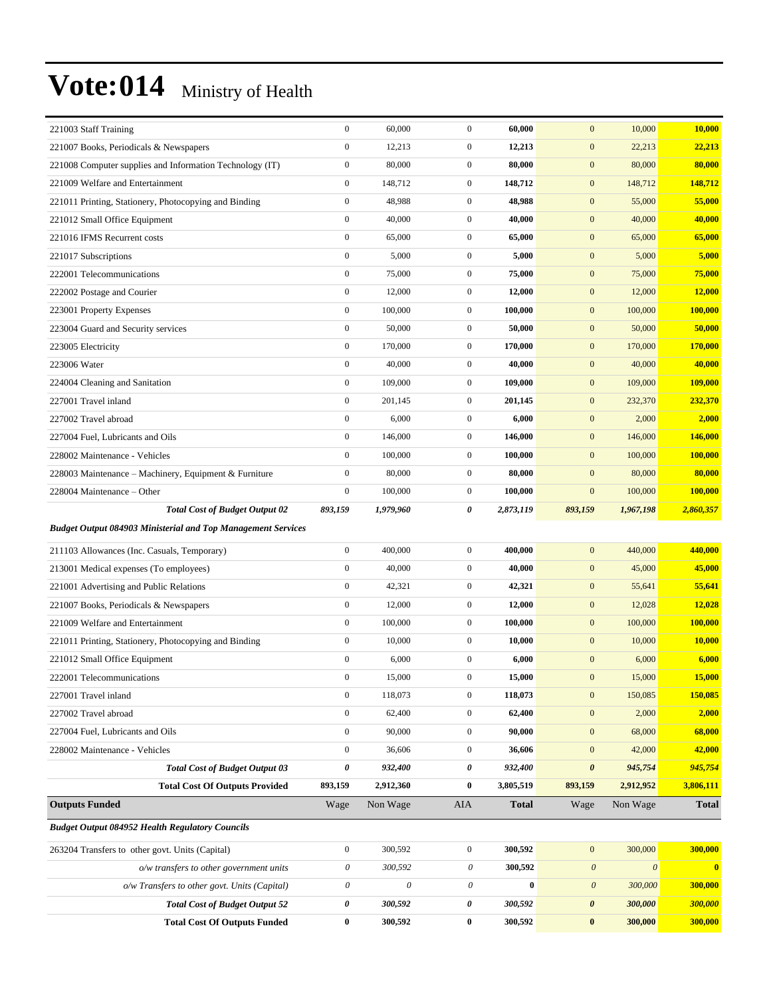| 221003 Staff Training                                               | $\boldsymbol{0}$      | 60,000                    | $\mathbf{0}$     | 60,000       | $\mathbf{0}$              | 10,000                | 10,000        |
|---------------------------------------------------------------------|-----------------------|---------------------------|------------------|--------------|---------------------------|-----------------------|---------------|
| 221007 Books, Periodicals & Newspapers                              | $\boldsymbol{0}$      | 12,213                    | $\boldsymbol{0}$ | 12,213       | $\boldsymbol{0}$          | 22,213                | 22,213        |
| 221008 Computer supplies and Information Technology (IT)            | $\boldsymbol{0}$      | 80,000                    | $\boldsymbol{0}$ | 80,000       | $\mathbf{0}$              | 80,000                | 80,000        |
| 221009 Welfare and Entertainment                                    | $\boldsymbol{0}$      | 148,712                   | $\boldsymbol{0}$ | 148,712      | $\mathbf{0}$              | 148,712               | 148,712       |
| 221011 Printing, Stationery, Photocopying and Binding               | $\boldsymbol{0}$      | 48,988                    | $\mathbf{0}$     | 48,988       | $\mathbf{0}$              | 55,000                | 55,000        |
| 221012 Small Office Equipment                                       | $\boldsymbol{0}$      | 40,000                    | $\mathbf{0}$     | 40,000       | $\mathbf{0}$              | 40,000                | 40,000        |
| 221016 IFMS Recurrent costs                                         | $\boldsymbol{0}$      | 65,000                    | $\boldsymbol{0}$ | 65,000       | $\boldsymbol{0}$          | 65,000                | 65,000        |
| 221017 Subscriptions                                                | $\boldsymbol{0}$      | 5,000                     | $\mathbf{0}$     | 5,000        | $\mathbf{0}$              | 5,000                 | 5,000         |
| 222001 Telecommunications                                           | $\boldsymbol{0}$      | 75,000                    | $\boldsymbol{0}$ | 75,000       | $\mathbf{0}$              | 75,000                | 75,000        |
| 222002 Postage and Courier                                          | $\boldsymbol{0}$      | 12,000                    | $\boldsymbol{0}$ | 12,000       | $\boldsymbol{0}$          | 12,000                | 12,000        |
| 223001 Property Expenses                                            | $\boldsymbol{0}$      | 100,000                   | $\mathbf{0}$     | 100,000      | $\mathbf{0}$              | 100,000               | 100,000       |
| 223004 Guard and Security services                                  | $\boldsymbol{0}$      | 50,000                    | $\boldsymbol{0}$ | 50,000       | $\mathbf{0}$              | 50,000                | 50,000        |
| 223005 Electricity                                                  | $\boldsymbol{0}$      | 170,000                   | $\mathbf{0}$     | 170,000      | $\mathbf{0}$              | 170,000               | 170,000       |
| 223006 Water                                                        | $\boldsymbol{0}$      | 40,000                    | $\mathbf{0}$     | 40,000       | $\mathbf{0}$              | 40,000                | 40,000        |
| 224004 Cleaning and Sanitation                                      | $\boldsymbol{0}$      | 109,000                   | $\mathbf{0}$     | 109,000      | $\boldsymbol{0}$          | 109,000               | 109,000       |
| 227001 Travel inland                                                | $\boldsymbol{0}$      | 201,145                   | $\mathbf{0}$     | 201,145      | $\mathbf{0}$              | 232,370               | 232,370       |
| 227002 Travel abroad                                                | $\boldsymbol{0}$      | 6,000                     | $\boldsymbol{0}$ | 6,000        | $\boldsymbol{0}$          | 2,000                 | 2,000         |
| 227004 Fuel, Lubricants and Oils                                    | $\boldsymbol{0}$      | 146,000                   | $\mathbf{0}$     | 146,000      | $\mathbf{0}$              | 146,000               | 146,000       |
| 228002 Maintenance - Vehicles                                       | $\boldsymbol{0}$      | 100,000                   | $\mathbf{0}$     | 100,000      | $\mathbf{0}$              | 100,000               | 100,000       |
| 228003 Maintenance – Machinery, Equipment & Furniture               | $\boldsymbol{0}$      | 80,000                    | $\mathbf{0}$     | 80,000       | $\mathbf{0}$              | 80,000                | 80,000        |
| 228004 Maintenance - Other                                          | $\boldsymbol{0}$      | 100,000                   | $\mathbf{0}$     | 100,000      | $\boldsymbol{0}$          | 100,000               | 100,000       |
| <b>Total Cost of Budget Output 02</b>                               | 893,159               | 1,979,960                 | 0                | 2,873,119    | 893,159                   | 1,967,198             | 2,860,357     |
| <b>Budget Output 084903 Ministerial and Top Management Services</b> |                       |                           |                  |              |                           |                       |               |
| 211103 Allowances (Inc. Casuals, Temporary)                         | $\boldsymbol{0}$      | 400,000                   | $\mathbf{0}$     | 400,000      | $\mathbf{0}$              | 440,000               | 440,000       |
| 213001 Medical expenses (To employees)                              | $\boldsymbol{0}$      | 40,000                    | $\mathbf{0}$     | 40,000       | $\boldsymbol{0}$          | 45,000                | 45,000        |
| 221001 Advertising and Public Relations                             | $\boldsymbol{0}$      | 42,321                    | $\mathbf{0}$     | 42,321       | $\mathbf{0}$              | 55,641                | 55,641        |
| 221007 Books, Periodicals & Newspapers                              | $\boldsymbol{0}$      | 12,000                    | $\mathbf{0}$     | 12,000       | $\mathbf{0}$              | 12,028                | 12,028        |
| 221009 Welfare and Entertainment                                    | $\boldsymbol{0}$      | 100,000                   | $\mathbf{0}$     | 100,000      | $\mathbf{0}$              | 100,000               | 100,000       |
| 221011 Printing, Stationery, Photocopying and Binding               | $\boldsymbol{0}$      | 10,000                    | $\boldsymbol{0}$ | 10,000       | $\mathbf{0}$              | 10,000                | 10,000        |
| 221012 Small Office Equipment                                       | $\boldsymbol{0}$      | 6,000                     | $\boldsymbol{0}$ | 6,000        | $\boldsymbol{0}$          | 6,000                 | 6,000         |
| 222001 Telecommunications                                           | 0                     | 15,000                    | $\boldsymbol{0}$ | 15,000       | $\bf{0}$                  | 15,000                | <b>15,000</b> |
| 227001 Travel inland                                                | $\boldsymbol{0}$      | 118,073                   | $\mathbf{0}$     | 118,073      | $\boldsymbol{0}$          | 150,085               | 150,085       |
| 227002 Travel abroad                                                | $\boldsymbol{0}$      | 62,400                    | $\boldsymbol{0}$ | 62,400       | $\boldsymbol{0}$          | 2,000                 | 2,000         |
| 227004 Fuel, Lubricants and Oils                                    | $\boldsymbol{0}$      | 90,000                    | $\boldsymbol{0}$ | 90,000       | $\mathbf{0}$              | 68,000                | 68,000        |
| 228002 Maintenance - Vehicles                                       | $\boldsymbol{0}$      | 36,606                    | $\boldsymbol{0}$ | 36,606       | $\mathbf{0}$              | 42,000                | 42,000        |
| <b>Total Cost of Budget Output 03</b>                               | 0                     | 932,400                   | 0                | 932,400      | $\boldsymbol{\theta}$     | 945,754               | 945,754       |
| <b>Total Cost Of Outputs Provided</b>                               | 893,159               | 2,912,360                 | $\bf{0}$         | 3,805,519    | 893,159                   | 2,912,952             | 3,806,111     |
| <b>Outputs Funded</b>                                               | Wage                  | Non Wage                  | AIA              | <b>Total</b> | Wage                      | Non Wage              | <b>Total</b>  |
| <b>Budget Output 084952 Health Regulatory Councils</b>              |                       |                           |                  |              |                           |                       |               |
| 263204 Transfers to other govt. Units (Capital)                     | $\boldsymbol{0}$      | 300,592                   | $\boldsymbol{0}$ | 300,592      | $\boldsymbol{0}$          | 300,000               | 300,000       |
| o/w transfers to other government units                             | $\boldsymbol{\theta}$ | 300,592                   | 0                | 300,592      | $\boldsymbol{\mathit{0}}$ | $\boldsymbol{\theta}$ | $\bf{0}$      |
| o/w Transfers to other govt. Units (Capital)                        | $\boldsymbol{\theta}$ | $\boldsymbol{\mathit{0}}$ | 0                | $\bf{0}$     | $\boldsymbol{\theta}$     | 300,000               | 300,000       |
| <b>Total Cost of Budget Output 52</b>                               | 0                     | 300,592                   | 0                | 300,592      | $\boldsymbol{\theta}$     | 300,000               | 300,000       |
| <b>Total Cost Of Outputs Funded</b>                                 | $\bf{0}$              | 300,592                   | $\bf{0}$         | 300,592      | $\boldsymbol{0}$          | 300,000               | 300,000       |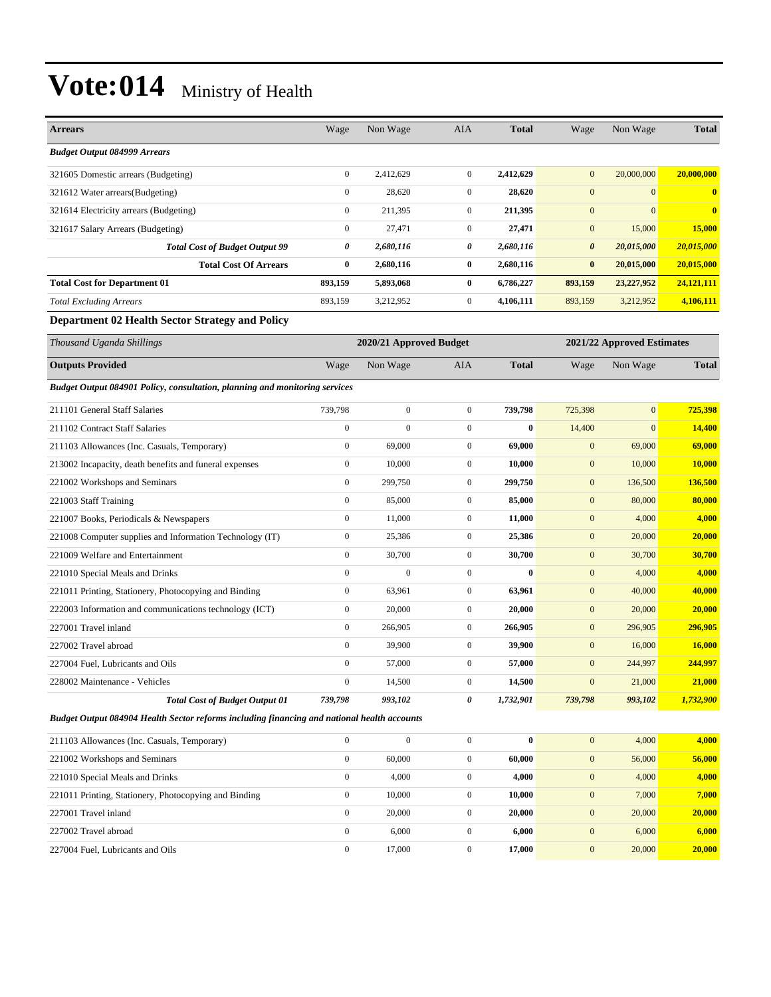| <b>Arrears</b>                                         | Wage             | Non Wage  | <b>AIA</b>   | <b>Total</b> | Wage                  | Non Wage        | <b>Total</b>   |
|--------------------------------------------------------|------------------|-----------|--------------|--------------|-----------------------|-----------------|----------------|
| <b>Budget Output 084999 Arrears</b>                    |                  |           |              |              |                       |                 |                |
| 321605 Domestic arrears (Budgeting)                    | $\boldsymbol{0}$ | 2,412,629 | $\mathbf{0}$ | 2,412,629    | $\mathbf{0}$          | 20,000,000      | 20,000,000     |
| 321612 Water arrears (Budgeting)                       | $\overline{0}$   | 28,620    | $\mathbf{0}$ | 28,620       | $\overline{0}$        | $\vert 0 \vert$ | $\overline{0}$ |
| 321614 Electricity arrears (Budgeting)                 | $\mathbf{0}$     | 211,395   | $\mathbf{0}$ | 211,395      | $\mathbf{0}$          | $\Omega$        | $\overline{0}$ |
| 321617 Salary Arrears (Budgeting)                      | $\boldsymbol{0}$ | 27,471    | $\mathbf{0}$ | 27,471       | $\mathbf{0}$          | 15,000          | 15,000         |
| <b>Total Cost of Budget Output 99</b>                  | 0                | 2,680,116 | 0            | 2,680,116    | $\boldsymbol{\theta}$ | 20,015,000      | 20,015,000     |
| <b>Total Cost Of Arrears</b>                           | $\bf{0}$         | 2,680,116 | $\bf{0}$     | 2,680,116    | $\bf{0}$              | 20,015,000      | 20,015,000     |
| <b>Total Cost for Department 01</b>                    | 893,159          | 5,893,068 | $\bf{0}$     | 6,786,227    | 893,159               | 23,227,952      | 24,121,111     |
| <b>Total Excluding Arrears</b>                         | 893,159          | 3,212,952 | $\mathbf{0}$ | 4,106,111    | 893,159               | 3,212,952       | 4,106,111      |
| <b>Department 02 Health Sector Strategy and Policy</b> |                  |           |              |              |                       |                 |                |

| Thousand Uganda Shillings                                                   | 2020/21 Approved Budget |                |                | 2021/22 Approved Estimates |                  |              |              |
|-----------------------------------------------------------------------------|-------------------------|----------------|----------------|----------------------------|------------------|--------------|--------------|
| <b>Outputs Provided</b>                                                     | Wage                    | Non Wage       | <b>AIA</b>     | <b>Total</b>               | Wage             | Non Wage     | <b>Total</b> |
| Budget Output 084901 Policy, consultation, planning and monitoring services |                         |                |                |                            |                  |              |              |
| 211101 General Staff Salaries                                               | 739,798                 | $\overline{0}$ | $\overline{0}$ | 739,798                    | 725,398          | $\mathbf{0}$ | 725,398      |
| 211102 Contract Staff Salaries                                              | $\mathbf{0}$            | $\mathbf{0}$   | $\Omega$       | $\bf{0}$                   | 14,400           | $\Omega$     | 14,400       |
| 211103 Allowances (Inc. Casuals, Temporary)                                 | $\mathbf{0}$            | 69,000         | $\overline{0}$ | 69,000                     | $\overline{0}$   | 69,000       | 69,000       |
| 213002 Incapacity, death benefits and funeral expenses                      | $\overline{0}$          | 10,000         | $\overline{0}$ | 10,000                     | $\boldsymbol{0}$ | 10,000       | 10,000       |
| 221002 Workshops and Seminars                                               | $\overline{0}$          | 299,750        | $\overline{0}$ | 299,750                    | $\boldsymbol{0}$ | 136,500      | 136,500      |
| 221003 Staff Training                                                       | $\overline{0}$          | 85,000         | $\overline{0}$ | 85,000                     | $\mathbf{0}$     | 80,000       | 80,000       |
| 221007 Books, Periodicals & Newspapers                                      | $\overline{0}$          | 11,000         | $\overline{0}$ | 11,000                     | $\overline{0}$   | 4,000        | 4,000        |
| 221008 Computer supplies and Information Technology (IT)                    | $\mathbf{0}$            | 25,386         | $\overline{0}$ | 25,386                     | $\mathbf{0}$     | 20,000       | 20,000       |
| 221009 Welfare and Entertainment                                            | $\overline{0}$          | 30,700         | $\overline{0}$ | 30,700                     | $\mathbf{0}$     | 30,700       | 30,700       |
| 221010 Special Meals and Drinks                                             | $\mathbf{0}$            | $\overline{0}$ | $\overline{0}$ | $\mathbf{0}$               | $\boldsymbol{0}$ | 4,000        | 4,000        |
| 221011 Printing, Stationery, Photocopying and Binding                       | $\overline{0}$          | 63,961         | $\overline{0}$ | 63,961                     | $\mathbf{0}$     | 40,000       | 40,000       |
| 222003 Information and communications technology (ICT)                      | $\overline{0}$          | 20,000         | $\overline{0}$ | 20,000                     | $\overline{0}$   | 20,000       | 20,000       |
| 227001 Travel inland                                                        | $\theta$                | 266,905        | $\Omega$       | 266,905                    | $\overline{0}$   | 296,905      | 296,905      |
| 227002 Travel abroad                                                        | $\overline{0}$          | 39,900         | $\overline{0}$ | 39,900                     | $\boldsymbol{0}$ | 16,000       | 16,000       |
| 227004 Fuel, Lubricants and Oils                                            | $\mathbf{0}$            | 57,000         | $\overline{0}$ | 57,000                     | $\mathbf{0}$     | 244,997      | 244,997      |
| 228002 Maintenance - Vehicles                                               | $\mathbf{0}$            | 14,500         | $\overline{0}$ | 14,500                     | $\mathbf{0}$     | 21,000       | 21,000       |
| <b>Total Cost of Budget Output 01</b>                                       | 739,798                 | 993,102        | 0              | 1,732,901                  | 739,798          | 993,102      | 1,732,900    |

*Budget Output 084904 Health Sector reforms including financing and national health accounts*

| 211103 Allowances (Inc. Casuals, Temporary)           | $\Omega$ | 0      | $\Omega$     | $\mathbf{0}$ | $\mathbf{0}$<br>4,000  | 4,000  |
|-------------------------------------------------------|----------|--------|--------------|--------------|------------------------|--------|
| 221002 Workshops and Seminars                         | $\Omega$ | 60,000 | $\Omega$     | 60.000       | 56,000<br>$\mathbf{0}$ | 56,000 |
| 221010 Special Meals and Drinks                       | $\Omega$ | 4,000  | $\Omega$     | 4,000        | $\mathbf{0}$<br>4,000  | 4,000  |
| 221011 Printing, Stationery, Photocopying and Binding | $\Omega$ | 10.000 | $\mathbf{0}$ | 10.000       | $\mathbf{0}$<br>7,000  | 7,000  |
| 227001 Travel inland                                  | $\Omega$ | 20,000 | $\Omega$     | 20.000       | 20,000<br>$\mathbf{0}$ | 20,000 |
| 227002 Travel abroad                                  | $\Omega$ | 6.000  | $\Omega$     | 6.000        | 6,000<br>$\mathbf{0}$  | 6,000  |
| 227004 Fuel. Lubricants and Oils                      | $\Omega$ | 17,000 | $\Omega$     | 17.000       | 20,000<br>$\mathbf{0}$ | 20,000 |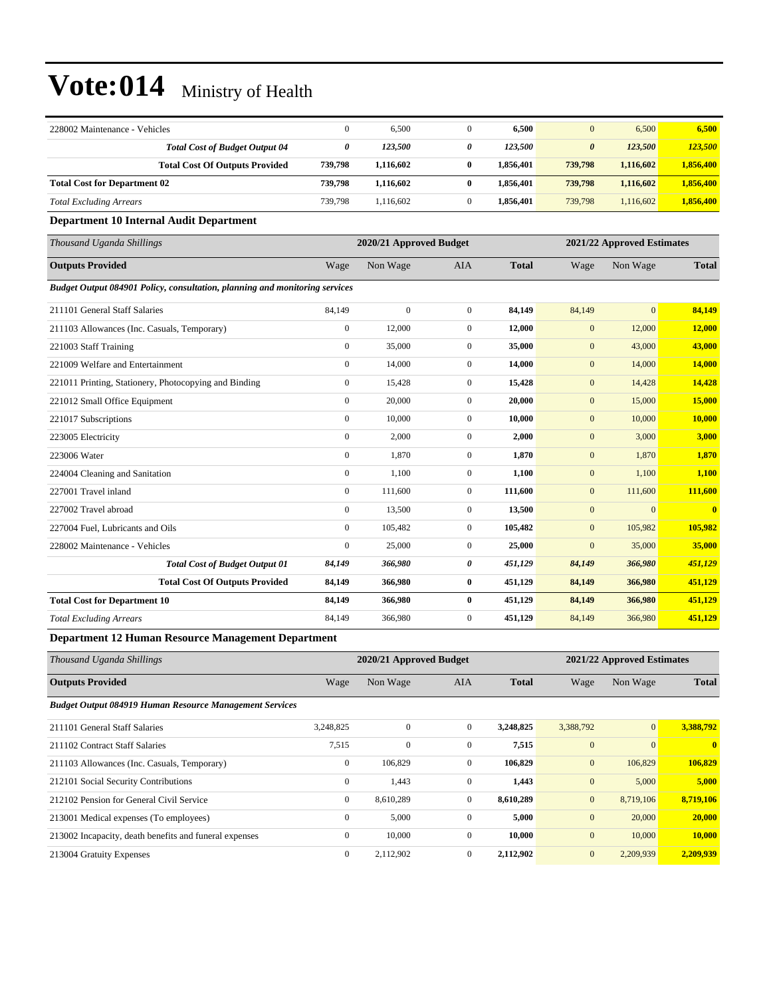| 228002 Maintenance - Vehicles                                               | $\mathbf{0}$     | 6,500                   | $\overline{0}$   | 6,500        | $\mathbf{0}$          | 6,500                      | 6,500        |
|-----------------------------------------------------------------------------|------------------|-------------------------|------------------|--------------|-----------------------|----------------------------|--------------|
| <b>Total Cost of Budget Output 04</b>                                       | $\pmb{\theta}$   | 123,500                 | 0                | 123,500      | $\boldsymbol{\theta}$ | 123,500                    | 123,500      |
| <b>Total Cost Of Outputs Provided</b>                                       | 739,798          | 1,116,602               | 0                | 1,856,401    | 739,798               | 1,116,602                  | 1,856,400    |
| <b>Total Cost for Department 02</b>                                         | 739,798          | 1,116,602               | $\bf{0}$         | 1,856,401    | 739,798               | 1,116,602                  | 1,856,400    |
| <b>Total Excluding Arrears</b>                                              | 739,798          | 1,116,602               | $\overline{0}$   | 1,856,401    | 739,798               | 1,116,602                  | 1,856,400    |
| Department 10 Internal Audit Department                                     |                  |                         |                  |              |                       |                            |              |
| Thousand Uganda Shillings                                                   |                  | 2020/21 Approved Budget |                  |              |                       | 2021/22 Approved Estimates |              |
| <b>Outputs Provided</b>                                                     | Wage             | Non Wage                | AIA              | <b>Total</b> | Wage                  | Non Wage                   | <b>Total</b> |
| Budget Output 084901 Policy, consultation, planning and monitoring services |                  |                         |                  |              |                       |                            |              |
| 211101 General Staff Salaries                                               | 84,149           | $\mathbf{0}$            | $\boldsymbol{0}$ | 84,149       | 84,149                | $\overline{0}$             | 84,149       |
| 211103 Allowances (Inc. Casuals, Temporary)                                 | $\mathbf{0}$     | 12,000                  | $\overline{0}$   | 12,000       | $\mathbf{0}$          | 12,000                     | 12,000       |
| 221003 Staff Training                                                       | $\mathbf{0}$     | 35,000                  | $\boldsymbol{0}$ | 35,000       | $\mathbf{0}$          | 43,000                     | 43,000       |
| 221009 Welfare and Entertainment                                            | $\mathbf{0}$     | 14,000                  | $\boldsymbol{0}$ | 14,000       | $\boldsymbol{0}$      | 14,000                     | 14,000       |
| 221011 Printing, Stationery, Photocopying and Binding                       | $\mathbf{0}$     | 15,428                  | $\boldsymbol{0}$ | 15,428       | $\mathbf{0}$          | 14,428                     | 14,428       |
| 221012 Small Office Equipment                                               | $\mathbf{0}$     | 20,000                  | $\overline{0}$   | 20,000       | $\mathbf{0}$          | 15,000                     | 15,000       |
| 221017 Subscriptions                                                        | $\mathbf{0}$     | 10,000                  | $\boldsymbol{0}$ | 10,000       | $\mathbf{0}$          | 10,000                     | 10,000       |
| 223005 Electricity                                                          | $\boldsymbol{0}$ | 2,000                   | $\boldsymbol{0}$ | 2,000        | $\mathbf{0}$          | 3,000                      | 3,000        |
| 223006 Water                                                                | $\mathbf{0}$     | 1,870                   | $\overline{0}$   | 1,870        | $\mathbf{0}$          | 1,870                      | 1,870        |
| 224004 Cleaning and Sanitation                                              | $\mathbf{0}$     | 1,100                   | $\overline{0}$   | 1,100        | $\mathbf{0}$          | 1,100                      | 1,100        |
| 227001 Travel inland                                                        | $\mathbf{0}$     | 111,600                 | $\overline{0}$   | 111,600      | $\mathbf{0}$          | 111,600                    | 111,600      |
| 227002 Travel abroad                                                        | $\mathbf{0}$     | 13,500                  | $\boldsymbol{0}$ | 13,500       | $\mathbf{0}$          | $\overline{0}$             | $\bf{0}$     |
| 227004 Fuel, Lubricants and Oils                                            | $\mathbf{0}$     | 105,482                 | $\mathbf{0}$     | 105,482      | $\mathbf{0}$          | 105,982                    | 105,982      |
| 228002 Maintenance - Vehicles                                               | $\mathbf{0}$     | 25,000                  | $\overline{0}$   | 25,000       | $\overline{0}$        | 35,000                     | 35,000       |
| <b>Total Cost of Budget Output 01</b>                                       | 84,149           | 366,980                 | 0                | 451,129      | 84,149                | 366,980                    | 451,129      |
| <b>Total Cost Of Outputs Provided</b>                                       | 84,149           | 366,980                 | 0                | 451,129      | 84,149                | 366,980                    | 451,129      |
| <b>Total Cost for Department 10</b>                                         | 84,149           | 366,980                 | $\bf{0}$         | 451,129      | 84,149                | 366,980                    | 451,129      |
| <b>Total Excluding Arrears</b>                                              | 84,149           | 366,980                 | $\boldsymbol{0}$ | 451,129      | 84,149                | 366,980                    | 451,129      |
| $m$ ontmart 19 Human December<br>$M$ anagan                                 |                  |                         |                  |              |                       |                            |              |

**Department 12 Human Resource Management Department**

| Thousand Uganda Shillings                                      | 2020/21 Approved Budget |              |                | 2021/22 Approved Estimates |              |                |              |
|----------------------------------------------------------------|-------------------------|--------------|----------------|----------------------------|--------------|----------------|--------------|
| <b>Outputs Provided</b>                                        | Wage                    | Non Wage     | <b>AIA</b>     | <b>Total</b>               | Wage         | Non Wage       | <b>Total</b> |
| <b>Budget Output 084919 Human Resource Management Services</b> |                         |              |                |                            |              |                |              |
| 211101 General Staff Salaries                                  | 3,248,825               | $\Omega$     | $\mathbf{0}$   | 3,248,825                  | 3,388,792    | $\overline{0}$ | 3,388,792    |
| 211102 Contract Staff Salaries                                 | 7,515                   | $\mathbf{0}$ | $\mathbf{0}$   | 7,515                      | $\mathbf{0}$ | $\overline{0}$ |              |
| 211103 Allowances (Inc. Casuals, Temporary)                    | $\bf{0}$                | 106,829      | $\mathbf{0}$   | 106,829                    | $\mathbf{0}$ | 106,829        | 106,829      |
| 212101 Social Security Contributions                           | $\mathbf{0}$            | 1,443        | $\overline{0}$ | 1,443                      | $\mathbf{0}$ | 5,000          | 5,000        |
| 212102 Pension for General Civil Service                       | $\mathbf{0}$            | 8,610,289    | $\mathbf{0}$   | 8,610,289                  | $\mathbf{0}$ | 8,719,106      | 8,719,106    |
| 213001 Medical expenses (To employees)                         | $\mathbf{0}$            | 5,000        | $\mathbf{0}$   | 5,000                      | $\mathbf{0}$ | 20,000         | 20,000       |
| 213002 Incapacity, death benefits and funeral expenses         | $\mathbf{0}$            | 10,000       | $\mathbf{0}$   | 10,000                     | $\mathbf{0}$ | 10,000         | 10,000       |
| 213004 Gratuity Expenses                                       | $\mathbf{0}$            | 2,112,902    | $\mathbf{0}$   | 2,112,902                  | $\mathbf{0}$ | 2,209,939      | 2,209,939    |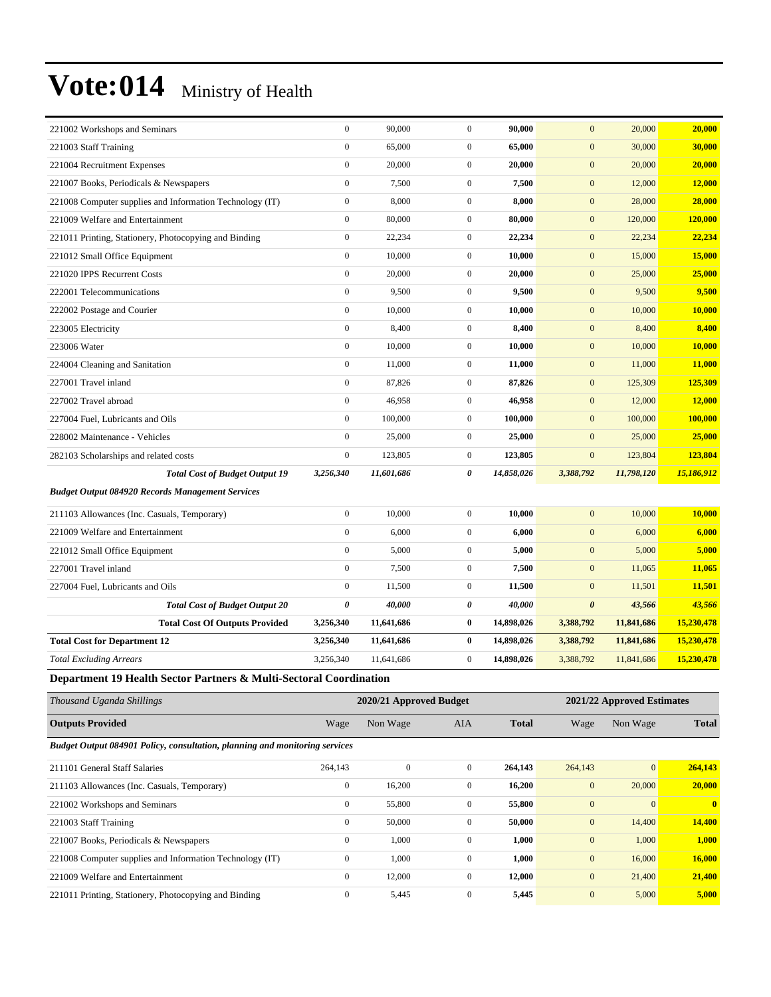| 221002 Workshops and Seminars                                               | $\boldsymbol{0}$ | 90,000                  | $\boldsymbol{0}$ | 90,000       | $\mathbf{0}$     | 20,000                     | 20,000       |
|-----------------------------------------------------------------------------|------------------|-------------------------|------------------|--------------|------------------|----------------------------|--------------|
| 221003 Staff Training                                                       | $\boldsymbol{0}$ | 65,000                  | $\boldsymbol{0}$ | 65,000       | $\mathbf{0}$     | 30,000                     | 30,000       |
| 221004 Recruitment Expenses                                                 | $\boldsymbol{0}$ | 20,000                  | $\boldsymbol{0}$ | 20,000       | $\mathbf{0}$     | 20,000                     | 20,000       |
| 221007 Books, Periodicals & Newspapers                                      | $\boldsymbol{0}$ | 7,500                   | $\boldsymbol{0}$ | 7,500        | $\mathbf{0}$     | 12,000                     | 12,000       |
| 221008 Computer supplies and Information Technology (IT)                    | $\boldsymbol{0}$ | 8,000                   | $\overline{0}$   | 8,000        | $\boldsymbol{0}$ | 28,000                     | 28,000       |
| 221009 Welfare and Entertainment                                            | $\boldsymbol{0}$ | 80,000                  | $\overline{0}$   | 80,000       | $\mathbf{0}$     | 120,000                    | 120,000      |
| 221011 Printing, Stationery, Photocopying and Binding                       | $\boldsymbol{0}$ | 22,234                  | $\mathbf{0}$     | 22,234       | $\mathbf{0}$     | 22,234                     | 22,234       |
| 221012 Small Office Equipment                                               | $\boldsymbol{0}$ | 10,000                  | $\boldsymbol{0}$ | 10,000       | $\boldsymbol{0}$ | 15,000                     | 15,000       |
| 221020 IPPS Recurrent Costs                                                 | $\boldsymbol{0}$ | 20,000                  | $\boldsymbol{0}$ | 20,000       | $\mathbf{0}$     | 25,000                     | 25,000       |
| 222001 Telecommunications                                                   | $\boldsymbol{0}$ | 9,500                   | $\overline{0}$   | 9,500        | $\mathbf{0}$     | 9,500                      | 9,500        |
| 222002 Postage and Courier                                                  | $\boldsymbol{0}$ | 10,000                  | $\mathbf{0}$     | 10,000       | $\mathbf{0}$     | 10,000                     | 10,000       |
| 223005 Electricity                                                          | $\boldsymbol{0}$ | 8,400                   | $\mathbf{0}$     | 8,400        | $\mathbf{0}$     | 8,400                      | 8,400        |
| 223006 Water                                                                | $\boldsymbol{0}$ | 10,000                  | $\boldsymbol{0}$ | 10,000       | $\mathbf{0}$     | 10,000                     | 10,000       |
| 224004 Cleaning and Sanitation                                              | $\boldsymbol{0}$ | 11,000                  | $\boldsymbol{0}$ | 11,000       | $\mathbf{0}$     | 11,000                     | 11,000       |
| 227001 Travel inland                                                        | $\boldsymbol{0}$ | 87,826                  | $\overline{0}$   | 87,826       | $\mathbf{0}$     | 125,309                    | 125,309      |
| 227002 Travel abroad                                                        | $\boldsymbol{0}$ | 46,958                  | $\mathbf{0}$     | 46,958       | $\mathbf{0}$     | 12,000                     | 12,000       |
| 227004 Fuel, Lubricants and Oils                                            | $\boldsymbol{0}$ | 100,000                 | $\mathbf{0}$     | 100,000      | $\mathbf{0}$     | 100,000                    | 100,000      |
| 228002 Maintenance - Vehicles                                               | $\boldsymbol{0}$ | 25,000                  | $\overline{0}$   | 25,000       | $\mathbf{0}$     | 25,000                     | 25,000       |
| 282103 Scholarships and related costs                                       | $\boldsymbol{0}$ | 123,805                 | $\overline{0}$   | 123,805      | $\mathbf{0}$     | 123,804                    | 123,804      |
| <b>Total Cost of Budget Output 19</b>                                       | 3,256,340        | 11,601,686              | 0                | 14,858,026   | 3,388,792        | 11,798,120                 | 15,186,912   |
| <b>Budget Output 084920 Records Management Services</b>                     |                  |                         |                  |              |                  |                            |              |
| 211103 Allowances (Inc. Casuals, Temporary)                                 | $\boldsymbol{0}$ | 10,000                  | $\boldsymbol{0}$ | 10,000       | $\boldsymbol{0}$ | 10,000                     | 10,000       |
| 221009 Welfare and Entertainment                                            | $\boldsymbol{0}$ | 6,000                   | $\overline{0}$   | 6,000        | $\mathbf{0}$     | 6,000                      | 6,000        |
| 221012 Small Office Equipment                                               | $\boldsymbol{0}$ | 5,000                   | $\overline{0}$   | 5,000        | $\mathbf{0}$     | 5,000                      | 5,000        |
| 227001 Travel inland                                                        | $\boldsymbol{0}$ | 7,500                   | $\boldsymbol{0}$ | 7,500        | $\mathbf{0}$     | 11,065                     | 11,065       |
| 227004 Fuel, Lubricants and Oils                                            | $\boldsymbol{0}$ | 11,500                  | $\boldsymbol{0}$ | 11,500       | $\mathbf{0}$     | 11,501                     | 11,501       |
| <b>Total Cost of Budget Output 20</b>                                       | 0                | 40,000                  | 0                | 40,000       | $\pmb{\theta}$   | 43,566                     | 43,566       |
| <b>Total Cost Of Outputs Provided</b>                                       | 3,256,340        | 11,641,686              | $\bf{0}$         | 14,898,026   | 3,388,792        | 11,841,686                 | 15,230,478   |
| <b>Total Cost for Department 12</b>                                         | 3,256,340        | 11,641,686              | $\bf{0}$         | 14,898,026   | 3,388,792        | 11,841,686                 | 15,230,478   |
| <b>Total Excluding Arrears</b>                                              | 3,256,340        | 11,641,686              | $\mathbf{0}$     | 14,898,026   | 3,388,792        | 11,841,686                 | 15,230,478   |
| Department 19 Health Sector Partners & Multi-Sectoral Coordination          |                  |                         |                  |              |                  |                            |              |
| Thousand Uganda Shillings                                                   |                  | 2020/21 Approved Budget |                  |              |                  | 2021/22 Approved Estimates |              |
| <b>Outputs Provided</b>                                                     | Wage             | Non Wage                | AIA              | <b>Total</b> | Wage             | Non Wage                   | <b>Total</b> |
| Budget Output 084901 Policy, consultation, planning and monitoring services |                  |                         |                  |              |                  |                            |              |
| 211101 General Staff Salaries                                               | 264,143          | $\boldsymbol{0}$        | $\boldsymbol{0}$ | 264,143      | 264,143          | 0                          | 264,143      |
| 211103 Allowances (Inc. Casuals, Temporary)                                 | $\boldsymbol{0}$ | 16,200                  | $\boldsymbol{0}$ | 16,200       | $\mathbf{0}$     | 20,000                     | 20,000       |
| 221002 Workshops and Seminars                                               | $\boldsymbol{0}$ | 55,800                  | $\boldsymbol{0}$ | 55,800       | $\boldsymbol{0}$ | $\boldsymbol{0}$           | $\mathbf{0}$ |
| 221003 Staff Training                                                       | $\boldsymbol{0}$ | 50,000                  | $\boldsymbol{0}$ | 50,000       | $\mathbf{0}$     | 14,400                     | 14,400       |

221003 Staff Training 0 50,000 0 **50,000** 0 14,400 **14,400** 221007 Books, Periodicals & Newspapers 0 1,000 0 **1,000** 0 1,000 **1,000** 221008 Computer supplies and Information Technology (IT) 0 1,000 0 **1,000** 0 16,000 **16,000** 221009 Welfare and Entertainment 0 12,000 0 **12,000** 0 21,400 **21,400** 221011 Printing, Stationery, Photocopying and Binding 0 5,445 0 **5,445** 0 5,000 **5,000**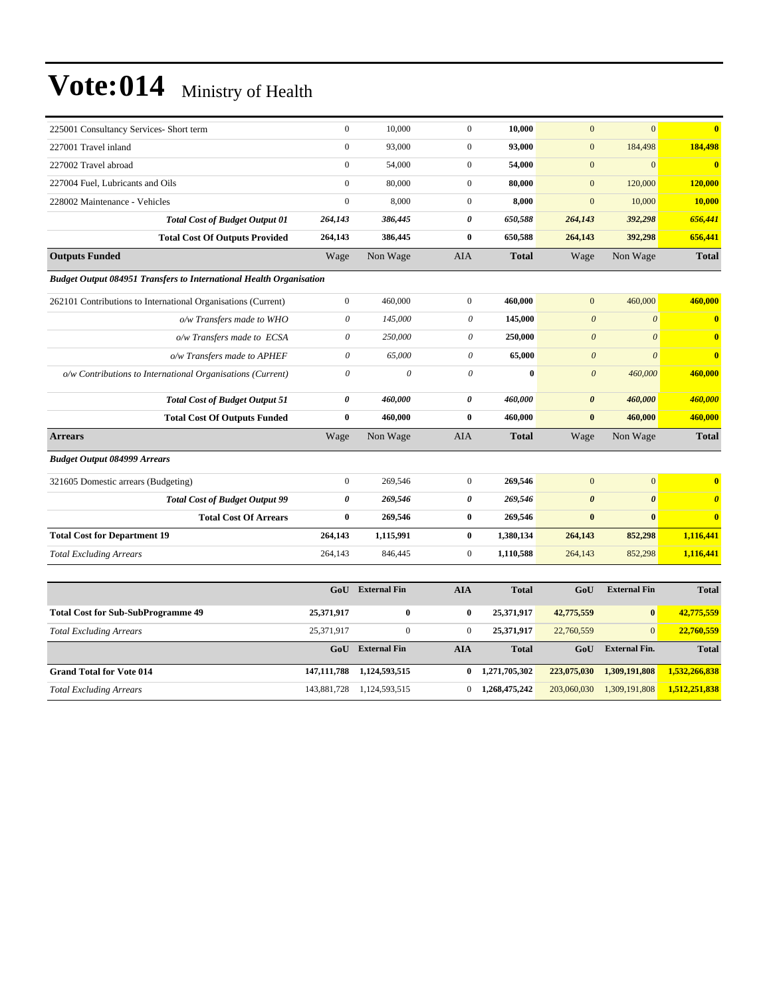| 225001 Consultancy Services- Short term                                    | $\mathbf{0}$          | 10,000              | $\mathbf{0}$          | 10,000       | $\overline{0}$        | $\overline{0}$        | $\overline{\mathbf{0}}$ |
|----------------------------------------------------------------------------|-----------------------|---------------------|-----------------------|--------------|-----------------------|-----------------------|-------------------------|
| 227001 Travel inland                                                       | $\overline{0}$        | 93,000              | $\mathbf{0}$          | 93,000       | $\overline{0}$        | 184,498               | 184,498                 |
| 227002 Travel abroad                                                       | $\boldsymbol{0}$      | 54,000              | $\mathbf{0}$          | 54,000       | $\mathbf{0}$          | $\overline{0}$        | $\overline{\mathbf{0}}$ |
| 227004 Fuel, Lubricants and Oils                                           | $\mathbf{0}$          | 80,000              | $\mathbf{0}$          | 80,000       | $\mathbf{0}$          | 120,000               | 120,000                 |
| 228002 Maintenance - Vehicles                                              | $\overline{0}$        | 8,000               | $\mathbf{0}$          | 8,000        | $\mathbf{0}$          | 10,000                | 10,000                  |
| <b>Total Cost of Budget Output 01</b>                                      | 264,143               | 386,445             | $\boldsymbol{\theta}$ | 650,588      | 264,143               | 392,298               | 656,441                 |
| <b>Total Cost Of Outputs Provided</b>                                      | 264,143               | 386,445             | $\bf{0}$              | 650,588      | 264,143               | 392,298               | 656,441                 |
| <b>Outputs Funded</b>                                                      | Wage                  | Non Wage            | <b>AIA</b>            | <b>Total</b> | Wage                  | Non Wage              | <b>Total</b>            |
| <b>Budget Output 084951 Transfers to International Health Organisation</b> |                       |                     |                       |              |                       |                       |                         |
| 262101 Contributions to International Organisations (Current)              | $\boldsymbol{0}$      | 460,000             | $\mathbf{0}$          | 460,000      | $\overline{0}$        | 460,000               | 460,000                 |
| o/w Transfers made to WHO                                                  | $\theta$              | 145,000             | $\theta$              | 145,000      | $\boldsymbol{\theta}$ | $\boldsymbol{\theta}$ | $\bf{0}$                |
| o/w Transfers made to ECSA                                                 | $\theta$              | 250,000             | 0                     | 250,000      | $\boldsymbol{0}$      | $\theta$              | $\overline{\mathbf{0}}$ |
| o/w Transfers made to APHEF                                                | $\theta$              | 65,000              | $\theta$              | 65,000       | $\boldsymbol{\theta}$ | $\theta$              | $\bf{0}$                |
| o/w Contributions to International Organisations (Current)                 | $\theta$              | $\theta$            | $\theta$              | $\mathbf{0}$ | $\boldsymbol{0}$      | 460,000               | 460,000                 |
| <b>Total Cost of Budget Output 51</b>                                      | $\boldsymbol{\theta}$ | 460,000             | $\boldsymbol{\theta}$ | 460,000      | $\boldsymbol{\theta}$ | 460,000               | 460,000                 |
| <b>Total Cost Of Outputs Funded</b>                                        | $\bf{0}$              | 460,000             | $\bf{0}$              | 460,000      | $\bf{0}$              | 460,000               | 460,000                 |
| <b>Arrears</b>                                                             | Wage                  | Non Wage            | <b>AIA</b>            | <b>Total</b> | Wage                  | Non Wage              | <b>Total</b>            |
| <b>Budget Output 084999 Arrears</b>                                        |                       |                     |                       |              |                       |                       |                         |
| 321605 Domestic arrears (Budgeting)                                        | $\boldsymbol{0}$      | 269,546             | $\mathbf{0}$          | 269,546      | $\mathbf{0}$          | $\mathbf{0}$          | $\bf{0}$                |
| <b>Total Cost of Budget Output 99</b>                                      | 0                     | 269,546             | $\boldsymbol{\theta}$ | 269,546      | $\boldsymbol{\theta}$ | $\boldsymbol{\theta}$ | $\boldsymbol{\theta}$   |
| <b>Total Cost Of Arrears</b>                                               | $\bf{0}$              | 269,546             | $\bf{0}$              | 269,546      | $\bf{0}$              | $\bf{0}$              | $\mathbf{0}$            |
| <b>Total Cost for Department 19</b>                                        | 264,143               | 1,115,991           | $\bf{0}$              | 1,380,134    | 264,143               | 852,298               | 1,116,441               |
| <b>Total Excluding Arrears</b>                                             | 264,143               | 846,445             | $\mathbf{0}$          | 1,110,588    | 264,143               | 852,298               | 1,116,441               |
|                                                                            |                       |                     |                       |              |                       |                       |                         |
|                                                                            | GoU                   | <b>External Fin</b> | <b>AIA</b>            | <b>Total</b> | GoU                   | <b>External Fin</b>   | <b>Total</b>            |
| <b>Total Cost for Sub-SubProgramme 49</b>                                  | 25,371,917            | $\bf{0}$            | $\bf{0}$              | 25,371,917   | 42,775,559            | $\bf{0}$              | 42,775,559              |
| <b>Total Excluding Arrears</b>                                             | 25,371,917            | $\mathbf{0}$        | $\mathbf{0}$          | 25,371,917   | 22,760,559            | $\overline{0}$        | 22,760,559              |

|                                 | GoU | <b>External Fin</b>           | AIA | <b>Total</b>            | GoU         | <b>External Fin.</b> | <b>Total</b>  |
|---------------------------------|-----|-------------------------------|-----|-------------------------|-------------|----------------------|---------------|
| <b>Grand Total for Vote 014</b> |     | 147, 111, 788 1.124, 593, 515 |     | $0 \quad 1.271.705.302$ | 223,075,030 | 1.309.191.808        | 1,532,266,838 |
| <b>Total Excluding Arrears</b>  |     | 143,881,728 1,124,593,515     |     | 1.268,475,242           | 203,060,030 | 1,309,191,808        | 1,512,251,838 |